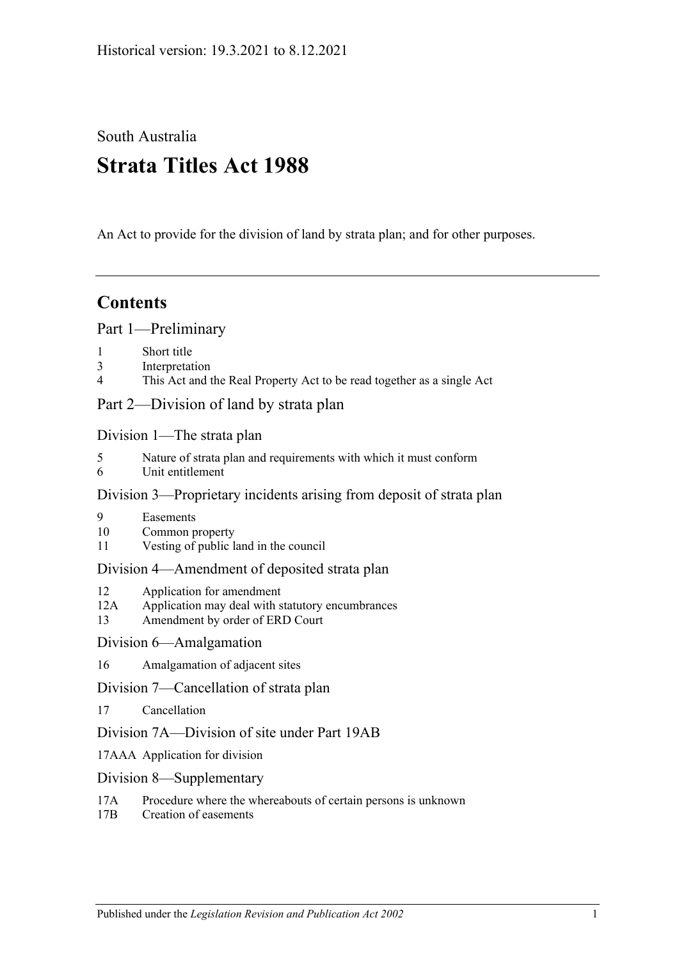South Australia

# **Strata Titles Act 1988**

An Act to provide for the division of land by strata plan; and for other purposes.

## **Contents**

[Part 1—Preliminary](#page-3-0)

- 1 [Short title](#page-3-1)
- 3 [Interpretation](#page-3-2)
- 4 [This Act and the Real Property Act to be read together as a single Act](#page-6-0)

[Part 2—Division of land by strata plan](#page-6-1)

[Division 1—The strata plan](#page-6-2)

- 5 [Nature of strata plan and requirements with which it must conform](#page-6-3)
- 6 [Unit entitlement](#page-7-0)

### [Division 3—Proprietary incidents arising from deposit of strata plan](#page-7-1)

- 9 [Easements](#page-7-2)
- 10 [Common property](#page-8-0)
- 11 [Vesting of public land in the council](#page-8-1)

### [Division 4—Amendment of deposited strata plan](#page-8-2)

- 12 [Application for amendment](#page-8-3)
- 12A [Application may deal with statutory encumbrances](#page-11-0)
- 13 [Amendment by order of ERD Court](#page-11-1)

### [Division 6—Amalgamation](#page-12-0)

16 [Amalgamation of adjacent sites](#page-12-1)

[Division 7—Cancellation of strata plan](#page-13-0)

- 17 [Cancellation](#page-13-1)
- [Division 7A—Division of site under Part 19AB](#page-14-0)
- 17AAA [Application for division](#page-14-1)
- [Division 8—Supplementary](#page-15-0)
- 17A [Procedure where the whereabouts of certain persons is unknown](#page-15-1)
- 17B [Creation of easements](#page-15-2)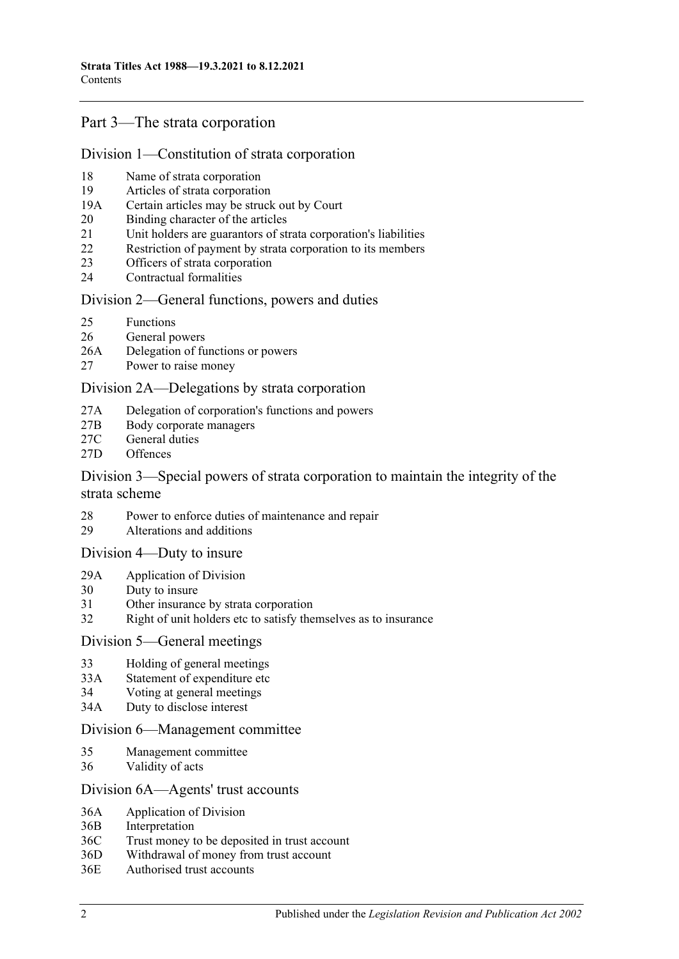### [Part 3—The strata corporation](#page-16-0)

#### [Division 1—Constitution of strata corporation](#page-16-1)

- 18 [Name of strata corporation](#page-16-2)
- 19 [Articles of strata corporation](#page-16-3)
- 19A [Certain articles may be struck out by Court](#page-18-0)
- 20 [Binding character of the articles](#page-18-1)
- 21 [Unit holders are guarantors of strata corporation's liabilities](#page-19-0)
- 22 [Restriction of payment by strata corporation to its members](#page-19-1)
- 23 [Officers of strata corporation](#page-19-2)
- 24 [Contractual formalities](#page-19-3)

#### [Division 2—General functions, powers and duties](#page-20-0)

- 25 [Functions](#page-20-1)
- 26 [General powers](#page-20-2)
- 26A [Delegation of functions or powers](#page-21-0)
- 27 [Power to raise money](#page-21-1)

#### [Division 2A—Delegations by strata corporation](#page-21-2)

- 27A [Delegation of corporation's functions and powers](#page-21-3)
- 27B [Body corporate managers](#page-22-0)
- 27C [General duties](#page-24-0)
- 27D [Offences](#page-24-1)

#### [Division 3—Special powers of strata corporation to maintain the integrity of the](#page-25-0)  [strata scheme](#page-25-0)

- 28 [Power to enforce duties of maintenance and repair](#page-25-1)
- 29 [Alterations and additions](#page-26-0)

#### [Division 4—Duty to insure](#page-27-0)

- 29A [Application of Division](#page-27-1)
- 30 [Duty to insure](#page-27-2)
- 31 [Other insurance by strata corporation](#page-27-3)
- 32 [Right of unit holders etc to satisfy themselves as to insurance](#page-28-0)

#### [Division 5—General meetings](#page-28-1)

- 33 [Holding of general meetings](#page-28-2)
- 33A [Statement of expenditure etc](#page-30-0)
- 34 [Voting at general meetings](#page-30-1)
- 34A [Duty to disclose interest](#page-32-0)

#### [Division 6—Management committee](#page-33-0)

- 35 [Management committee](#page-33-1)
- 36 [Validity of acts](#page-34-0)

#### [Division 6A—Agents' trust accounts](#page-34-1)

- 36A [Application of](#page-34-2) Division
- 36B [Interpretation](#page-34-3)
- 36C [Trust money to be deposited in trust account](#page-34-4)
- 36D [Withdrawal of money from trust account](#page-35-0)
- 36E [Authorised trust accounts](#page-35-1)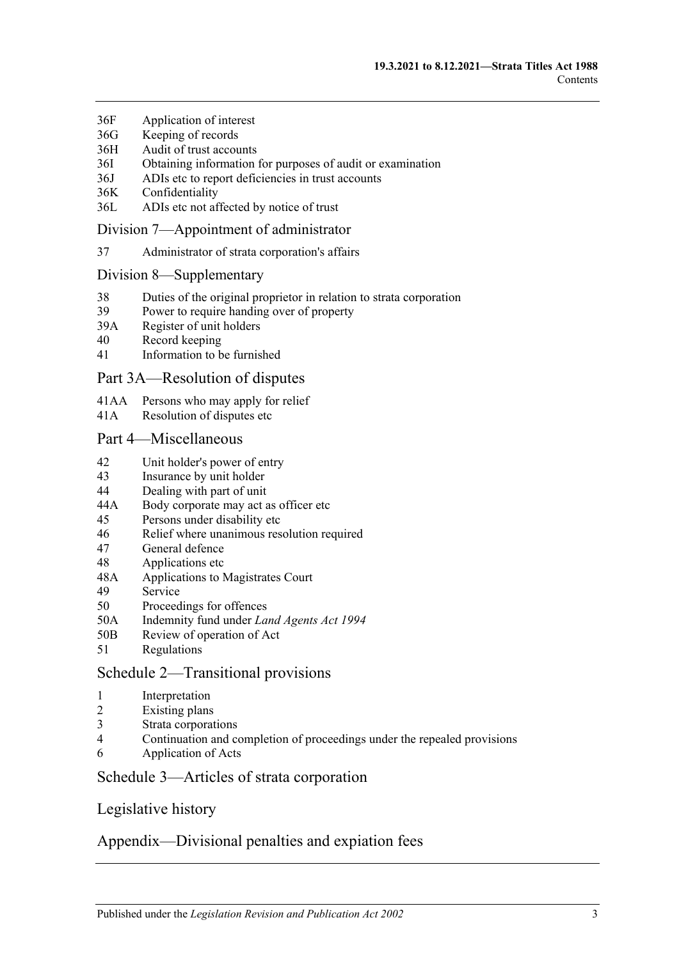- 36F [Application of interest](#page-35-2)
- 36G [Keeping of](#page-35-3) records
- 36H [Audit of trust accounts](#page-36-0)
- 36I [Obtaining information for purposes of audit or examination](#page-36-1)
- 36J [ADIs etc to report deficiencies in trust accounts](#page-37-0)
- 36K [Confidentiality](#page-37-1)
- 36L [ADIs etc not affected by notice of trust](#page-37-2)

#### [Division 7—Appointment of administrator](#page-37-3)

37 [Administrator of strata corporation's affairs](#page-37-4)

#### [Division 8—Supplementary](#page-38-0)

- 38 [Duties of the original proprietor in relation to strata corporation](#page-38-1)
- 39 [Power to require handing over of property](#page-38-2)
- 39A [Register of unit holders](#page-38-3)
- 40 [Record keeping](#page-39-0)
- 41 [Information to be furnished](#page-39-1)

#### [Part 3A—Resolution of disputes](#page-41-0)

- 41AA [Persons who may apply for relief](#page-41-1)
- 41A [Resolution of disputes etc](#page-41-2)

#### [Part 4—Miscellaneous](#page-43-0)

- 42 [Unit holder's power of entry](#page-43-1)
- 43 [Insurance by unit holder](#page-44-0)
- 44 [Dealing with part of unit](#page-45-0)
- 44A [Body corporate may act as officer etc](#page-45-1)
- 45 [Persons under disability etc](#page-46-0)
- 46 [Relief where unanimous resolution required](#page-46-1)
- 47 [General defence](#page-46-2)
- 48 [Applications etc](#page-46-3)
- 48A [Applications to Magistrates Court](#page-47-0)
- 49 [Service](#page-47-1)
- 50 [Proceedings for offences](#page-47-2)
- 50A [Indemnity fund under](#page-48-0) *Land Agents Act 1994*
- 50B [Review of operation of Act](#page-48-1)
- 51 [Regulations](#page-48-2)

### [Schedule 2—Transitional provisions](#page-48-3)

- 1 [Interpretation](#page-48-4)
- 2 [Existing plans](#page-48-5)
- 3 [Strata corporations](#page-49-0)
- 4 [Continuation and completion of proceedings under the repealed provisions](#page-49-1)
- 6 [Application of Acts](#page-49-2)

### [Schedule 3—Articles of strata corporation](#page-49-3)

### [Legislative history](#page-52-0)

### [Appendix—Divisional penalties and expiation fees](#page-61-0)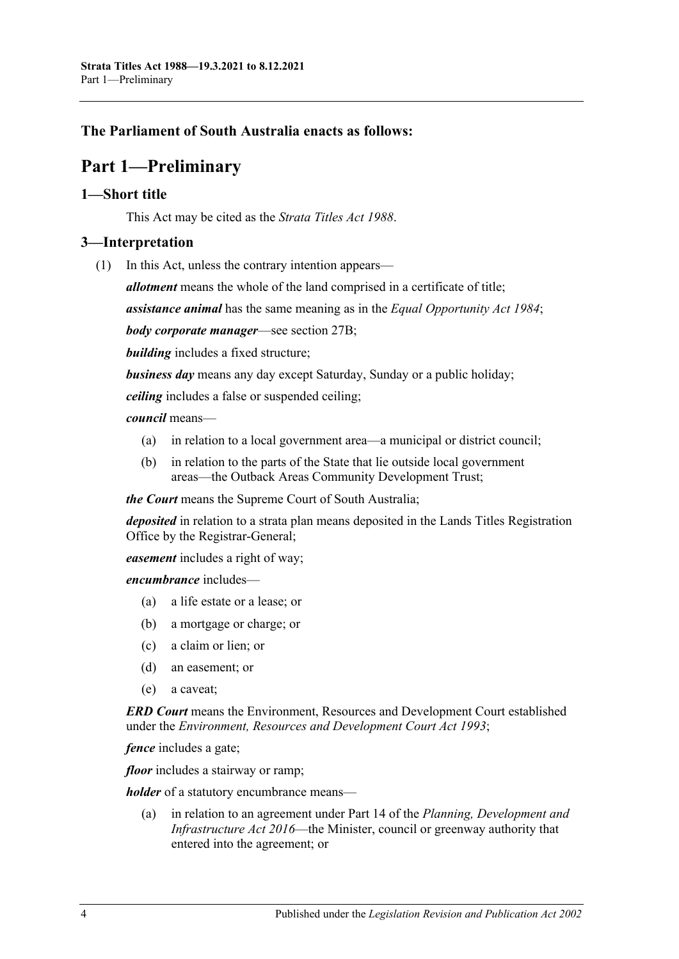### <span id="page-3-0"></span>**The Parliament of South Australia enacts as follows:**

## **Part 1—Preliminary**

#### <span id="page-3-1"></span>**1—Short title**

This Act may be cited as the *Strata Titles Act 1988*.

### <span id="page-3-2"></span>**3—Interpretation**

(1) In this Act, unless the contrary intention appears—

*allotment* means the whole of the land comprised in a certificate of title;

*assistance animal* has the same meaning as in the *[Equal Opportunity Act](http://www.legislation.sa.gov.au/index.aspx?action=legref&type=act&legtitle=Equal%20Opportunity%20Act%201984) 1984*;

*body corporate manager*—see [section](#page-22-0) 27B;

*building* includes a fixed structure;

*business day* means any day except Saturday, Sunday or a public holiday;

*ceiling* includes a false or suspended ceiling;

#### *council* means—

- (a) in relation to a local government area—a municipal or district council;
- (b) in relation to the parts of the State that lie outside local government areas—the Outback Areas Community Development Trust;

*the Court* means the Supreme Court of South Australia;

*deposited* in relation to a strata plan means deposited in the Lands Titles Registration Office by the Registrar-General;

*easement* includes a right of way;

*encumbrance* includes—

- (a) a life estate or a lease; or
- (b) a mortgage or charge; or
- (c) a claim or lien; or
- (d) an easement; or
- (e) a caveat;

*ERD Court* means the Environment, Resources and Development Court established under the *[Environment, Resources and Development Court Act](http://www.legislation.sa.gov.au/index.aspx?action=legref&type=act&legtitle=Environment%20Resources%20and%20Development%20Court%20Act%201993) 1993*;

*fence* includes a gate;

*floor* includes a stairway or ramp;

*holder* of a statutory encumbrance means—

(a) in relation to an agreement under Part 14 of the *[Planning, Development and](http://www.legislation.sa.gov.au/index.aspx?action=legref&type=act&legtitle=Planning%20Development%20and%20Infrastructure%20Act%202016)  [Infrastructure Act](http://www.legislation.sa.gov.au/index.aspx?action=legref&type=act&legtitle=Planning%20Development%20and%20Infrastructure%20Act%202016) 2016*—the Minister, council or greenway authority that entered into the agreement; or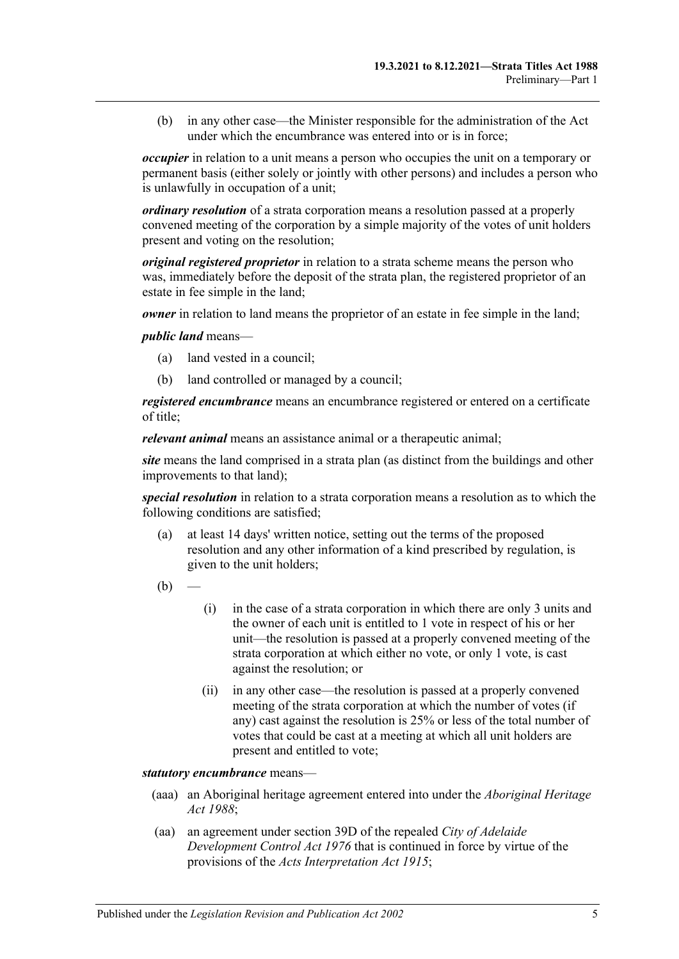(b) in any other case—the Minister responsible for the administration of the Act under which the encumbrance was entered into or is in force;

*occupier* in relation to a unit means a person who occupies the unit on a temporary or permanent basis (either solely or jointly with other persons) and includes a person who is unlawfully in occupation of a unit;

*ordinary resolution* of a strata corporation means a resolution passed at a properly convened meeting of the corporation by a simple majority of the votes of unit holders present and voting on the resolution;

*original registered proprietor* in relation to a strata scheme means the person who was, immediately before the deposit of the strata plan, the registered proprietor of an estate in fee simple in the land;

*owner* in relation to land means the proprietor of an estate in fee simple in the land;

*public land* means—

- (a) land vested in a council;
- (b) land controlled or managed by a council;

*registered encumbrance* means an encumbrance registered or entered on a certificate of title;

*relevant animal* means an assistance animal or a therapeutic animal;

*site* means the land comprised in a strata plan (as distinct from the buildings and other improvements to that land);

*special resolution* in relation to a strata corporation means a resolution as to which the following conditions are satisfied;

- (a) at least 14 days' written notice, setting out the terms of the proposed resolution and any other information of a kind prescribed by regulation, is given to the unit holders;
- $(b)$
- (i) in the case of a strata corporation in which there are only 3 units and the owner of each unit is entitled to 1 vote in respect of his or her unit—the resolution is passed at a properly convened meeting of the strata corporation at which either no vote, or only 1 vote, is cast against the resolution; or
- (ii) in any other case—the resolution is passed at a properly convened meeting of the strata corporation at which the number of votes (if any) cast against the resolution is 25% or less of the total number of votes that could be cast at a meeting at which all unit holders are present and entitled to vote;

*statutory encumbrance* means—

- (aaa) an Aboriginal heritage agreement entered into under the *[Aboriginal Heritage](http://www.legislation.sa.gov.au/index.aspx?action=legref&type=act&legtitle=Aboriginal%20Heritage%20Act%201988)  Act [1988](http://www.legislation.sa.gov.au/index.aspx?action=legref&type=act&legtitle=Aboriginal%20Heritage%20Act%201988)*;
- (aa) an agreement under section 39D of the repealed *[City of Adelaide](http://www.legislation.sa.gov.au/index.aspx?action=legref&type=act&legtitle=City%20of%20Adelaide%20Development%20Control%20Act%201976)  [Development Control Act](http://www.legislation.sa.gov.au/index.aspx?action=legref&type=act&legtitle=City%20of%20Adelaide%20Development%20Control%20Act%201976) 1976* that is continued in force by virtue of the provisions of the *[Acts Interpretation Act](http://www.legislation.sa.gov.au/index.aspx?action=legref&type=act&legtitle=Acts%20Interpretation%20Act%201915) 1915*;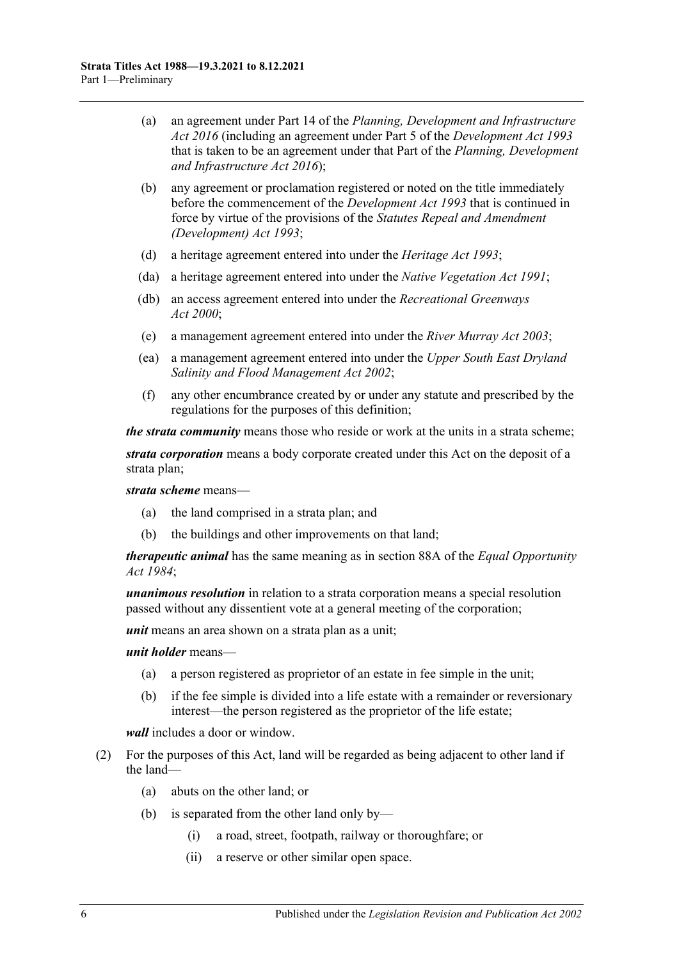- (a) an agreement under Part 14 of the *[Planning, Development and Infrastructure](http://www.legislation.sa.gov.au/index.aspx?action=legref&type=act&legtitle=Planning%20Development%20and%20Infrastructure%20Act%202016)  Act [2016](http://www.legislation.sa.gov.au/index.aspx?action=legref&type=act&legtitle=Planning%20Development%20and%20Infrastructure%20Act%202016)* (including an agreement under Part 5 of the *[Development Act](http://www.legislation.sa.gov.au/index.aspx?action=legref&type=act&legtitle=Development%20Act%201993) 1993* that is taken to be an agreement under that Part of the *[Planning, Development](http://www.legislation.sa.gov.au/index.aspx?action=legref&type=act&legtitle=Planning%20Development%20and%20Infrastructure%20Act%202016)  [and Infrastructure Act](http://www.legislation.sa.gov.au/index.aspx?action=legref&type=act&legtitle=Planning%20Development%20and%20Infrastructure%20Act%202016) 2016*);
- (b) any agreement or proclamation registered or noted on the title immediately before the commencement of the *[Development Act](http://www.legislation.sa.gov.au/index.aspx?action=legref&type=act&legtitle=Development%20Act%201993) 1993* that is continued in force by virtue of the provisions of the *[Statutes Repeal and Amendment](http://www.legislation.sa.gov.au/index.aspx?action=legref&type=act&legtitle=Statutes%20Repeal%20and%20Amendment%20(Development)%20Act%201993)  [\(Development\) Act](http://www.legislation.sa.gov.au/index.aspx?action=legref&type=act&legtitle=Statutes%20Repeal%20and%20Amendment%20(Development)%20Act%201993) 1993*;
- (d) a heritage agreement entered into under the *[Heritage Act](http://www.legislation.sa.gov.au/index.aspx?action=legref&type=act&legtitle=Heritage%20Act%201993) 1993*;
- (da) a heritage agreement entered into under the *[Native Vegetation Act](http://www.legislation.sa.gov.au/index.aspx?action=legref&type=act&legtitle=Native%20Vegetation%20Act%201991) 1991*;
- (db) an access agreement entered into under the *[Recreational Greenways](http://www.legislation.sa.gov.au/index.aspx?action=legref&type=act&legtitle=Recreational%20Greenways%20Act%202000)  Act [2000](http://www.legislation.sa.gov.au/index.aspx?action=legref&type=act&legtitle=Recreational%20Greenways%20Act%202000)*;
- (e) a management agreement entered into under the *[River Murray Act](http://www.legislation.sa.gov.au/index.aspx?action=legref&type=act&legtitle=River%20Murray%20Act%202003) 2003*;
- (ea) a management agreement entered into under the *[Upper South East Dryland](http://www.legislation.sa.gov.au/index.aspx?action=legref&type=act&legtitle=Upper%20South%20East%20Dryland%20Salinity%20and%20Flood%20Management%20Act%202002)  [Salinity and Flood Management Act](http://www.legislation.sa.gov.au/index.aspx?action=legref&type=act&legtitle=Upper%20South%20East%20Dryland%20Salinity%20and%20Flood%20Management%20Act%202002) 2002*;
- (f) any other encumbrance created by or under any statute and prescribed by the regulations for the purposes of this definition;

*the strata community* means those who reside or work at the units in a strata scheme;

*strata corporation* means a body corporate created under this Act on the deposit of a strata plan;

*strata scheme* means—

- (a) the land comprised in a strata plan; and
- (b) the buildings and other improvements on that land;

*therapeutic animal* has the same meaning as in section 88A of the *[Equal Opportunity](http://www.legislation.sa.gov.au/index.aspx?action=legref&type=act&legtitle=Equal%20Opportunity%20Act%201984)  Act [1984](http://www.legislation.sa.gov.au/index.aspx?action=legref&type=act&legtitle=Equal%20Opportunity%20Act%201984)*;

*unanimous resolution* in relation to a strata corporation means a special resolution passed without any dissentient vote at a general meeting of the corporation;

*unit* means an area shown on a strata plan as a unit;

*unit holder* means—

- (a) a person registered as proprietor of an estate in fee simple in the unit;
- (b) if the fee simple is divided into a life estate with a remainder or reversionary interest—the person registered as the proprietor of the life estate;

*wall* includes a door or window.

- (2) For the purposes of this Act, land will be regarded as being adjacent to other land if the land—
	- (a) abuts on the other land; or
	- (b) is separated from the other land only by—
		- (i) a road, street, footpath, railway or thoroughfare; or
		- (ii) a reserve or other similar open space.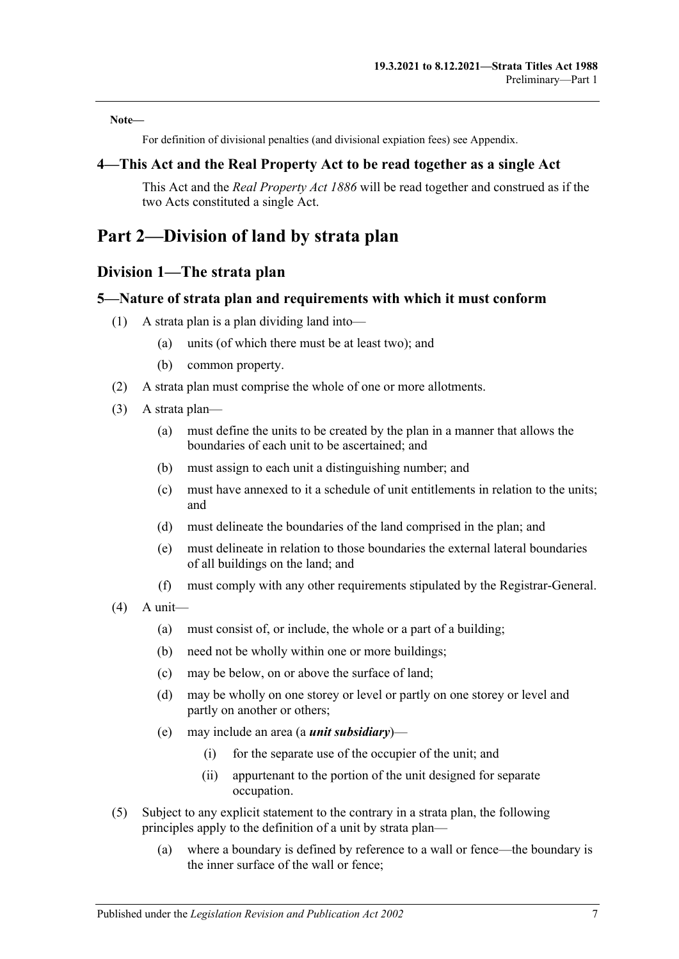**Note—**

For definition of divisional penalties (and divisional expiation fees) see Appendix.

### <span id="page-6-0"></span>**4—This Act and the Real Property Act to be read together as a single Act**

This Act and the *[Real Property Act](http://www.legislation.sa.gov.au/index.aspx?action=legref&type=act&legtitle=Real%20Property%20Act%201886) 1886* will be read together and construed as if the two Acts constituted a single Act.

## <span id="page-6-2"></span><span id="page-6-1"></span>**Part 2—Division of land by strata plan**

### **Division 1—The strata plan**

#### <span id="page-6-3"></span>**5—Nature of strata plan and requirements with which it must conform**

- (1) A strata plan is a plan dividing land into—
	- (a) units (of which there must be at least two); and
	- (b) common property.
- (2) A strata plan must comprise the whole of one or more allotments.
- (3) A strata plan—
	- (a) must define the units to be created by the plan in a manner that allows the boundaries of each unit to be ascertained; and
	- (b) must assign to each unit a distinguishing number; and
	- (c) must have annexed to it a schedule of unit entitlements in relation to the units; and
	- (d) must delineate the boundaries of the land comprised in the plan; and
	- (e) must delineate in relation to those boundaries the external lateral boundaries of all buildings on the land; and
	- (f) must comply with any other requirements stipulated by the Registrar-General.
- $(4)$  A unit—
	- (a) must consist of, or include, the whole or a part of a building;
	- (b) need not be wholly within one or more buildings;
	- (c) may be below, on or above the surface of land;
	- (d) may be wholly on one storey or level or partly on one storey or level and partly on another or others;
	- (e) may include an area (a *unit subsidiary*)—
		- (i) for the separate use of the occupier of the unit; and
		- (ii) appurtenant to the portion of the unit designed for separate occupation.
- (5) Subject to any explicit statement to the contrary in a strata plan, the following principles apply to the definition of a unit by strata plan—
	- (a) where a boundary is defined by reference to a wall or fence—the boundary is the inner surface of the wall or fence;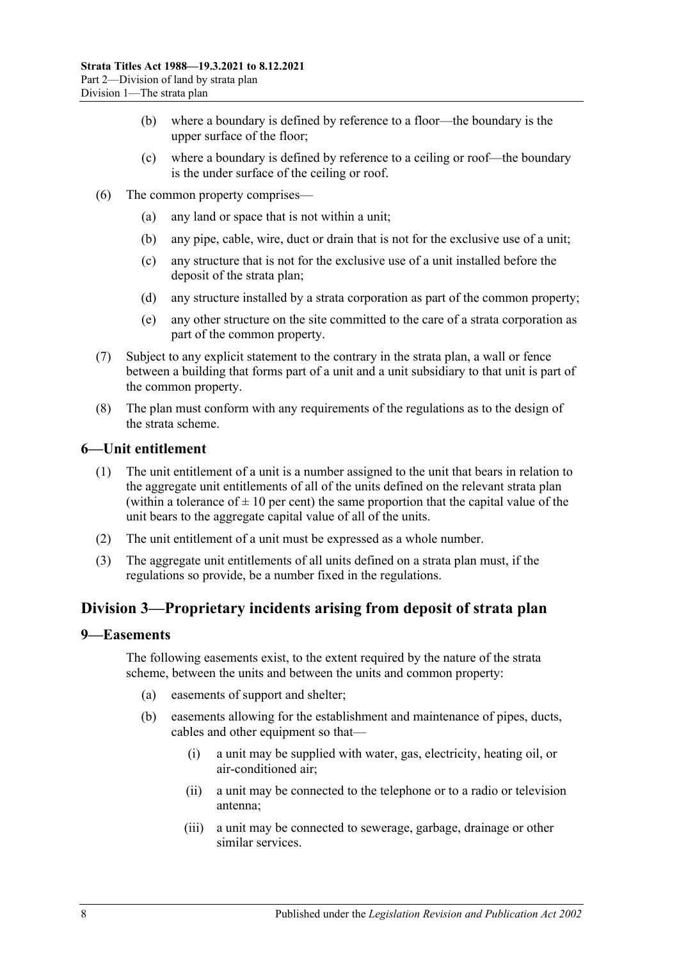- (b) where a boundary is defined by reference to a floor—the boundary is the upper surface of the floor;
- (c) where a boundary is defined by reference to a ceiling or roof—the boundary is the under surface of the ceiling or roof.
- (6) The common property comprises—
	- (a) any land or space that is not within a unit;
	- (b) any pipe, cable, wire, duct or drain that is not for the exclusive use of a unit;
	- (c) any structure that is not for the exclusive use of a unit installed before the deposit of the strata plan;
	- (d) any structure installed by a strata corporation as part of the common property;
	- (e) any other structure on the site committed to the care of a strata corporation as part of the common property.
- (7) Subject to any explicit statement to the contrary in the strata plan, a wall or fence between a building that forms part of a unit and a unit subsidiary to that unit is part of the common property.
- (8) The plan must conform with any requirements of the regulations as to the design of the strata scheme.

#### <span id="page-7-0"></span>**6—Unit entitlement**

- (1) The unit entitlement of a unit is a number assigned to the unit that bears in relation to the aggregate unit entitlements of all of the units defined on the relevant strata plan (within a tolerance of  $\pm 10$  per cent) the same proportion that the capital value of the unit bears to the aggregate capital value of all of the units.
- (2) The unit entitlement of a unit must be expressed as a whole number.
- (3) The aggregate unit entitlements of all units defined on a strata plan must, if the regulations so provide, be a number fixed in the regulations.

### <span id="page-7-1"></span>**Division 3—Proprietary incidents arising from deposit of strata plan**

#### <span id="page-7-2"></span>**9—Easements**

The following easements exist, to the extent required by the nature of the strata scheme, between the units and between the units and common property:

- (a) easements of support and shelter;
- (b) easements allowing for the establishment and maintenance of pipes, ducts, cables and other equipment so that—
	- (i) a unit may be supplied with water, gas, electricity, heating oil, or air-conditioned air;
	- (ii) a unit may be connected to the telephone or to a radio or television antenna;
	- (iii) a unit may be connected to sewerage, garbage, drainage or other similar services.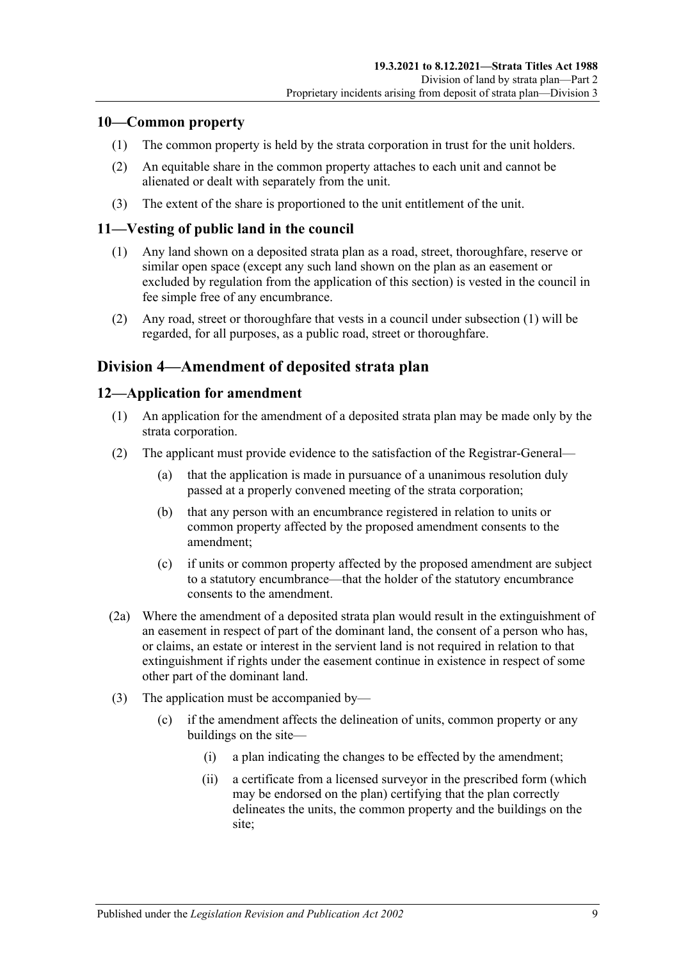### <span id="page-8-0"></span>**10—Common property**

- (1) The common property is held by the strata corporation in trust for the unit holders.
- (2) An equitable share in the common property attaches to each unit and cannot be alienated or dealt with separately from the unit.
- (3) The extent of the share is proportioned to the unit entitlement of the unit.

### <span id="page-8-4"></span><span id="page-8-1"></span>**11—Vesting of public land in the council**

- (1) Any land shown on a deposited strata plan as a road, street, thoroughfare, reserve or similar open space (except any such land shown on the plan as an easement or excluded by regulation from the application of this section) is vested in the council in fee simple free of any encumbrance.
- (2) Any road, street or thoroughfare that vests in a council under [subsection](#page-8-4) (1) will be regarded, for all purposes, as a public road, street or thoroughfare.

### <span id="page-8-2"></span>**Division 4—Amendment of deposited strata plan**

### <span id="page-8-3"></span>**12—Application for amendment**

- (1) An application for the amendment of a deposited strata plan may be made only by the strata corporation.
- (2) The applicant must provide evidence to the satisfaction of the Registrar-General—
	- (a) that the application is made in pursuance of a unanimous resolution duly passed at a properly convened meeting of the strata corporation;
	- (b) that any person with an encumbrance registered in relation to units or common property affected by the proposed amendment consents to the amendment;
	- (c) if units or common property affected by the proposed amendment are subject to a statutory encumbrance—that the holder of the statutory encumbrance consents to the amendment.
- (2a) Where the amendment of a deposited strata plan would result in the extinguishment of an easement in respect of part of the dominant land, the consent of a person who has, or claims, an estate or interest in the servient land is not required in relation to that extinguishment if rights under the easement continue in existence in respect of some other part of the dominant land.
- (3) The application must be accompanied by—
	- (c) if the amendment affects the delineation of units, common property or any buildings on the site—
		- (i) a plan indicating the changes to be effected by the amendment;
		- (ii) a certificate from a licensed surveyor in the prescribed form (which may be endorsed on the plan) certifying that the plan correctly delineates the units, the common property and the buildings on the site;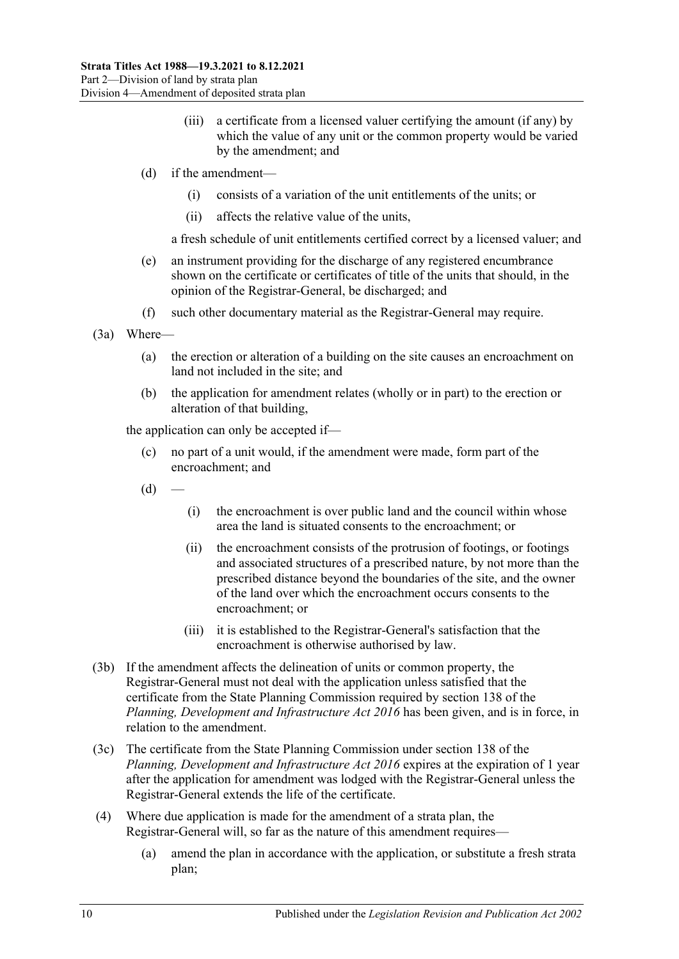- (iii) a certificate from a licensed valuer certifying the amount (if any) by which the value of any unit or the common property would be varied by the amendment; and
- (d) if the amendment—
	- (i) consists of a variation of the unit entitlements of the units; or
	- (ii) affects the relative value of the units,

a fresh schedule of unit entitlements certified correct by a licensed valuer; and

- (e) an instrument providing for the discharge of any registered encumbrance shown on the certificate or certificates of title of the units that should, in the opinion of the Registrar-General, be discharged; and
- (f) such other documentary material as the Registrar-General may require.
- (3a) Where—
	- (a) the erection or alteration of a building on the site causes an encroachment on land not included in the site; and
	- (b) the application for amendment relates (wholly or in part) to the erection or alteration of that building,

the application can only be accepted if—

- (c) no part of a unit would, if the amendment were made, form part of the encroachment; and
- $(d)$ 
	- (i) the encroachment is over public land and the council within whose area the land is situated consents to the encroachment; or
	- (ii) the encroachment consists of the protrusion of footings, or footings and associated structures of a prescribed nature, by not more than the prescribed distance beyond the boundaries of the site, and the owner of the land over which the encroachment occurs consents to the encroachment; or
	- (iii) it is established to the Registrar-General's satisfaction that the encroachment is otherwise authorised by law.
- (3b) If the amendment affects the delineation of units or common property, the Registrar-General must not deal with the application unless satisfied that the certificate from the State Planning Commission required by section 138 of the *[Planning, Development and Infrastructure Act](http://www.legislation.sa.gov.au/index.aspx?action=legref&type=act&legtitle=Planning%20Development%20and%20Infrastructure%20Act%202016) 2016* has been given, and is in force, in relation to the amendment.
- (3c) The certificate from the State Planning Commission under section 138 of the *[Planning, Development and Infrastructure Act](http://www.legislation.sa.gov.au/index.aspx?action=legref&type=act&legtitle=Planning%20Development%20and%20Infrastructure%20Act%202016) 2016* expires at the expiration of 1 year after the application for amendment was lodged with the Registrar-General unless the Registrar-General extends the life of the certificate.
- (4) Where due application is made for the amendment of a strata plan, the Registrar-General will, so far as the nature of this amendment requires—
	- (a) amend the plan in accordance with the application, or substitute a fresh strata plan;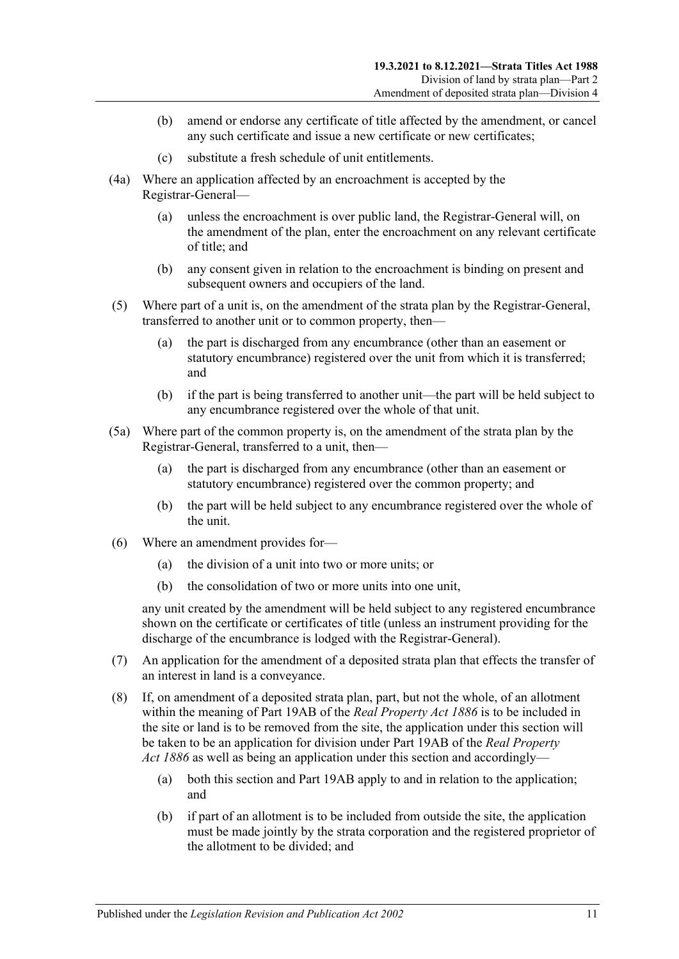- (b) amend or endorse any certificate of title affected by the amendment, or cancel any such certificate and issue a new certificate or new certificates;
- (c) substitute a fresh schedule of unit entitlements.
- (4a) Where an application affected by an encroachment is accepted by the Registrar-General—
	- (a) unless the encroachment is over public land, the Registrar-General will, on the amendment of the plan, enter the encroachment on any relevant certificate of title; and
	- (b) any consent given in relation to the encroachment is binding on present and subsequent owners and occupiers of the land.
- (5) Where part of a unit is, on the amendment of the strata plan by the Registrar-General, transferred to another unit or to common property, then—
	- (a) the part is discharged from any encumbrance (other than an easement or statutory encumbrance) registered over the unit from which it is transferred; and
	- (b) if the part is being transferred to another unit—the part will be held subject to any encumbrance registered over the whole of that unit.
- (5a) Where part of the common property is, on the amendment of the strata plan by the Registrar-General, transferred to a unit, then—
	- (a) the part is discharged from any encumbrance (other than an easement or statutory encumbrance) registered over the common property; and
	- (b) the part will be held subject to any encumbrance registered over the whole of the unit.
- (6) Where an amendment provides for—
	- (a) the division of a unit into two or more units; or
	- (b) the consolidation of two or more units into one unit,

any unit created by the amendment will be held subject to any registered encumbrance shown on the certificate or certificates of title (unless an instrument providing for the discharge of the encumbrance is lodged with the Registrar-General).

- (7) An application for the amendment of a deposited strata plan that effects the transfer of an interest in land is a conveyance.
- (8) If, on amendment of a deposited strata plan, part, but not the whole, of an allotment within the meaning of Part 19AB of the *[Real Property Act](http://www.legislation.sa.gov.au/index.aspx?action=legref&type=act&legtitle=Real%20Property%20Act%201886) 1886* is to be included in the site or land is to be removed from the site, the application under this section will be taken to be an application for division under Part 19AB of the *[Real Property](http://www.legislation.sa.gov.au/index.aspx?action=legref&type=act&legtitle=Real%20Property%20Act%201886)  Act [1886](http://www.legislation.sa.gov.au/index.aspx?action=legref&type=act&legtitle=Real%20Property%20Act%201886)* as well as being an application under this section and accordingly—
	- (a) both this section and Part 19AB apply to and in relation to the application; and
	- (b) if part of an allotment is to be included from outside the site, the application must be made jointly by the strata corporation and the registered proprietor of the allotment to be divided; and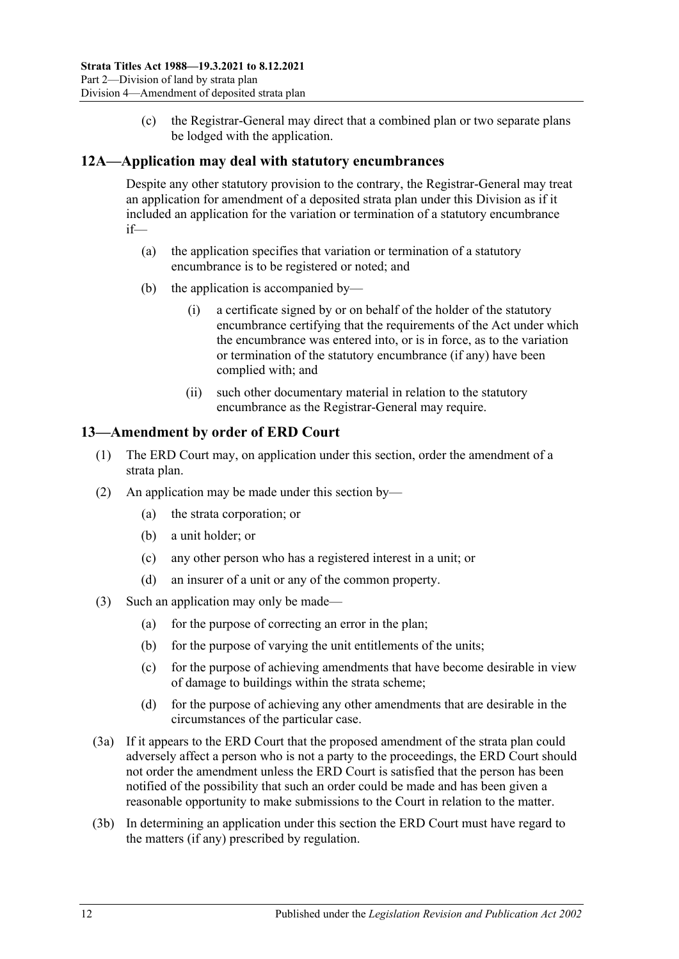(c) the Registrar-General may direct that a combined plan or two separate plans be lodged with the application.

### <span id="page-11-0"></span>**12A—Application may deal with statutory encumbrances**

Despite any other statutory provision to the contrary, the Registrar-General may treat an application for amendment of a deposited strata plan under this Division as if it included an application for the variation or termination of a statutory encumbrance if—

- (a) the application specifies that variation or termination of a statutory encumbrance is to be registered or noted; and
- (b) the application is accompanied by—
	- (i) a certificate signed by or on behalf of the holder of the statutory encumbrance certifying that the requirements of the Act under which the encumbrance was entered into, or is in force, as to the variation or termination of the statutory encumbrance (if any) have been complied with; and
	- (ii) such other documentary material in relation to the statutory encumbrance as the Registrar-General may require.

### <span id="page-11-1"></span>**13—Amendment by order of ERD Court**

- (1) The ERD Court may, on application under this section, order the amendment of a strata plan.
- (2) An application may be made under this section by—
	- (a) the strata corporation; or
	- (b) a unit holder; or
	- (c) any other person who has a registered interest in a unit; or
	- (d) an insurer of a unit or any of the common property.
- (3) Such an application may only be made—
	- (a) for the purpose of correcting an error in the plan;
	- (b) for the purpose of varying the unit entitlements of the units;
	- (c) for the purpose of achieving amendments that have become desirable in view of damage to buildings within the strata scheme;
	- (d) for the purpose of achieving any other amendments that are desirable in the circumstances of the particular case.
- (3a) If it appears to the ERD Court that the proposed amendment of the strata plan could adversely affect a person who is not a party to the proceedings, the ERD Court should not order the amendment unless the ERD Court is satisfied that the person has been notified of the possibility that such an order could be made and has been given a reasonable opportunity to make submissions to the Court in relation to the matter.
- (3b) In determining an application under this section the ERD Court must have regard to the matters (if any) prescribed by regulation.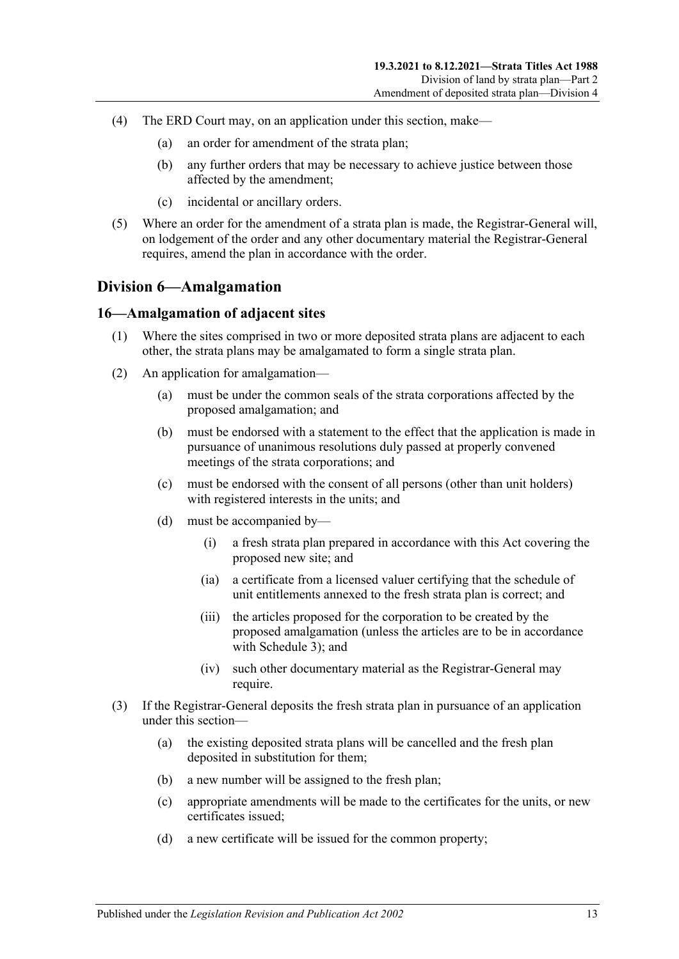- (4) The ERD Court may, on an application under this section, make—
	- (a) an order for amendment of the strata plan;
	- (b) any further orders that may be necessary to achieve justice between those affected by the amendment;
	- (c) incidental or ancillary orders.
- (5) Where an order for the amendment of a strata plan is made, the Registrar-General will, on lodgement of the order and any other documentary material the Registrar-General requires, amend the plan in accordance with the order.

### <span id="page-12-0"></span>**Division 6—Amalgamation**

#### <span id="page-12-1"></span>**16—Amalgamation of adjacent sites**

- (1) Where the sites comprised in two or more deposited strata plans are adjacent to each other, the strata plans may be amalgamated to form a single strata plan.
- (2) An application for amalgamation—
	- (a) must be under the common seals of the strata corporations affected by the proposed amalgamation; and
	- (b) must be endorsed with a statement to the effect that the application is made in pursuance of unanimous resolutions duly passed at properly convened meetings of the strata corporations; and
	- (c) must be endorsed with the consent of all persons (other than unit holders) with registered interests in the units; and
	- (d) must be accompanied by—
		- (i) a fresh strata plan prepared in accordance with this Act covering the proposed new site; and
		- (ia) a certificate from a licensed valuer certifying that the schedule of unit entitlements annexed to the fresh strata plan is correct; and
		- (iii) the articles proposed for the corporation to be created by the proposed amalgamation (unless the articles are to be in accordance with [Schedule 3\)](#page-49-3); and
		- (iv) such other documentary material as the Registrar-General may require.
- (3) If the Registrar-General deposits the fresh strata plan in pursuance of an application under this section—
	- (a) the existing deposited strata plans will be cancelled and the fresh plan deposited in substitution for them;
	- (b) a new number will be assigned to the fresh plan;
	- (c) appropriate amendments will be made to the certificates for the units, or new certificates issued;
	- (d) a new certificate will be issued for the common property;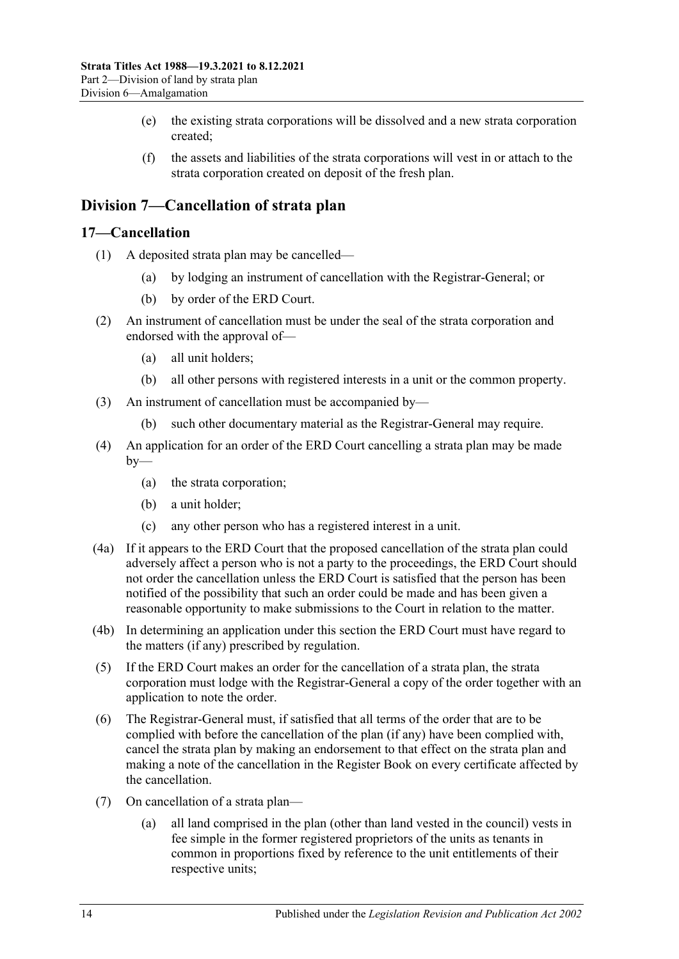- (e) the existing strata corporations will be dissolved and a new strata corporation created;
- (f) the assets and liabilities of the strata corporations will vest in or attach to the strata corporation created on deposit of the fresh plan.

### <span id="page-13-0"></span>**Division 7—Cancellation of strata plan**

#### <span id="page-13-1"></span>**17—Cancellation**

- (1) A deposited strata plan may be cancelled—
	- (a) by lodging an instrument of cancellation with the Registrar-General; or
	- (b) by order of the ERD Court.
- (2) An instrument of cancellation must be under the seal of the strata corporation and endorsed with the approval of—
	- (a) all unit holders;
	- (b) all other persons with registered interests in a unit or the common property.
- (3) An instrument of cancellation must be accompanied by—
	- (b) such other documentary material as the Registrar-General may require.
- (4) An application for an order of the ERD Court cancelling a strata plan may be made  $by-$ 
	- (a) the strata corporation;
	- (b) a unit holder;
	- (c) any other person who has a registered interest in a unit.
- (4a) If it appears to the ERD Court that the proposed cancellation of the strata plan could adversely affect a person who is not a party to the proceedings, the ERD Court should not order the cancellation unless the ERD Court is satisfied that the person has been notified of the possibility that such an order could be made and has been given a reasonable opportunity to make submissions to the Court in relation to the matter.
- (4b) In determining an application under this section the ERD Court must have regard to the matters (if any) prescribed by regulation.
- (5) If the ERD Court makes an order for the cancellation of a strata plan, the strata corporation must lodge with the Registrar-General a copy of the order together with an application to note the order.
- (6) The Registrar-General must, if satisfied that all terms of the order that are to be complied with before the cancellation of the plan (if any) have been complied with, cancel the strata plan by making an endorsement to that effect on the strata plan and making a note of the cancellation in the Register Book on every certificate affected by the cancellation.
- <span id="page-13-3"></span><span id="page-13-2"></span>(7) On cancellation of a strata plan—
	- (a) all land comprised in the plan (other than land vested in the council) vests in fee simple in the former registered proprietors of the units as tenants in common in proportions fixed by reference to the unit entitlements of their respective units;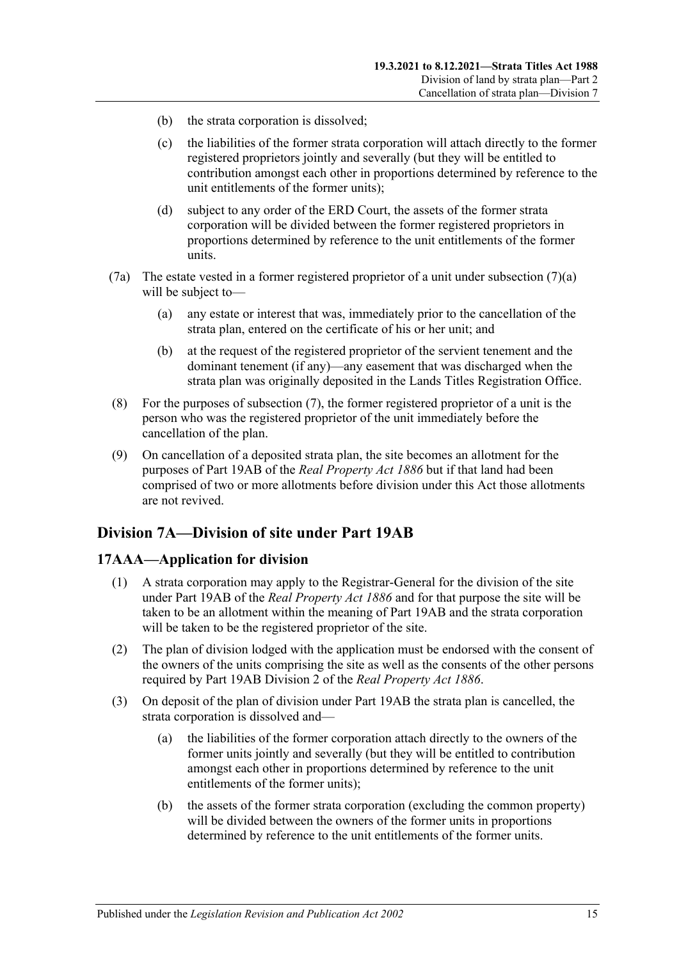- (b) the strata corporation is dissolved;
- (c) the liabilities of the former strata corporation will attach directly to the former registered proprietors jointly and severally (but they will be entitled to contribution amongst each other in proportions determined by reference to the unit entitlements of the former units);
- (d) subject to any order of the ERD Court, the assets of the former strata corporation will be divided between the former registered proprietors in proportions determined by reference to the unit entitlements of the former units.
- (7a) The estate vested in a former registered proprietor of a unit under [subsection](#page-13-2)  $(7)(a)$ will be subject to—
	- (a) any estate or interest that was, immediately prior to the cancellation of the strata plan, entered on the certificate of his or her unit; and
	- (b) at the request of the registered proprietor of the servient tenement and the dominant tenement (if any)—any easement that was discharged when the strata plan was originally deposited in the Lands Titles Registration Office.
- (8) For the purposes of [subsection](#page-13-3) (7), the former registered proprietor of a unit is the person who was the registered proprietor of the unit immediately before the cancellation of the plan.
- (9) On cancellation of a deposited strata plan, the site becomes an allotment for the purposes of Part 19AB of the *[Real Property Act](http://www.legislation.sa.gov.au/index.aspx?action=legref&type=act&legtitle=Real%20Property%20Act%201886) 1886* but if that land had been comprised of two or more allotments before division under this Act those allotments are not revived.

### <span id="page-14-0"></span>**Division 7A—Division of site under Part 19AB**

### <span id="page-14-1"></span>**17AAA—Application for division**

- (1) A strata corporation may apply to the Registrar-General for the division of the site under Part 19AB of the *[Real Property Act](http://www.legislation.sa.gov.au/index.aspx?action=legref&type=act&legtitle=Real%20Property%20Act%201886) 1886* and for that purpose the site will be taken to be an allotment within the meaning of Part 19AB and the strata corporation will be taken to be the registered proprietor of the site.
- (2) The plan of division lodged with the application must be endorsed with the consent of the owners of the units comprising the site as well as the consents of the other persons required by Part 19AB Division 2 of the *[Real Property Act](http://www.legislation.sa.gov.au/index.aspx?action=legref&type=act&legtitle=Real%20Property%20Act%201886) 1886*.
- (3) On deposit of the plan of division under Part 19AB the strata plan is cancelled, the strata corporation is dissolved and—
	- (a) the liabilities of the former corporation attach directly to the owners of the former units jointly and severally (but they will be entitled to contribution amongst each other in proportions determined by reference to the unit entitlements of the former units);
	- (b) the assets of the former strata corporation (excluding the common property) will be divided between the owners of the former units in proportions determined by reference to the unit entitlements of the former units.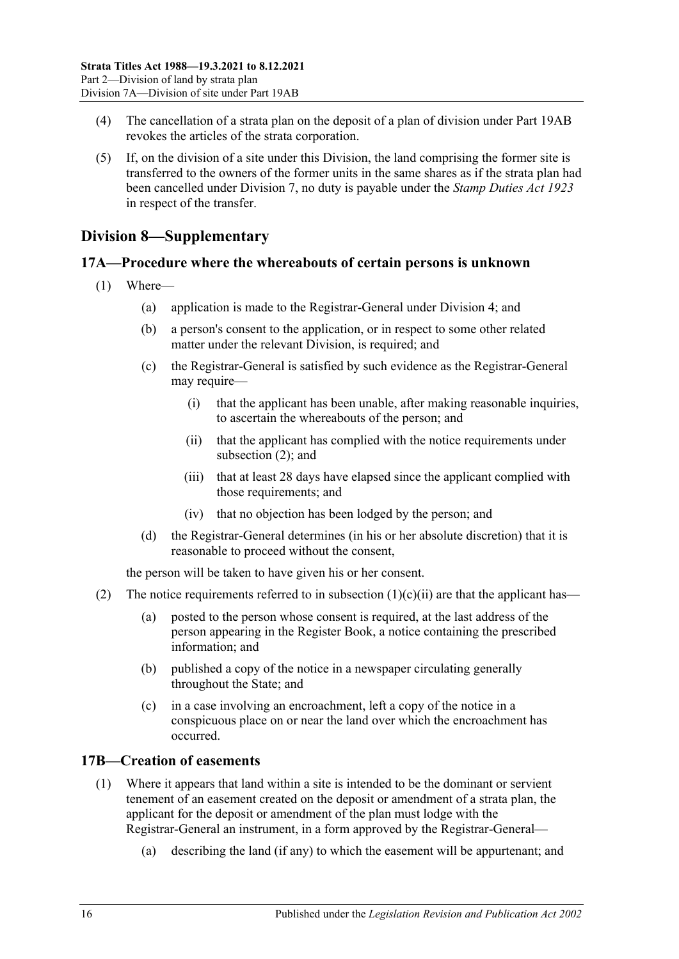- (4) The cancellation of a strata plan on the deposit of a plan of division under Part 19AB revokes the articles of the strata corporation.
- (5) If, on the division of a site under this Division, the land comprising the former site is transferred to the owners of the former units in the same shares as if the strata plan had been cancelled under [Division 7,](#page-13-0) no duty is payable under the *[Stamp Duties Act](http://www.legislation.sa.gov.au/index.aspx?action=legref&type=act&legtitle=Stamp%20Duties%20Act%201923) 1923* in respect of the transfer.

### <span id="page-15-0"></span>**Division 8—Supplementary**

### <span id="page-15-1"></span>**17A—Procedure where the whereabouts of certain persons is unknown**

- <span id="page-15-4"></span>(1) Where—
	- (a) application is made to the Registrar-General under [Division 4;](#page-8-2) and
	- (b) a person's consent to the application, or in respect to some other related matter under the relevant Division, is required; and
	- (c) the Registrar-General is satisfied by such evidence as the Registrar-General may require—
		- (i) that the applicant has been unable, after making reasonable inquiries, to ascertain the whereabouts of the person; and
		- (ii) that the applicant has complied with the notice requirements under [subsection](#page-15-3) (2); and
		- (iii) that at least 28 days have elapsed since the applicant complied with those requirements; and
		- (iv) that no objection has been lodged by the person; and
	- (d) the Registrar-General determines (in his or her absolute discretion) that it is reasonable to proceed without the consent,

the person will be taken to have given his or her consent.

- <span id="page-15-3"></span>(2) The notice requirements referred to in [subsection](#page-15-4)  $(1)(c)(ii)$  are that the applicant has—
	- (a) posted to the person whose consent is required, at the last address of the person appearing in the Register Book, a notice containing the prescribed information; and
	- (b) published a copy of the notice in a newspaper circulating generally throughout the State; and
	- (c) in a case involving an encroachment, left a copy of the notice in a conspicuous place on or near the land over which the encroachment has occurred.

### <span id="page-15-5"></span><span id="page-15-2"></span>**17B—Creation of easements**

- (1) Where it appears that land within a site is intended to be the dominant or servient tenement of an easement created on the deposit or amendment of a strata plan, the applicant for the deposit or amendment of the plan must lodge with the Registrar-General an instrument, in a form approved by the Registrar-General—
	- (a) describing the land (if any) to which the easement will be appurtenant; and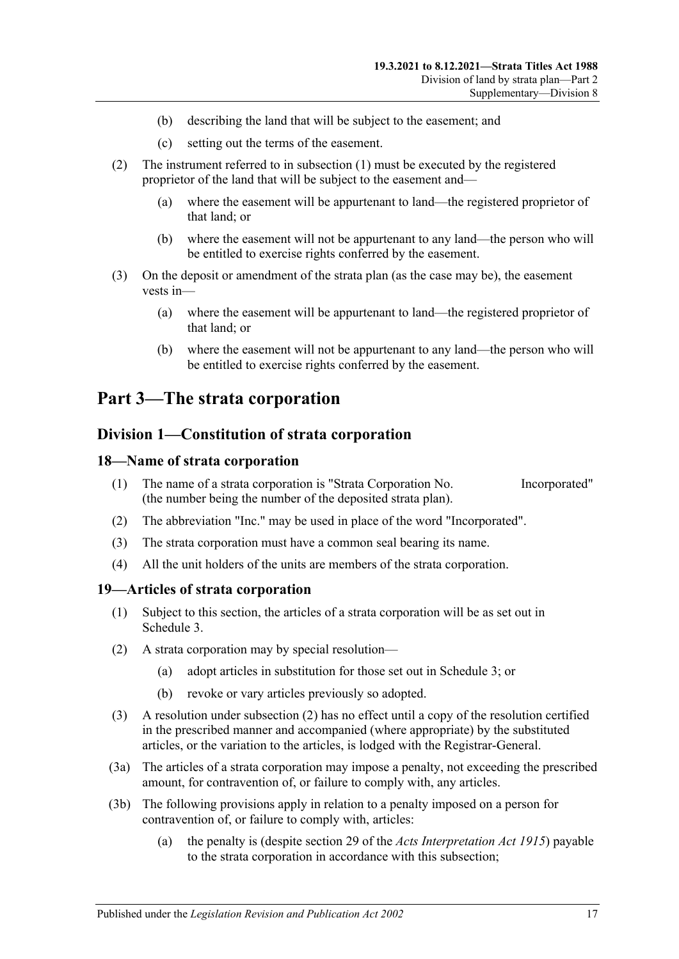- (b) describing the land that will be subject to the easement; and
- (c) setting out the terms of the easement.
- (2) The instrument referred to in [subsection](#page-15-5) (1) must be executed by the registered proprietor of the land that will be subject to the easement and—
	- (a) where the easement will be appurtenant to land—the registered proprietor of that land; or
	- (b) where the easement will not be appurtenant to any land—the person who will be entitled to exercise rights conferred by the easement.
- (3) On the deposit or amendment of the strata plan (as the case may be), the easement vests in—
	- (a) where the easement will be appurtenant to land—the registered proprietor of that land; or
	- (b) where the easement will not be appurtenant to any land—the person who will be entitled to exercise rights conferred by the easement.

## <span id="page-16-1"></span><span id="page-16-0"></span>**Part 3—The strata corporation**

### **Division 1—Constitution of strata corporation**

#### <span id="page-16-2"></span>**18—Name of strata corporation**

- (1) The name of a strata corporation is "Strata Corporation No. Incorporated" (the number being the number of the deposited strata plan).
- (2) The abbreviation "Inc." may be used in place of the word "Incorporated".
- (3) The strata corporation must have a common seal bearing its name.
- (4) All the unit holders of the units are members of the strata corporation.

#### <span id="page-16-3"></span>**19—Articles of strata corporation**

- (1) Subject to this section, the articles of a strata corporation will be as set out in [Schedule](#page-49-3) 3.
- <span id="page-16-4"></span>(2) A strata corporation may by special resolution—
	- (a) adopt articles in substitution for those set out in [Schedule](#page-49-3) 3; or
	- (b) revoke or vary articles previously so adopted.
- (3) A resolution under [subsection](#page-16-4) (2) has no effect until a copy of the resolution certified in the prescribed manner and accompanied (where appropriate) by the substituted articles, or the variation to the articles, is lodged with the Registrar-General.
- (3a) The articles of a strata corporation may impose a penalty, not exceeding the prescribed amount, for contravention of, or failure to comply with, any articles.
- (3b) The following provisions apply in relation to a penalty imposed on a person for contravention of, or failure to comply with, articles:
	- (a) the penalty is (despite section 29 of the *[Acts Interpretation Act](http://www.legislation.sa.gov.au/index.aspx?action=legref&type=act&legtitle=Acts%20Interpretation%20Act%201915) 1915*) payable to the strata corporation in accordance with this subsection;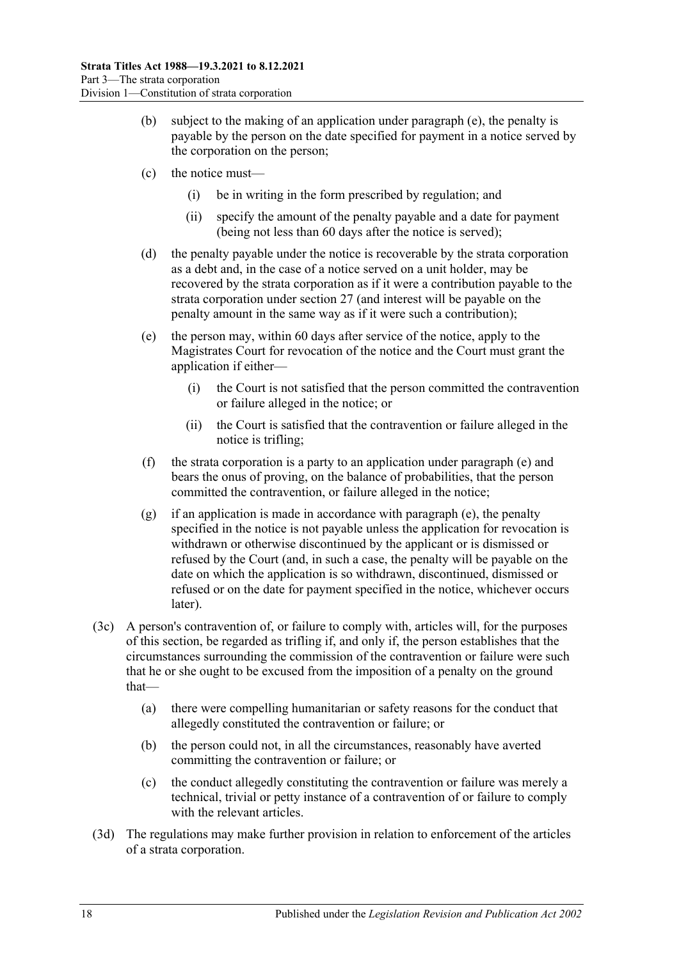- (b) subject to the making of an application under [paragraph](#page-17-0) (e), the penalty is payable by the person on the date specified for payment in a notice served by the corporation on the person;
- (c) the notice must—
	- (i) be in writing in the form prescribed by regulation; and
	- (ii) specify the amount of the penalty payable and a date for payment (being not less than 60 days after the notice is served);
- (d) the penalty payable under the notice is recoverable by the strata corporation as a debt and, in the case of a notice served on a unit holder, may be recovered by the strata corporation as if it were a contribution payable to the strata corporation under [section](#page-21-1) 27 (and interest will be payable on the penalty amount in the same way as if it were such a contribution);
- <span id="page-17-0"></span>(e) the person may, within 60 days after service of the notice, apply to the Magistrates Court for revocation of the notice and the Court must grant the application if either—
	- (i) the Court is not satisfied that the person committed the contravention or failure alleged in the notice; or
	- (ii) the Court is satisfied that the contravention or failure alleged in the notice is trifling;
- (f) the strata corporation is a party to an application under [paragraph](#page-17-0) (e) and bears the onus of proving, on the balance of probabilities, that the person committed the contravention, or failure alleged in the notice;
- (g) if an application is made in accordance with [paragraph](#page-17-0) (e), the penalty specified in the notice is not payable unless the application for revocation is withdrawn or otherwise discontinued by the applicant or is dismissed or refused by the Court (and, in such a case, the penalty will be payable on the date on which the application is so withdrawn, discontinued, dismissed or refused or on the date for payment specified in the notice, whichever occurs later).
- (3c) A person's contravention of, or failure to comply with, articles will, for the purposes of this section, be regarded as trifling if, and only if, the person establishes that the circumstances surrounding the commission of the contravention or failure were such that he or she ought to be excused from the imposition of a penalty on the ground that—
	- (a) there were compelling humanitarian or safety reasons for the conduct that allegedly constituted the contravention or failure; or
	- (b) the person could not, in all the circumstances, reasonably have averted committing the contravention or failure; or
	- (c) the conduct allegedly constituting the contravention or failure was merely a technical, trivial or petty instance of a contravention of or failure to comply with the relevant articles.
- (3d) The regulations may make further provision in relation to enforcement of the articles of a strata corporation.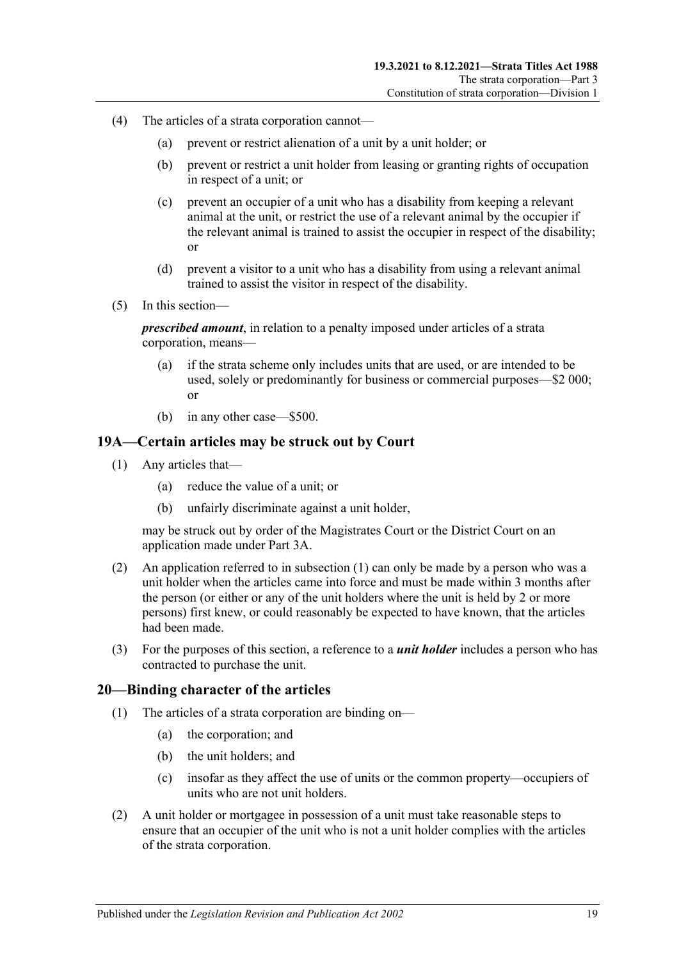- (4) The articles of a strata corporation cannot—
	- (a) prevent or restrict alienation of a unit by a unit holder; or
	- (b) prevent or restrict a unit holder from leasing or granting rights of occupation in respect of a unit; or
	- (c) prevent an occupier of a unit who has a disability from keeping a relevant animal at the unit, or restrict the use of a relevant animal by the occupier if the relevant animal is trained to assist the occupier in respect of the disability; or
	- (d) prevent a visitor to a unit who has a disability from using a relevant animal trained to assist the visitor in respect of the disability.
- (5) In this section—

*prescribed amount*, in relation to a penalty imposed under articles of a strata corporation, means-

- (a) if the strata scheme only includes units that are used, or are intended to be used, solely or predominantly for business or commercial purposes—\$2 000; or
- (b) in any other case—\$500.

#### <span id="page-18-2"></span><span id="page-18-0"></span>**19A—Certain articles may be struck out by Court**

- (1) Any articles that—
	- (a) reduce the value of a unit; or
	- (b) unfairly discriminate against a unit holder,

may be struck out by order of the Magistrates Court or the District Court on an application made under [Part 3A.](#page-41-0)

- (2) An application referred to in [subsection](#page-18-2) (1) can only be made by a person who was a unit holder when the articles came into force and must be made within 3 months after the person (or either or any of the unit holders where the unit is held by 2 or more persons) first knew, or could reasonably be expected to have known, that the articles had been made.
- (3) For the purposes of this section, a reference to a *unit holder* includes a person who has contracted to purchase the unit.

#### <span id="page-18-1"></span>**20—Binding character of the articles**

- (1) The articles of a strata corporation are binding on—
	- (a) the corporation; and
	- (b) the unit holders; and
	- (c) insofar as they affect the use of units or the common property—occupiers of units who are not unit holders.
- (2) A unit holder or mortgagee in possession of a unit must take reasonable steps to ensure that an occupier of the unit who is not a unit holder complies with the articles of the strata corporation.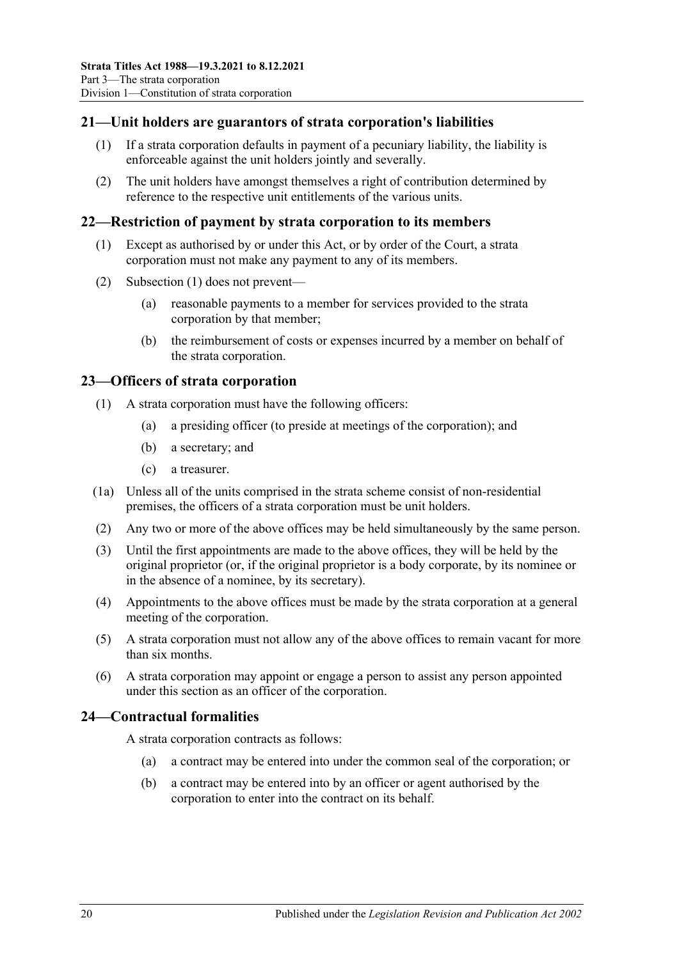### <span id="page-19-0"></span>**21—Unit holders are guarantors of strata corporation's liabilities**

- (1) If a strata corporation defaults in payment of a pecuniary liability, the liability is enforceable against the unit holders jointly and severally.
- (2) The unit holders have amongst themselves a right of contribution determined by reference to the respective unit entitlements of the various units.

#### <span id="page-19-4"></span><span id="page-19-1"></span>**22—Restriction of payment by strata corporation to its members**

- (1) Except as authorised by or under this Act, or by order of the Court, a strata corporation must not make any payment to any of its members.
- (2) [Subsection](#page-19-4) (1) does not prevent—
	- (a) reasonable payments to a member for services provided to the strata corporation by that member;
	- (b) the reimbursement of costs or expenses incurred by a member on behalf of the strata corporation.

#### <span id="page-19-2"></span>**23—Officers of strata corporation**

- (1) A strata corporation must have the following officers:
	- (a) a presiding officer (to preside at meetings of the corporation); and
	- (b) a secretary; and
	- (c) a treasurer.
- (1a) Unless all of the units comprised in the strata scheme consist of non-residential premises, the officers of a strata corporation must be unit holders.
- (2) Any two or more of the above offices may be held simultaneously by the same person.
- (3) Until the first appointments are made to the above offices, they will be held by the original proprietor (or, if the original proprietor is a body corporate, by its nominee or in the absence of a nominee, by its secretary).
- (4) Appointments to the above offices must be made by the strata corporation at a general meeting of the corporation.
- (5) A strata corporation must not allow any of the above offices to remain vacant for more than six months.
- (6) A strata corporation may appoint or engage a person to assist any person appointed under this section as an officer of the corporation.

### <span id="page-19-3"></span>**24—Contractual formalities**

A strata corporation contracts as follows:

- (a) a contract may be entered into under the common seal of the corporation; or
- (b) a contract may be entered into by an officer or agent authorised by the corporation to enter into the contract on its behalf.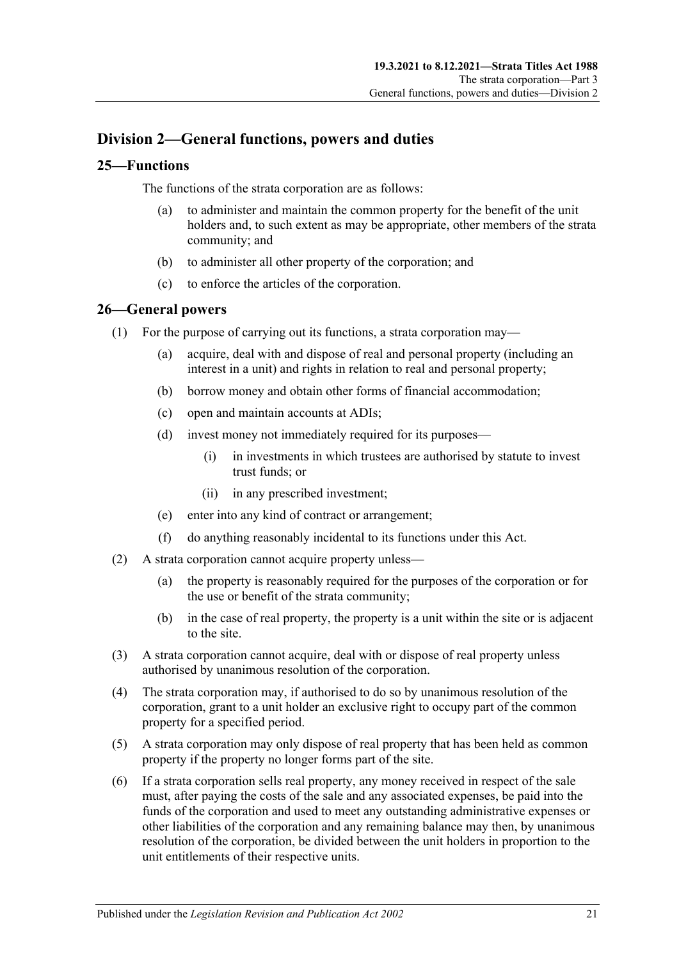### <span id="page-20-0"></span>**Division 2—General functions, powers and duties**

### <span id="page-20-1"></span>**25—Functions**

The functions of the strata corporation are as follows:

- (a) to administer and maintain the common property for the benefit of the unit holders and, to such extent as may be appropriate, other members of the strata community; and
- (b) to administer all other property of the corporation; and
- (c) to enforce the articles of the corporation.

### <span id="page-20-2"></span>**26—General powers**

- (1) For the purpose of carrying out its functions, a strata corporation may—
	- (a) acquire, deal with and dispose of real and personal property (including an interest in a unit) and rights in relation to real and personal property;
	- (b) borrow money and obtain other forms of financial accommodation;
	- (c) open and maintain accounts at ADIs;
	- (d) invest money not immediately required for its purposes—
		- (i) in investments in which trustees are authorised by statute to invest trust funds; or
		- (ii) in any prescribed investment;
	- (e) enter into any kind of contract or arrangement;
	- (f) do anything reasonably incidental to its functions under this Act.
- (2) A strata corporation cannot acquire property unless—
	- (a) the property is reasonably required for the purposes of the corporation or for the use or benefit of the strata community;
	- (b) in the case of real property, the property is a unit within the site or is adjacent to the site.
- (3) A strata corporation cannot acquire, deal with or dispose of real property unless authorised by unanimous resolution of the corporation.
- (4) The strata corporation may, if authorised to do so by unanimous resolution of the corporation, grant to a unit holder an exclusive right to occupy part of the common property for a specified period.
- (5) A strata corporation may only dispose of real property that has been held as common property if the property no longer forms part of the site.
- (6) If a strata corporation sells real property, any money received in respect of the sale must, after paying the costs of the sale and any associated expenses, be paid into the funds of the corporation and used to meet any outstanding administrative expenses or other liabilities of the corporation and any remaining balance may then, by unanimous resolution of the corporation, be divided between the unit holders in proportion to the unit entitlements of their respective units.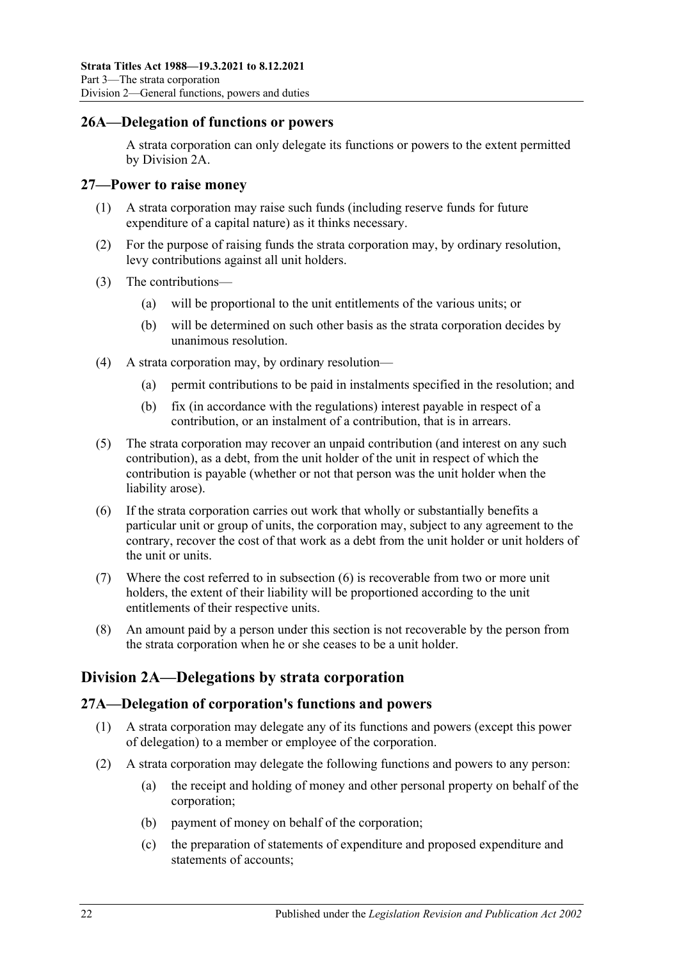### <span id="page-21-0"></span>**26A—Delegation of functions or powers**

A strata corporation can only delegate its functions or powers to the extent permitted by [Division 2A.](#page-21-2)

#### <span id="page-21-1"></span>**27—Power to raise money**

- (1) A strata corporation may raise such funds (including reserve funds for future expenditure of a capital nature) as it thinks necessary.
- (2) For the purpose of raising funds the strata corporation may, by ordinary resolution, levy contributions against all unit holders.
- (3) The contributions—
	- (a) will be proportional to the unit entitlements of the various units; or
	- (b) will be determined on such other basis as the strata corporation decides by unanimous resolution.
- (4) A strata corporation may, by ordinary resolution—
	- (a) permit contributions to be paid in instalments specified in the resolution; and
	- (b) fix (in accordance with the regulations) interest payable in respect of a contribution, or an instalment of a contribution, that is in arrears.
- (5) The strata corporation may recover an unpaid contribution (and interest on any such contribution), as a debt, from the unit holder of the unit in respect of which the contribution is payable (whether or not that person was the unit holder when the liability arose).
- <span id="page-21-4"></span>(6) If the strata corporation carries out work that wholly or substantially benefits a particular unit or group of units, the corporation may, subject to any agreement to the contrary, recover the cost of that work as a debt from the unit holder or unit holders of the unit or units.
- (7) Where the cost referred to in [subsection](#page-21-4) (6) is recoverable from two or more unit holders, the extent of their liability will be proportioned according to the unit entitlements of their respective units.
- (8) An amount paid by a person under this section is not recoverable by the person from the strata corporation when he or she ceases to be a unit holder.

### <span id="page-21-2"></span>**Division 2A—Delegations by strata corporation**

### <span id="page-21-5"></span><span id="page-21-3"></span>**27A—Delegation of corporation's functions and powers**

- (1) A strata corporation may delegate any of its functions and powers (except this power of delegation) to a member or employee of the corporation.
- <span id="page-21-6"></span>(2) A strata corporation may delegate the following functions and powers to any person:
	- (a) the receipt and holding of money and other personal property on behalf of the corporation;
	- (b) payment of money on behalf of the corporation;
	- (c) the preparation of statements of expenditure and proposed expenditure and statements of accounts;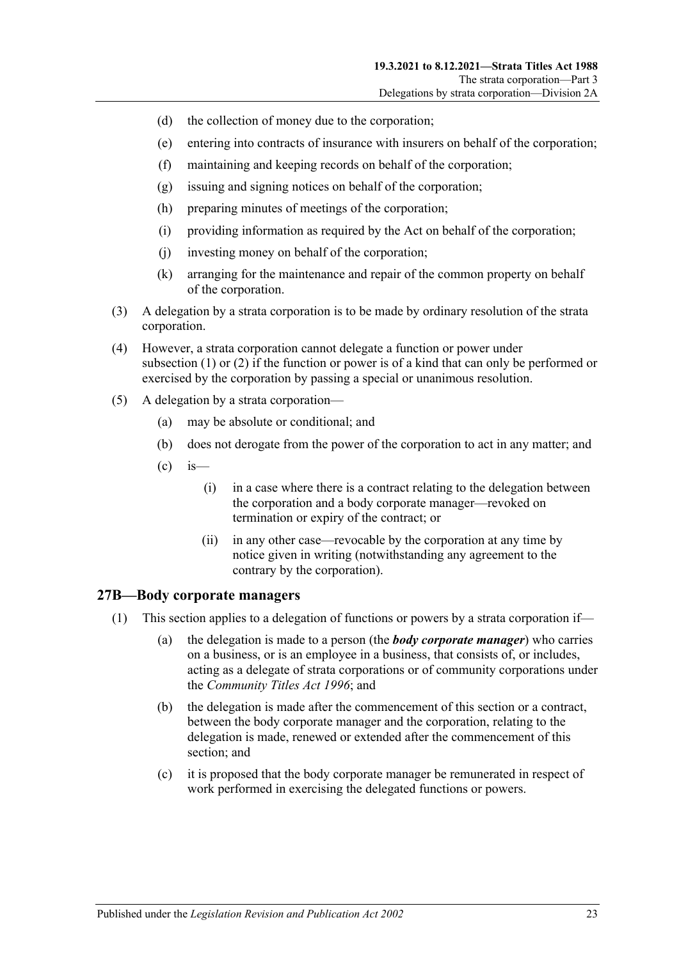- (d) the collection of money due to the corporation;
- (e) entering into contracts of insurance with insurers on behalf of the corporation;
- (f) maintaining and keeping records on behalf of the corporation;
- (g) issuing and signing notices on behalf of the corporation;
- (h) preparing minutes of meetings of the corporation;
- (i) providing information as required by the Act on behalf of the corporation;
- (j) investing money on behalf of the corporation;
- (k) arranging for the maintenance and repair of the common property on behalf of the corporation.
- (3) A delegation by a strata corporation is to be made by ordinary resolution of the strata corporation.
- (4) However, a strata corporation cannot delegate a function or power under [subsection](#page-21-5) (1) or [\(2\)](#page-21-6) if the function or power is of a kind that can only be performed or exercised by the corporation by passing a special or unanimous resolution.
- (5) A delegation by a strata corporation—
	- (a) may be absolute or conditional; and
	- (b) does not derogate from the power of the corporation to act in any matter; and
	- $\left( c \right)$  is
		- (i) in a case where there is a contract relating to the delegation between the corporation and a body corporate manager—revoked on termination or expiry of the contract; or
		- (ii) in any other case—revocable by the corporation at any time by notice given in writing (notwithstanding any agreement to the contrary by the corporation).

### <span id="page-22-0"></span>**27B—Body corporate managers**

- (1) This section applies to a delegation of functions or powers by a strata corporation if—
	- (a) the delegation is made to a person (the *body corporate manager*) who carries on a business, or is an employee in a business, that consists of, or includes, acting as a delegate of strata corporations or of community corporations under the *[Community Titles Act](http://www.legislation.sa.gov.au/index.aspx?action=legref&type=act&legtitle=Community%20Titles%20Act%201996) 1996*; and
	- (b) the delegation is made after the commencement of this section or a contract, between the body corporate manager and the corporation, relating to the delegation is made, renewed or extended after the commencement of this section; and
	- (c) it is proposed that the body corporate manager be remunerated in respect of work performed in exercising the delegated functions or powers.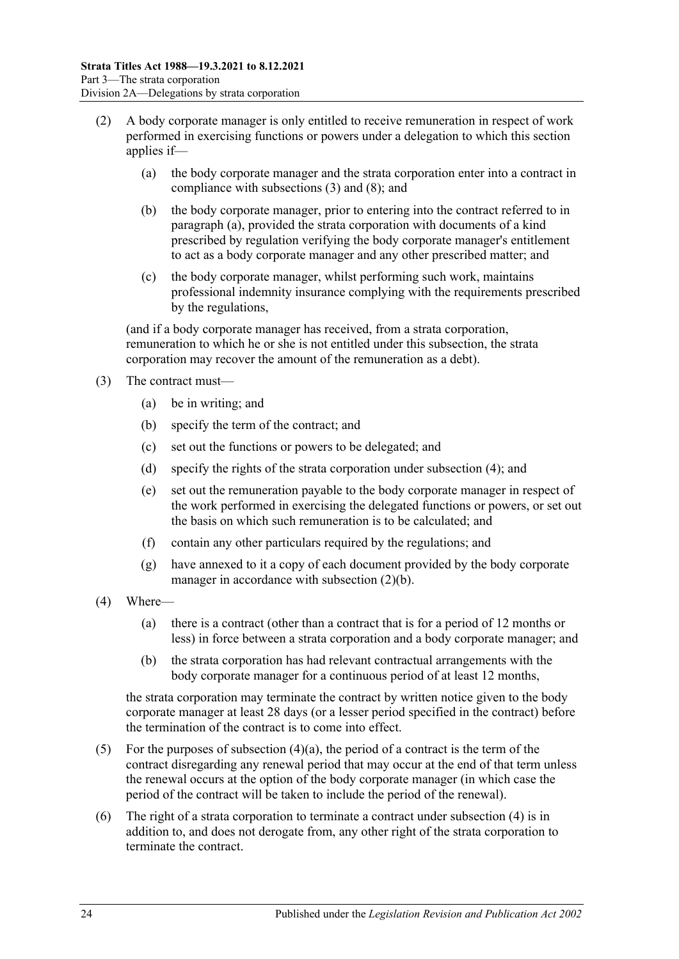- <span id="page-23-3"></span><span id="page-23-1"></span>(2) A body corporate manager is only entitled to receive remuneration in respect of work performed in exercising functions or powers under a delegation to which this section applies if—
	- (a) the body corporate manager and the strata corporation enter into a contract in compliance with [subsections](#page-23-0) (3) and [\(8\);](#page-24-2) and
	- (b) the body corporate manager, prior to entering into the contract referred to in [paragraph](#page-23-1) (a), provided the strata corporation with documents of a kind prescribed by regulation verifying the body corporate manager's entitlement to act as a body corporate manager and any other prescribed matter; and
	- (c) the body corporate manager, whilst performing such work, maintains professional indemnity insurance complying with the requirements prescribed by the regulations,

<span id="page-23-5"></span>(and if a body corporate manager has received, from a strata corporation, remuneration to which he or she is not entitled under this subsection, the strata corporation may recover the amount of the remuneration as a debt).

- <span id="page-23-0"></span>(3) The contract must—
	- (a) be in writing; and
	- (b) specify the term of the contract; and
	- (c) set out the functions or powers to be delegated; and
	- (d) specify the rights of the strata corporation under [subsection](#page-23-2) (4); and
	- (e) set out the remuneration payable to the body corporate manager in respect of the work performed in exercising the delegated functions or powers, or set out the basis on which such remuneration is to be calculated; and
	- (f) contain any other particulars required by the regulations; and
	- (g) have annexed to it a copy of each document provided by the body corporate manager in accordance with [subsection](#page-23-3) (2)(b).
- <span id="page-23-4"></span><span id="page-23-2"></span>(4) Where—
	- (a) there is a contract (other than a contract that is for a period of 12 months or less) in force between a strata corporation and a body corporate manager; and
	- (b) the strata corporation has had relevant contractual arrangements with the body corporate manager for a continuous period of at least 12 months,

the strata corporation may terminate the contract by written notice given to the body corporate manager at least 28 days (or a lesser period specified in the contract) before the termination of the contract is to come into effect.

- (5) For the purposes of [subsection](#page-23-4)  $(4)(a)$ , the period of a contract is the term of the contract disregarding any renewal period that may occur at the end of that term unless the renewal occurs at the option of the body corporate manager (in which case the period of the contract will be taken to include the period of the renewal).
- (6) The right of a strata corporation to terminate a contract under [subsection](#page-23-2) (4) is in addition to, and does not derogate from, any other right of the strata corporation to terminate the contract.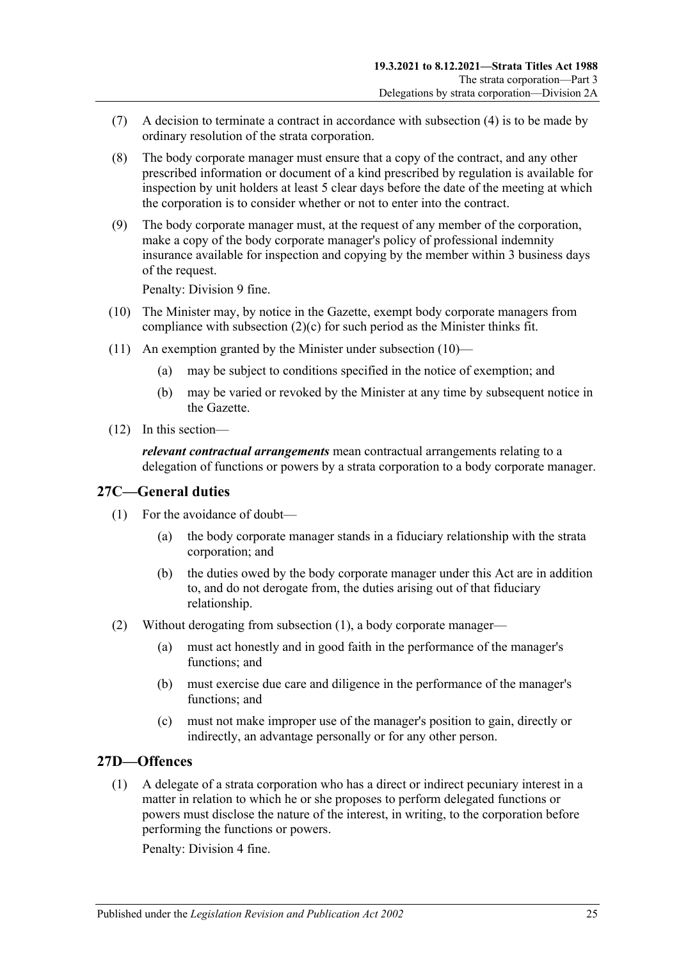- (7) A decision to terminate a contract in accordance with [subsection](#page-23-2) (4) is to be made by ordinary resolution of the strata corporation.
- <span id="page-24-2"></span>(8) The body corporate manager must ensure that a copy of the contract, and any other prescribed information or document of a kind prescribed by regulation is available for inspection by unit holders at least 5 clear days before the date of the meeting at which the corporation is to consider whether or not to enter into the contract.
- (9) The body corporate manager must, at the request of any member of the corporation, make a copy of the body corporate manager's policy of professional indemnity insurance available for inspection and copying by the member within 3 business days of the request.

Penalty: Division 9 fine.

- <span id="page-24-3"></span>(10) The Minister may, by notice in the Gazette, exempt body corporate managers from compliance with [subsection](#page-23-5) (2)(c) for such period as the Minister thinks fit.
- (11) An exemption granted by the Minister under [subsection](#page-24-3) (10)—
	- (a) may be subject to conditions specified in the notice of exemption; and
	- (b) may be varied or revoked by the Minister at any time by subsequent notice in the Gazette.
- (12) In this section—

*relevant contractual arrangements* mean contractual arrangements relating to a delegation of functions or powers by a strata corporation to a body corporate manager.

#### <span id="page-24-4"></span><span id="page-24-0"></span>**27C—General duties**

- (1) For the avoidance of doubt—
	- (a) the body corporate manager stands in a fiduciary relationship with the strata corporation; and
	- (b) the duties owed by the body corporate manager under this Act are in addition to, and do not derogate from, the duties arising out of that fiduciary relationship.
- (2) Without derogating from [subsection](#page-24-4) (1), a body corporate manager—
	- (a) must act honestly and in good faith in the performance of the manager's functions; and
	- (b) must exercise due care and diligence in the performance of the manager's functions; and
	- (c) must not make improper use of the manager's position to gain, directly or indirectly, an advantage personally or for any other person.

### <span id="page-24-5"></span><span id="page-24-1"></span>**27D—Offences**

(1) A delegate of a strata corporation who has a direct or indirect pecuniary interest in a matter in relation to which he or she proposes to perform delegated functions or powers must disclose the nature of the interest, in writing, to the corporation before performing the functions or powers.

Penalty: Division 4 fine.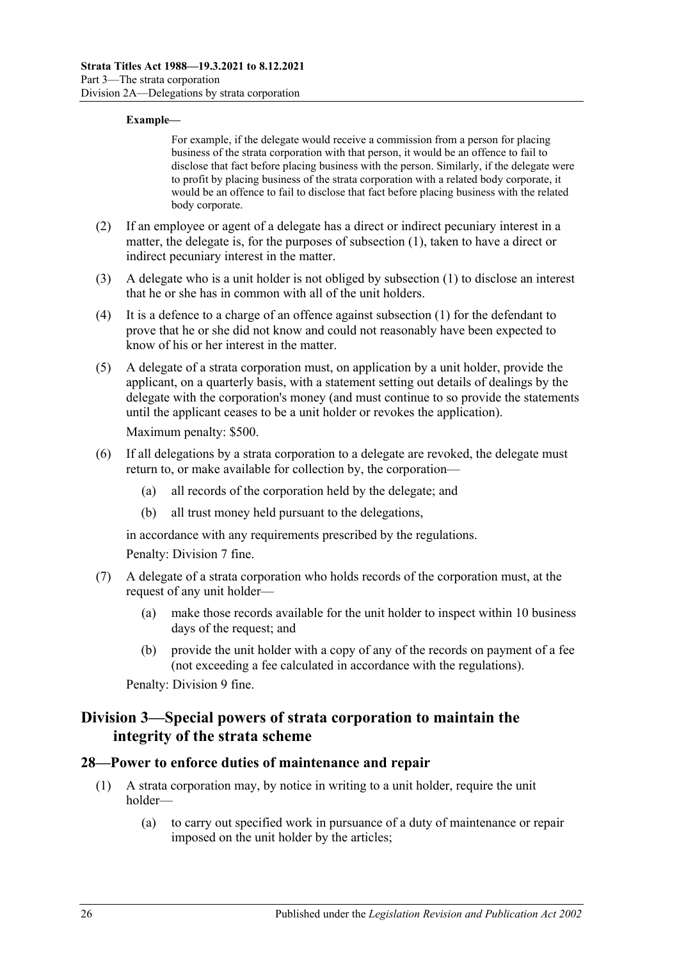#### **Example—**

For example, if the delegate would receive a commission from a person for placing business of the strata corporation with that person, it would be an offence to fail to disclose that fact before placing business with the person. Similarly, if the delegate were to profit by placing business of the strata corporation with a related body corporate, it would be an offence to fail to disclose that fact before placing business with the related body corporate.

- (2) If an employee or agent of a delegate has a direct or indirect pecuniary interest in a matter, the delegate is, for the purposes of [subsection](#page-24-5) (1), taken to have a direct or indirect pecuniary interest in the matter.
- (3) A delegate who is a unit holder is not obliged by [subsection](#page-24-5) (1) to disclose an interest that he or she has in common with all of the unit holders.
- (4) It is a defence to a charge of an offence against [subsection \(1\)](#page-24-5) for the defendant to prove that he or she did not know and could not reasonably have been expected to know of his or her interest in the matter.
- (5) A delegate of a strata corporation must, on application by a unit holder, provide the applicant, on a quarterly basis, with a statement setting out details of dealings by the delegate with the corporation's money (and must continue to so provide the statements until the applicant ceases to be a unit holder or revokes the application).

Maximum penalty: \$500.

- (6) If all delegations by a strata corporation to a delegate are revoked, the delegate must return to, or make available for collection by, the corporation—
	- (a) all records of the corporation held by the delegate; and
	- (b) all trust money held pursuant to the delegations,

in accordance with any requirements prescribed by the regulations.

Penalty: Division 7 fine.

- (7) A delegate of a strata corporation who holds records of the corporation must, at the request of any unit holder—
	- (a) make those records available for the unit holder to inspect within 10 business days of the request; and
	- (b) provide the unit holder with a copy of any of the records on payment of a fee (not exceeding a fee calculated in accordance with the regulations).

Penalty: Division 9 fine.

### <span id="page-25-0"></span>**Division 3—Special powers of strata corporation to maintain the integrity of the strata scheme**

#### <span id="page-25-1"></span>**28—Power to enforce duties of maintenance and repair**

- (1) A strata corporation may, by notice in writing to a unit holder, require the unit holder—
	- (a) to carry out specified work in pursuance of a duty of maintenance or repair imposed on the unit holder by the articles;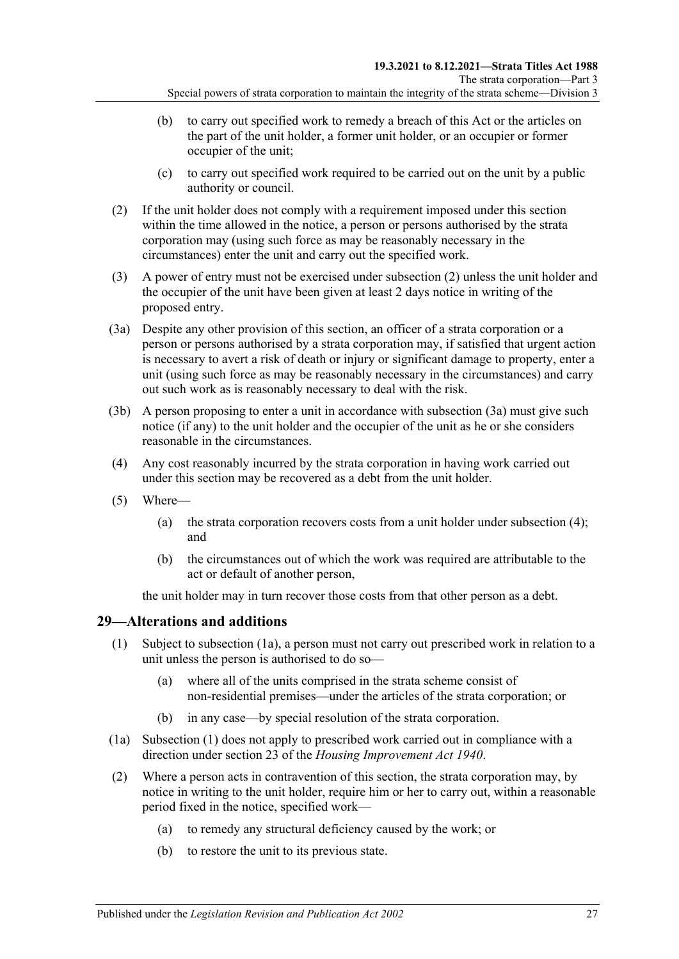- (b) to carry out specified work to remedy a breach of this Act or the articles on the part of the unit holder, a former unit holder, or an occupier or former occupier of the unit;
- (c) to carry out specified work required to be carried out on the unit by a public authority or council.
- <span id="page-26-1"></span>(2) If the unit holder does not comply with a requirement imposed under this section within the time allowed in the notice, a person or persons authorised by the strata corporation may (using such force as may be reasonably necessary in the circumstances) enter the unit and carry out the specified work.
- (3) A power of entry must not be exercised under [subsection](#page-26-1) (2) unless the unit holder and the occupier of the unit have been given at least 2 days notice in writing of the proposed entry.
- <span id="page-26-2"></span>(3a) Despite any other provision of this section, an officer of a strata corporation or a person or persons authorised by a strata corporation may, if satisfied that urgent action is necessary to avert a risk of death or injury or significant damage to property, enter a unit (using such force as may be reasonably necessary in the circumstances) and carry out such work as is reasonably necessary to deal with the risk.
- (3b) A person proposing to enter a unit in accordance with [subsection](#page-26-2) (3a) must give such notice (if any) to the unit holder and the occupier of the unit as he or she considers reasonable in the circumstances.
- <span id="page-26-3"></span>(4) Any cost reasonably incurred by the strata corporation in having work carried out under this section may be recovered as a debt from the unit holder.
- (5) Where—
	- (a) the strata corporation recovers costs from a unit holder under [subsection](#page-26-3) (4); and
	- (b) the circumstances out of which the work was required are attributable to the act or default of another person,

the unit holder may in turn recover those costs from that other person as a debt.

### <span id="page-26-5"></span><span id="page-26-0"></span>**29—Alterations and additions**

- (1) Subject to [subsection](#page-26-4) (1a), a person must not carry out prescribed work in relation to a unit unless the person is authorised to do so—
	- (a) where all of the units comprised in the strata scheme consist of non-residential premises—under the articles of the strata corporation; or
	- (b) in any case—by special resolution of the strata corporation.
- <span id="page-26-4"></span>(1a) [Subsection](#page-26-5) (1) does not apply to prescribed work carried out in compliance with a direction under section 23 of the *[Housing Improvement Act](http://www.legislation.sa.gov.au/index.aspx?action=legref&type=act&legtitle=Housing%20Improvement%20Act%201940) 1940*.
- (2) Where a person acts in contravention of this section, the strata corporation may, by notice in writing to the unit holder, require him or her to carry out, within a reasonable period fixed in the notice, specified work—
	- (a) to remedy any structural deficiency caused by the work; or
	- (b) to restore the unit to its previous state.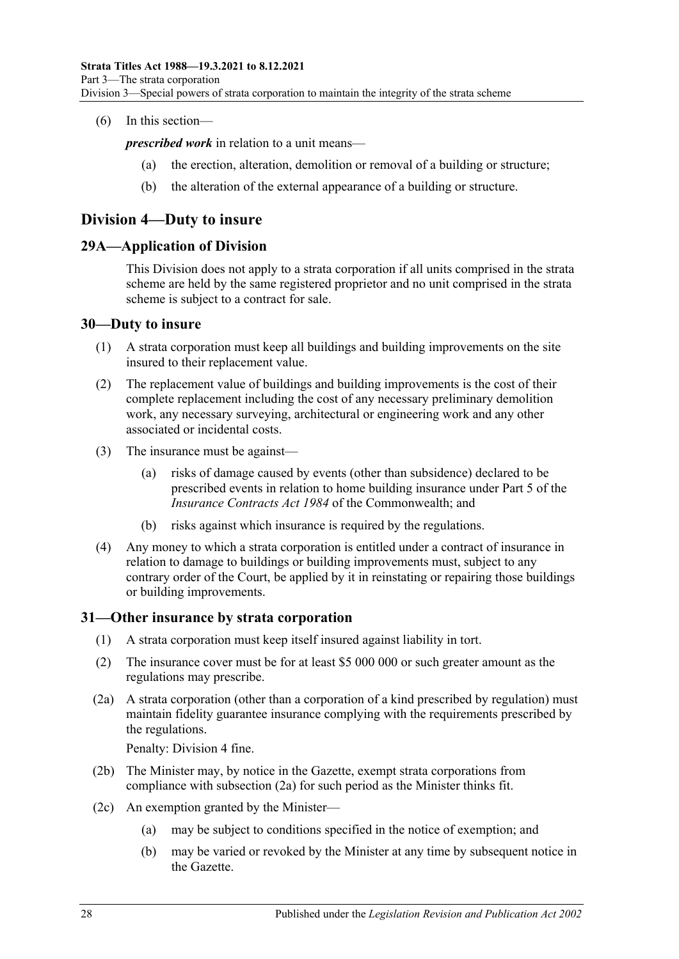#### (6) In this section—

*prescribed work* in relation to a unit means—

- the erection, alteration, demolition or removal of a building or structure;
- (b) the alteration of the external appearance of a building or structure.

### <span id="page-27-0"></span>**Division 4—Duty to insure**

#### <span id="page-27-1"></span>**29A—Application of Division**

This Division does not apply to a strata corporation if all units comprised in the strata scheme are held by the same registered proprietor and no unit comprised in the strata scheme is subject to a contract for sale.

#### <span id="page-27-2"></span>**30—Duty to insure**

- (1) A strata corporation must keep all buildings and building improvements on the site insured to their replacement value.
- (2) The replacement value of buildings and building improvements is the cost of their complete replacement including the cost of any necessary preliminary demolition work, any necessary surveying, architectural or engineering work and any other associated or incidental costs.
- (3) The insurance must be against—
	- (a) risks of damage caused by events (other than subsidence) declared to be prescribed events in relation to home building insurance under Part 5 of the *Insurance Contracts Act 1984* of the Commonwealth; and
	- (b) risks against which insurance is required by the regulations.
- (4) Any money to which a strata corporation is entitled under a contract of insurance in relation to damage to buildings or building improvements must, subject to any contrary order of the Court, be applied by it in reinstating or repairing those buildings or building improvements.

### <span id="page-27-3"></span>**31—Other insurance by strata corporation**

- (1) A strata corporation must keep itself insured against liability in tort.
- (2) The insurance cover must be for at least \$5 000 000 or such greater amount as the regulations may prescribe.
- <span id="page-27-4"></span>(2a) A strata corporation (other than a corporation of a kind prescribed by regulation) must maintain fidelity guarantee insurance complying with the requirements prescribed by the regulations.

Penalty: Division 4 fine.

- (2b) The Minister may, by notice in the Gazette, exempt strata corporations from compliance with [subsection](#page-27-4) (2a) for such period as the Minister thinks fit.
- (2c) An exemption granted by the Minister—
	- (a) may be subject to conditions specified in the notice of exemption; and
	- (b) may be varied or revoked by the Minister at any time by subsequent notice in the Gazette.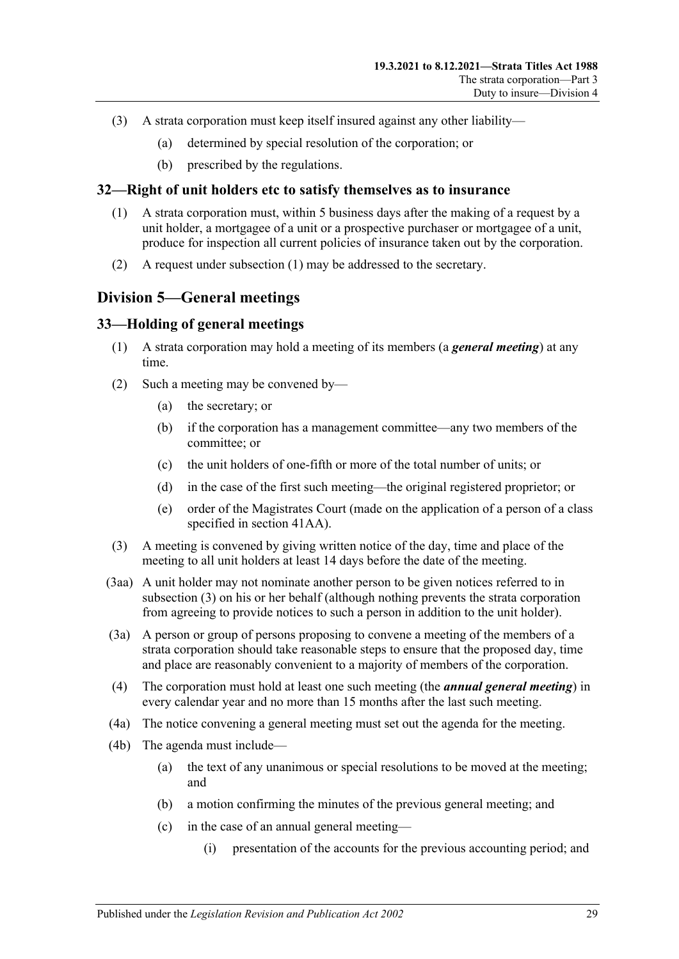- (3) A strata corporation must keep itself insured against any other liability—
	- (a) determined by special resolution of the corporation; or
	- (b) prescribed by the regulations.

#### <span id="page-28-3"></span><span id="page-28-0"></span>**32—Right of unit holders etc to satisfy themselves as to insurance**

- (1) A strata corporation must, within 5 business days after the making of a request by a unit holder, a mortgagee of a unit or a prospective purchaser or mortgagee of a unit, produce for inspection all current policies of insurance taken out by the corporation.
- (2) A request under [subsection](#page-28-3) (1) may be addressed to the secretary.

### <span id="page-28-1"></span>**Division 5—General meetings**

#### <span id="page-28-2"></span>**33—Holding of general meetings**

- (1) A strata corporation may hold a meeting of its members (a *general meeting*) at any time.
- (2) Such a meeting may be convened by—
	- (a) the secretary; or
	- (b) if the corporation has a management committee—any two members of the committee; or
	- (c) the unit holders of one-fifth or more of the total number of units; or
	- (d) in the case of the first such meeting—the original registered proprietor; or
	- (e) order of the Magistrates Court (made on the application of a person of a class specified in [section](#page-41-1) 41AA).
- <span id="page-28-4"></span>(3) A meeting is convened by giving written notice of the day, time and place of the meeting to all unit holders at least 14 days before the date of the meeting.
- (3aa) A unit holder may not nominate another person to be given notices referred to in [subsection](#page-28-4) (3) on his or her behalf (although nothing prevents the strata corporation from agreeing to provide notices to such a person in addition to the unit holder).
- (3a) A person or group of persons proposing to convene a meeting of the members of a strata corporation should take reasonable steps to ensure that the proposed day, time and place are reasonably convenient to a majority of members of the corporation.
- (4) The corporation must hold at least one such meeting (the *annual general meeting*) in every calendar year and no more than 15 months after the last such meeting.
- (4a) The notice convening a general meeting must set out the agenda for the meeting.
- (4b) The agenda must include—
	- (a) the text of any unanimous or special resolutions to be moved at the meeting; and
	- (b) a motion confirming the minutes of the previous general meeting; and
	- (c) in the case of an annual general meeting—
		- (i) presentation of the accounts for the previous accounting period; and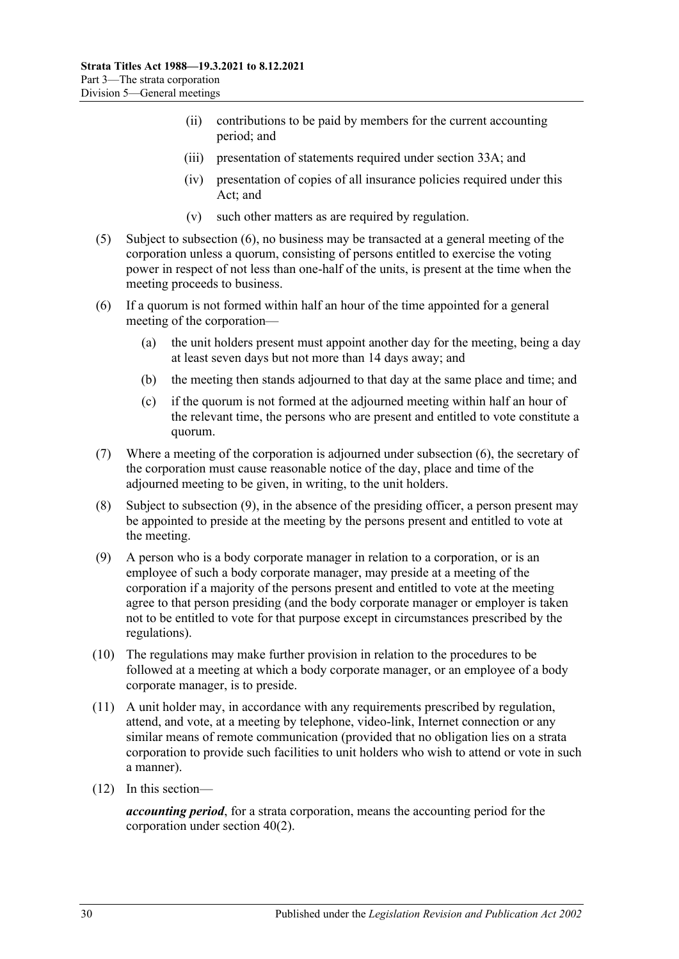- (ii) contributions to be paid by members for the current accounting period; and
- (iii) presentation of statements required under [section](#page-30-0) 33A; and
- (iv) presentation of copies of all insurance policies required under this Act; and
- (v) such other matters as are required by regulation.
- (5) Subject to [subsection](#page-29-0) (6), no business may be transacted at a general meeting of the corporation unless a quorum, consisting of persons entitled to exercise the voting power in respect of not less than one-half of the units, is present at the time when the meeting proceeds to business.
- <span id="page-29-0"></span>(6) If a quorum is not formed within half an hour of the time appointed for a general meeting of the corporation—
	- (a) the unit holders present must appoint another day for the meeting, being a day at least seven days but not more than 14 days away; and
	- (b) the meeting then stands adjourned to that day at the same place and time; and
	- (c) if the quorum is not formed at the adjourned meeting within half an hour of the relevant time, the persons who are present and entitled to vote constitute a quorum.
- (7) Where a meeting of the corporation is adjourned under [subsection](#page-29-0) (6), the secretary of the corporation must cause reasonable notice of the day, place and time of the adjourned meeting to be given, in writing, to the unit holders.
- (8) Subject to [subsection](#page-29-1) (9), in the absence of the presiding officer, a person present may be appointed to preside at the meeting by the persons present and entitled to vote at the meeting.
- <span id="page-29-1"></span>(9) A person who is a body corporate manager in relation to a corporation, or is an employee of such a body corporate manager, may preside at a meeting of the corporation if a majority of the persons present and entitled to vote at the meeting agree to that person presiding (and the body corporate manager or employer is taken not to be entitled to vote for that purpose except in circumstances prescribed by the regulations).
- (10) The regulations may make further provision in relation to the procedures to be followed at a meeting at which a body corporate manager, or an employee of a body corporate manager, is to preside.
- (11) A unit holder may, in accordance with any requirements prescribed by regulation, attend, and vote, at a meeting by telephone, video-link, Internet connection or any similar means of remote communication (provided that no obligation lies on a strata corporation to provide such facilities to unit holders who wish to attend or vote in such a manner).
- (12) In this section—

*accounting period*, for a strata corporation, means the accounting period for the corporation under [section](#page-39-2) 40(2).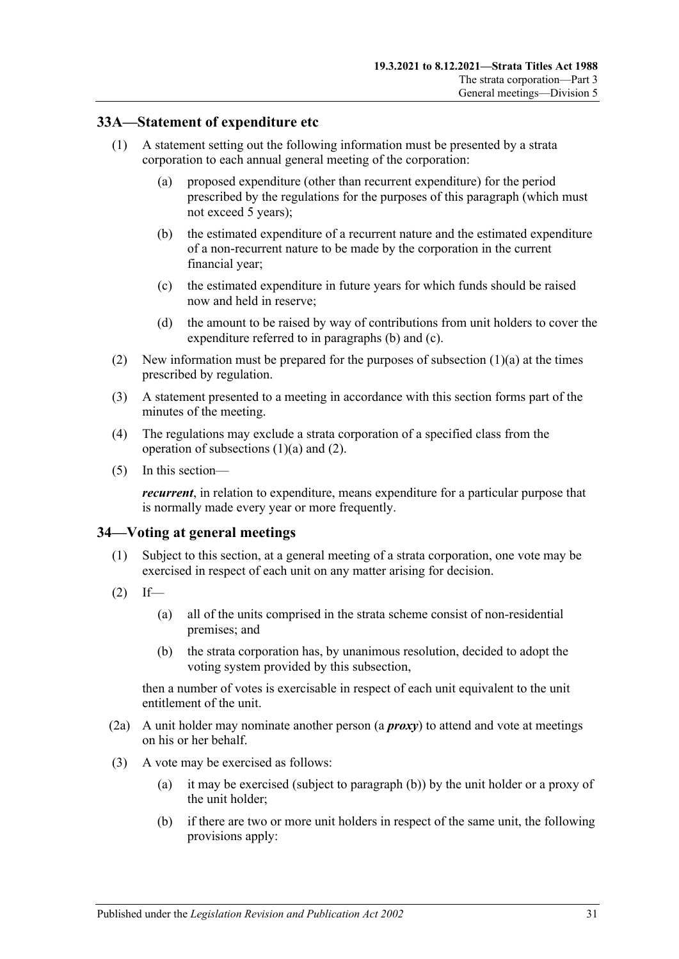#### <span id="page-30-0"></span>**33A—Statement of expenditure etc**

- <span id="page-30-4"></span><span id="page-30-2"></span>(1) A statement setting out the following information must be presented by a strata corporation to each annual general meeting of the corporation:
	- (a) proposed expenditure (other than recurrent expenditure) for the period prescribed by the regulations for the purposes of this paragraph (which must not exceed 5 years);
	- (b) the estimated expenditure of a recurrent nature and the estimated expenditure of a non-recurrent nature to be made by the corporation in the current financial year;
	- (c) the estimated expenditure in future years for which funds should be raised now and held in reserve;
	- (d) the amount to be raised by way of contributions from unit holders to cover the expenditure referred to in [paragraphs](#page-30-2) (b) and [\(c\).](#page-30-3)
- <span id="page-30-5"></span><span id="page-30-3"></span>(2) New information must be prepared for the purposes of [subsection](#page-30-4)  $(1)(a)$  at the times prescribed by regulation.
- (3) A statement presented to a meeting in accordance with this section forms part of the minutes of the meeting.
- (4) The regulations may exclude a strata corporation of a specified class from the operation of [subsections](#page-30-4) (1)(a) and [\(2\).](#page-30-5)
- (5) In this section—

*recurrent*, in relation to expenditure, means expenditure for a particular purpose that is normally made every year or more frequently.

#### <span id="page-30-1"></span>**34—Voting at general meetings**

- (1) Subject to this section, at a general meeting of a strata corporation, one vote may be exercised in respect of each unit on any matter arising for decision.
- $(2)$  If—
	- (a) all of the units comprised in the strata scheme consist of non-residential premises; and
	- (b) the strata corporation has, by unanimous resolution, decided to adopt the voting system provided by this subsection,

then a number of votes is exercisable in respect of each unit equivalent to the unit entitlement of the unit.

- (2a) A unit holder may nominate another person (a *proxy*) to attend and vote at meetings on his or her behalf.
- <span id="page-30-6"></span>(3) A vote may be exercised as follows:
	- (a) it may be exercised (subject to [paragraph](#page-30-6) (b)) by the unit holder or a proxy of the unit holder;
	- (b) if there are two or more unit holders in respect of the same unit, the following provisions apply: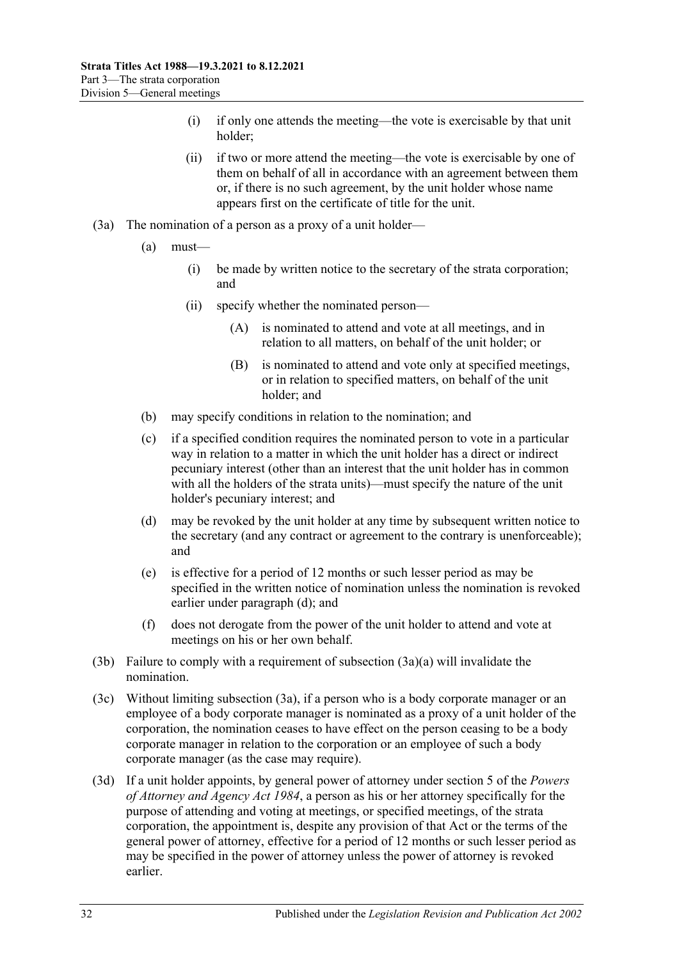- (i) if only one attends the meeting—the vote is exercisable by that unit holder;
- (ii) if two or more attend the meeting—the vote is exercisable by one of them on behalf of all in accordance with an agreement between them or, if there is no such agreement, by the unit holder whose name appears first on the certificate of title for the unit.
- <span id="page-31-4"></span><span id="page-31-2"></span><span id="page-31-1"></span>(3a) The nomination of a person as a proxy of a unit holder—
	- (a) must—
		- (i) be made by written notice to the secretary of the strata corporation; and
		- (ii) specify whether the nominated person—
			- (A) is nominated to attend and vote at all meetings, and in relation to all matters, on behalf of the unit holder; or
			- (B) is nominated to attend and vote only at specified meetings, or in relation to specified matters, on behalf of the unit holder; and
	- (b) may specify conditions in relation to the nomination; and
	- (c) if a specified condition requires the nominated person to vote in a particular way in relation to a matter in which the unit holder has a direct or indirect pecuniary interest (other than an interest that the unit holder has in common with all the holders of the strata units)—must specify the nature of the unit holder's pecuniary interest; and
	- (d) may be revoked by the unit holder at any time by subsequent written notice to the secretary (and any contract or agreement to the contrary is unenforceable); and
	- (e) is effective for a period of 12 months or such lesser period as may be specified in the written notice of nomination unless the nomination is revoked earlier under [paragraph](#page-31-0) (d); and
	- (f) does not derogate from the power of the unit holder to attend and vote at meetings on his or her own behalf.
- <span id="page-31-0"></span>(3b) Failure to comply with a requirement of [subsection](#page-31-1) (3a)(a) will invalidate the nomination.
- (3c) Without limiting [subsection](#page-31-2) (3a), if a person who is a body corporate manager or an employee of a body corporate manager is nominated as a proxy of a unit holder of the corporation, the nomination ceases to have effect on the person ceasing to be a body corporate manager in relation to the corporation or an employee of such a body corporate manager (as the case may require).
- <span id="page-31-3"></span>(3d) If a unit holder appoints, by general power of attorney under section 5 of the *[Powers](http://www.legislation.sa.gov.au/index.aspx?action=legref&type=act&legtitle=Powers%20of%20Attorney%20and%20Agency%20Act%201984)  [of Attorney and Agency Act](http://www.legislation.sa.gov.au/index.aspx?action=legref&type=act&legtitle=Powers%20of%20Attorney%20and%20Agency%20Act%201984) 1984*, a person as his or her attorney specifically for the purpose of attending and voting at meetings, or specified meetings, of the strata corporation, the appointment is, despite any provision of that Act or the terms of the general power of attorney, effective for a period of 12 months or such lesser period as may be specified in the power of attorney unless the power of attorney is revoked earlier.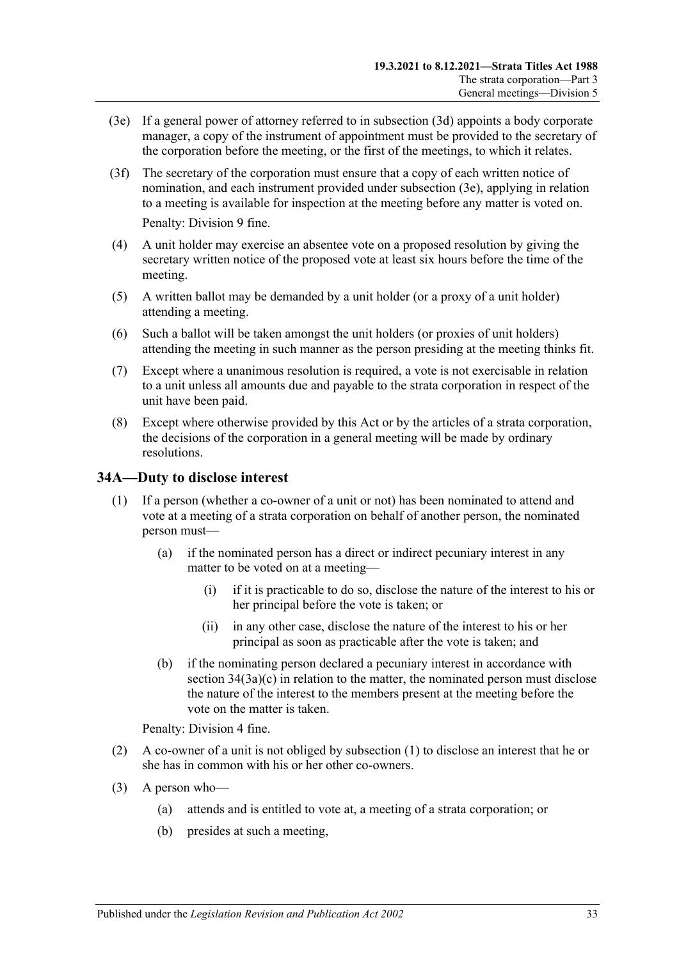- <span id="page-32-1"></span>(3e) If a general power of attorney referred to in [subsection](#page-31-3) (3d) appoints a body corporate manager, a copy of the instrument of appointment must be provided to the secretary of the corporation before the meeting, or the first of the meetings, to which it relates.
- (3f) The secretary of the corporation must ensure that a copy of each written notice of nomination, and each instrument provided under [subsection](#page-32-1) (3e), applying in relation to a meeting is available for inspection at the meeting before any matter is voted on. Penalty: Division 9 fine.
- (4) A unit holder may exercise an absentee vote on a proposed resolution by giving the secretary written notice of the proposed vote at least six hours before the time of the meeting.
- (5) A written ballot may be demanded by a unit holder (or a proxy of a unit holder) attending a meeting.
- (6) Such a ballot will be taken amongst the unit holders (or proxies of unit holders) attending the meeting in such manner as the person presiding at the meeting thinks fit.
- (7) Except where a unanimous resolution is required, a vote is not exercisable in relation to a unit unless all amounts due and payable to the strata corporation in respect of the unit have been paid.
- (8) Except where otherwise provided by this Act or by the articles of a strata corporation, the decisions of the corporation in a general meeting will be made by ordinary resolutions.

### <span id="page-32-2"></span><span id="page-32-0"></span>**34A—Duty to disclose interest**

- (1) If a person (whether a co-owner of a unit or not) has been nominated to attend and vote at a meeting of a strata corporation on behalf of another person, the nominated person must—
	- (a) if the nominated person has a direct or indirect pecuniary interest in any matter to be voted on at a meeting—
		- (i) if it is practicable to do so, disclose the nature of the interest to his or her principal before the vote is taken; or
		- (ii) in any other case, disclose the nature of the interest to his or her principal as soon as practicable after the vote is taken; and
	- (b) if the nominating person declared a pecuniary interest in accordance with section [34\(3a\)\(c\)](#page-31-4) in relation to the matter, the nominated person must disclose the nature of the interest to the members present at the meeting before the vote on the matter is taken.

Penalty: Division 4 fine.

- (2) A co-owner of a unit is not obliged by [subsection](#page-32-2) (1) to disclose an interest that he or she has in common with his or her other co-owners.
- <span id="page-32-3"></span>(3) A person who—
	- (a) attends and is entitled to vote at, a meeting of a strata corporation; or
	- (b) presides at such a meeting,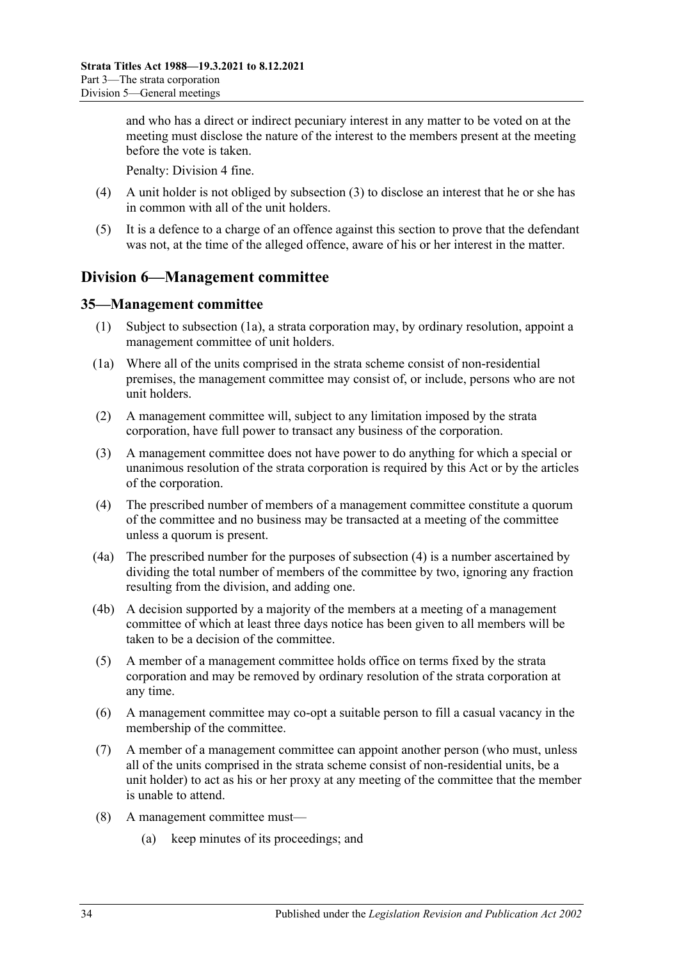and who has a direct or indirect pecuniary interest in any matter to be voted on at the meeting must disclose the nature of the interest to the members present at the meeting before the vote is taken.

Penalty: Division 4 fine.

- (4) A unit holder is not obliged by [subsection](#page-32-3) (3) to disclose an interest that he or she has in common with all of the unit holders.
- (5) It is a defence to a charge of an offence against this section to prove that the defendant was not, at the time of the alleged offence, aware of his or her interest in the matter.

### <span id="page-33-0"></span>**Division 6—Management committee**

#### <span id="page-33-1"></span>**35—Management committee**

- (1) Subject to [subsection](#page-33-2) (1a), a strata corporation may, by ordinary resolution, appoint a management committee of unit holders.
- <span id="page-33-2"></span>(1a) Where all of the units comprised in the strata scheme consist of non-residential premises, the management committee may consist of, or include, persons who are not unit holders.
- (2) A management committee will, subject to any limitation imposed by the strata corporation, have full power to transact any business of the corporation.
- (3) A management committee does not have power to do anything for which a special or unanimous resolution of the strata corporation is required by this Act or by the articles of the corporation.
- <span id="page-33-3"></span>(4) The prescribed number of members of a management committee constitute a quorum of the committee and no business may be transacted at a meeting of the committee unless a quorum is present.
- (4a) The prescribed number for the purposes of [subsection](#page-33-3) (4) is a number ascertained by dividing the total number of members of the committee by two, ignoring any fraction resulting from the division, and adding one.
- (4b) A decision supported by a majority of the members at a meeting of a management committee of which at least three days notice has been given to all members will be taken to be a decision of the committee.
- (5) A member of a management committee holds office on terms fixed by the strata corporation and may be removed by ordinary resolution of the strata corporation at any time.
- (6) A management committee may co-opt a suitable person to fill a casual vacancy in the membership of the committee.
- (7) A member of a management committee can appoint another person (who must, unless all of the units comprised in the strata scheme consist of non-residential units, be a unit holder) to act as his or her proxy at any meeting of the committee that the member is unable to attend.
- (8) A management committee must—
	- (a) keep minutes of its proceedings; and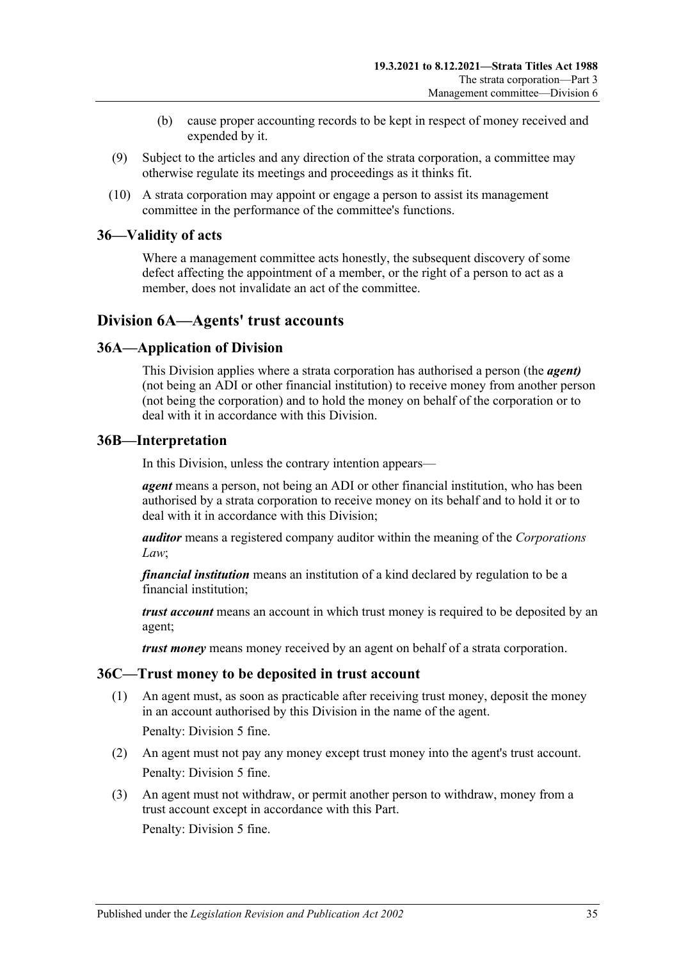- (b) cause proper accounting records to be kept in respect of money received and expended by it.
- (9) Subject to the articles and any direction of the strata corporation, a committee may otherwise regulate its meetings and proceedings as it thinks fit.
- (10) A strata corporation may appoint or engage a person to assist its management committee in the performance of the committee's functions.

#### <span id="page-34-0"></span>**36—Validity of acts**

Where a management committee acts honestly, the subsequent discovery of some defect affecting the appointment of a member, or the right of a person to act as a member, does not invalidate an act of the committee.

### <span id="page-34-1"></span>**Division 6A—Agents' trust accounts**

### <span id="page-34-2"></span>**36A—Application of Division**

This Division applies where a strata corporation has authorised a person (the *agent)* (not being an ADI or other financial institution) to receive money from another person (not being the corporation) and to hold the money on behalf of the corporation or to deal with it in accordance with this Division.

#### <span id="page-34-3"></span>**36B—Interpretation**

In this Division, unless the contrary intention appears—

*agent* means a person, not being an ADI or other financial institution, who has been authorised by a strata corporation to receive money on its behalf and to hold it or to deal with it in accordance with this Division;

*auditor* means a registered company auditor within the meaning of the *Corporations Law*;

*financial institution* means an institution of a kind declared by regulation to be a financial institution;

*trust account* means an account in which trust money is required to be deposited by an agent;

*trust money* means money received by an agent on behalf of a strata corporation.

#### <span id="page-34-4"></span>**36C—Trust money to be deposited in trust account**

(1) An agent must, as soon as practicable after receiving trust money, deposit the money in an account authorised by this Division in the name of the agent. Penalty: Division 5 fine.

- (2) An agent must not pay any money except trust money into the agent's trust account. Penalty: Division 5 fine.
- (3) An agent must not withdraw, or permit another person to withdraw, money from a trust account except in accordance with this Part. Penalty: Division 5 fine.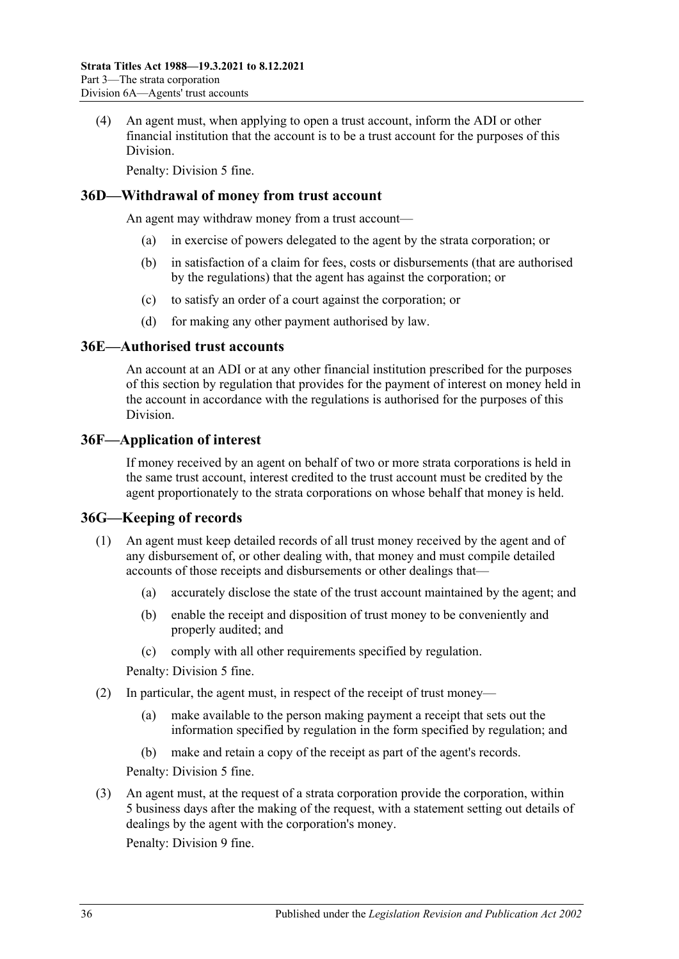(4) An agent must, when applying to open a trust account, inform the ADI or other financial institution that the account is to be a trust account for the purposes of this Division.

Penalty: Division 5 fine.

#### <span id="page-35-0"></span>**36D—Withdrawal of money from trust account**

An agent may withdraw money from a trust account—

- (a) in exercise of powers delegated to the agent by the strata corporation; or
- (b) in satisfaction of a claim for fees, costs or disbursements (that are authorised by the regulations) that the agent has against the corporation; or
- (c) to satisfy an order of a court against the corporation; or
- (d) for making any other payment authorised by law.

#### <span id="page-35-1"></span>**36E—Authorised trust accounts**

An account at an ADI or at any other financial institution prescribed for the purposes of this section by regulation that provides for the payment of interest on money held in the account in accordance with the regulations is authorised for the purposes of this Division.

#### <span id="page-35-2"></span>**36F—Application of interest**

If money received by an agent on behalf of two or more strata corporations is held in the same trust account, interest credited to the trust account must be credited by the agent proportionately to the strata corporations on whose behalf that money is held.

### <span id="page-35-3"></span>**36G—Keeping of records**

- (1) An agent must keep detailed records of all trust money received by the agent and of any disbursement of, or other dealing with, that money and must compile detailed accounts of those receipts and disbursements or other dealings that—
	- (a) accurately disclose the state of the trust account maintained by the agent; and
	- (b) enable the receipt and disposition of trust money to be conveniently and properly audited; and
	- (c) comply with all other requirements specified by regulation.

Penalty: Division 5 fine.

- <span id="page-35-4"></span>(2) In particular, the agent must, in respect of the receipt of trust money—
	- (a) make available to the person making payment a receipt that sets out the information specified by regulation in the form specified by regulation; and
	- (b) make and retain a copy of the receipt as part of the agent's records.

Penalty: Division 5 fine.

(3) An agent must, at the request of a strata corporation provide the corporation, within 5 business days after the making of the request, with a statement setting out details of dealings by the agent with the corporation's money.

Penalty: Division 9 fine.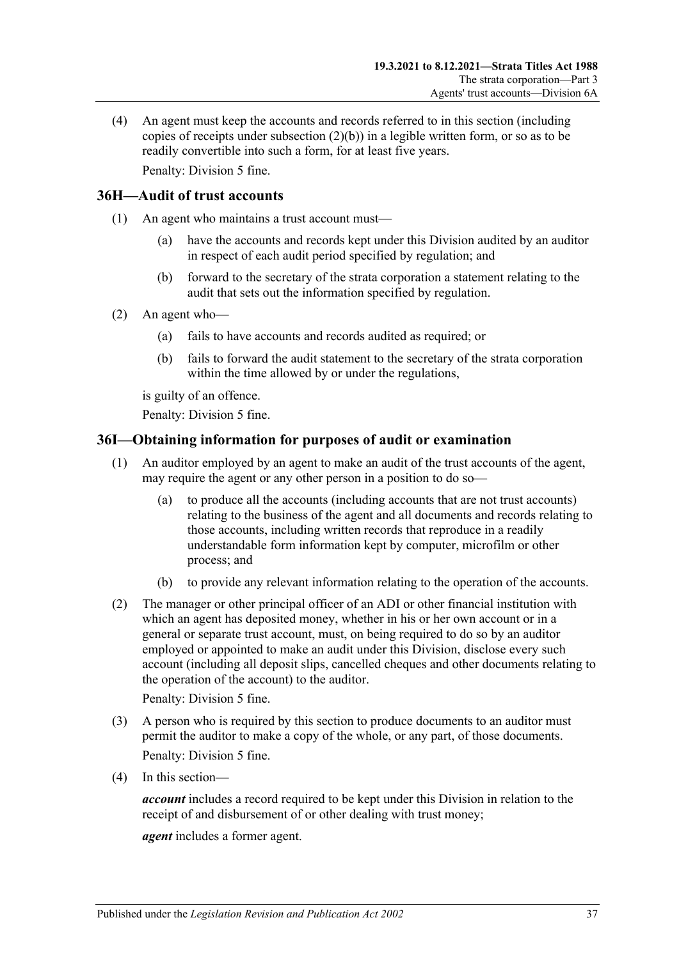(4) An agent must keep the accounts and records referred to in this section (including copies of receipts under [subsection](#page-35-4) (2)(b)) in a legible written form, or so as to be readily convertible into such a form, for at least five years. Penalty: Division 5 fine.

### <span id="page-36-0"></span>**36H—Audit of trust accounts**

- (1) An agent who maintains a trust account must—
	- (a) have the accounts and records kept under this Division audited by an auditor in respect of each audit period specified by regulation; and
	- (b) forward to the secretary of the strata corporation a statement relating to the audit that sets out the information specified by regulation.
- (2) An agent who—
	- (a) fails to have accounts and records audited as required; or
	- (b) fails to forward the audit statement to the secretary of the strata corporation within the time allowed by or under the regulations,

is guilty of an offence.

Penalty: Division 5 fine.

### <span id="page-36-1"></span>**36I—Obtaining information for purposes of audit or examination**

- (1) An auditor employed by an agent to make an audit of the trust accounts of the agent, may require the agent or any other person in a position to do so—
	- (a) to produce all the accounts (including accounts that are not trust accounts) relating to the business of the agent and all documents and records relating to those accounts, including written records that reproduce in a readily understandable form information kept by computer, microfilm or other process; and
	- (b) to provide any relevant information relating to the operation of the accounts.
- (2) The manager or other principal officer of an ADI or other financial institution with which an agent has deposited money, whether in his or her own account or in a general or separate trust account, must, on being required to do so by an auditor employed or appointed to make an audit under this Division, disclose every such account (including all deposit slips, cancelled cheques and other documents relating to the operation of the account) to the auditor.

Penalty: Division 5 fine.

- (3) A person who is required by this section to produce documents to an auditor must permit the auditor to make a copy of the whole, or any part, of those documents. Penalty: Division 5 fine.
- (4) In this section—

*account* includes a record required to be kept under this Division in relation to the receipt of and disbursement of or other dealing with trust money;

*agent* includes a former agent.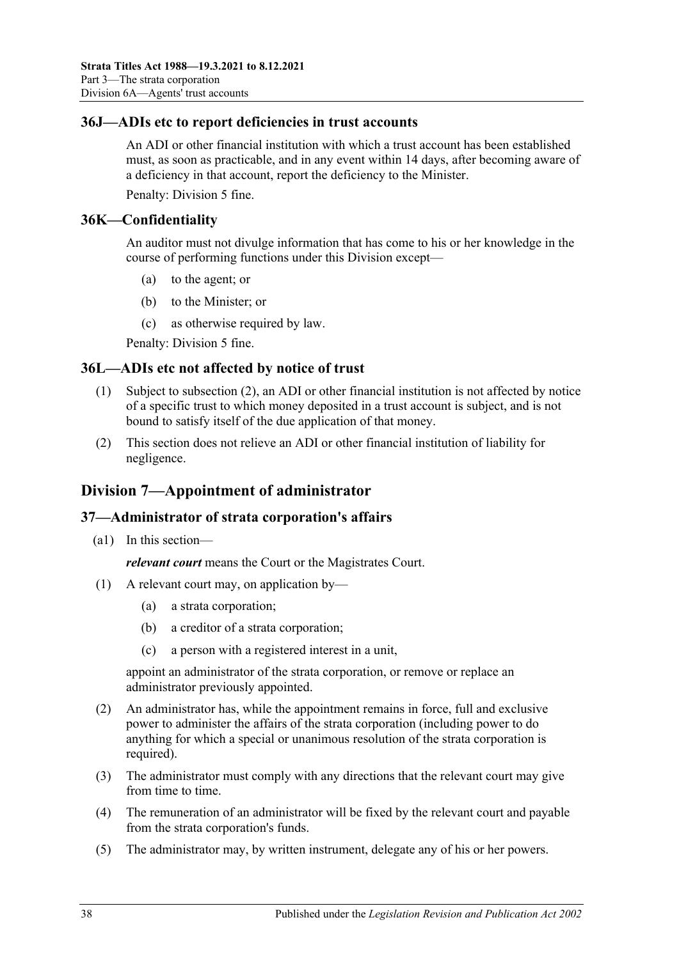### <span id="page-37-0"></span>**36J—ADIs etc to report deficiencies in trust accounts**

An ADI or other financial institution with which a trust account has been established must, as soon as practicable, and in any event within 14 days, after becoming aware of a deficiency in that account, report the deficiency to the Minister.

Penalty: Division 5 fine.

### <span id="page-37-1"></span>**36K—Confidentiality**

An auditor must not divulge information that has come to his or her knowledge in the course of performing functions under this Division except—

- (a) to the agent; or
- (b) to the Minister; or
- (c) as otherwise required by law.

Penalty: Division 5 fine.

### <span id="page-37-2"></span>**36L—ADIs etc not affected by notice of trust**

- (1) Subject to [subsection](#page-37-5) (2), an ADI or other financial institution is not affected by notice of a specific trust to which money deposited in a trust account is subject, and is not bound to satisfy itself of the due application of that money.
- <span id="page-37-5"></span>(2) This section does not relieve an ADI or other financial institution of liability for negligence.

### <span id="page-37-3"></span>**Division 7—Appointment of administrator**

### <span id="page-37-4"></span>**37—Administrator of strata corporation's affairs**

(a1) In this section—

*relevant court* means the Court or the Magistrates Court.

- (1) A relevant court may, on application by—
	- (a) a strata corporation;
	- (b) a creditor of a strata corporation;
	- (c) a person with a registered interest in a unit,

appoint an administrator of the strata corporation, or remove or replace an administrator previously appointed.

- (2) An administrator has, while the appointment remains in force, full and exclusive power to administer the affairs of the strata corporation (including power to do anything for which a special or unanimous resolution of the strata corporation is required).
- (3) The administrator must comply with any directions that the relevant court may give from time to time.
- (4) The remuneration of an administrator will be fixed by the relevant court and payable from the strata corporation's funds.
- <span id="page-37-6"></span>(5) The administrator may, by written instrument, delegate any of his or her powers.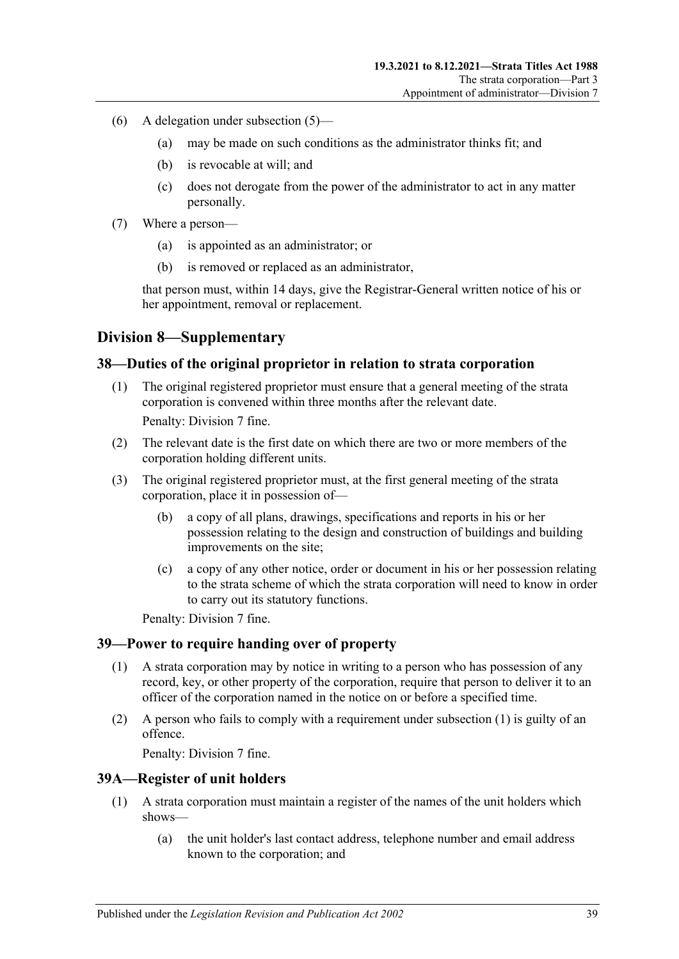- (6) A delegation under [subsection](#page-37-6) (5)—
	- (a) may be made on such conditions as the administrator thinks fit; and
	- (b) is revocable at will; and
	- (c) does not derogate from the power of the administrator to act in any matter personally.
- (7) Where a person—
	- (a) is appointed as an administrator; or
	- (b) is removed or replaced as an administrator,

that person must, within 14 days, give the Registrar-General written notice of his or her appointment, removal or replacement.

### <span id="page-38-0"></span>**Division 8—Supplementary**

#### <span id="page-38-1"></span>**38—Duties of the original proprietor in relation to strata corporation**

- (1) The original registered proprietor must ensure that a general meeting of the strata corporation is convened within three months after the relevant date. Penalty: Division 7 fine.
- (2) The relevant date is the first date on which there are two or more members of the corporation holding different units.
- (3) The original registered proprietor must, at the first general meeting of the strata corporation, place it in possession of—
	- (b) a copy of all plans, drawings, specifications and reports in his or her possession relating to the design and construction of buildings and building improvements on the site;
	- (c) a copy of any other notice, order or document in his or her possession relating to the strata scheme of which the strata corporation will need to know in order to carry out its statutory functions.

Penalty: Division 7 fine.

#### <span id="page-38-4"></span><span id="page-38-2"></span>**39—Power to require handing over of property**

- (1) A strata corporation may by notice in writing to a person who has possession of any record, key, or other property of the corporation, require that person to deliver it to an officer of the corporation named in the notice on or before a specified time.
- (2) A person who fails to comply with a requirement under [subsection](#page-38-4) (1) is guilty of an offence.

Penalty: Division 7 fine.

#### <span id="page-38-3"></span>**39A—Register of unit holders**

- (1) A strata corporation must maintain a register of the names of the unit holders which shows—
	- (a) the unit holder's last contact address, telephone number and email address known to the corporation; and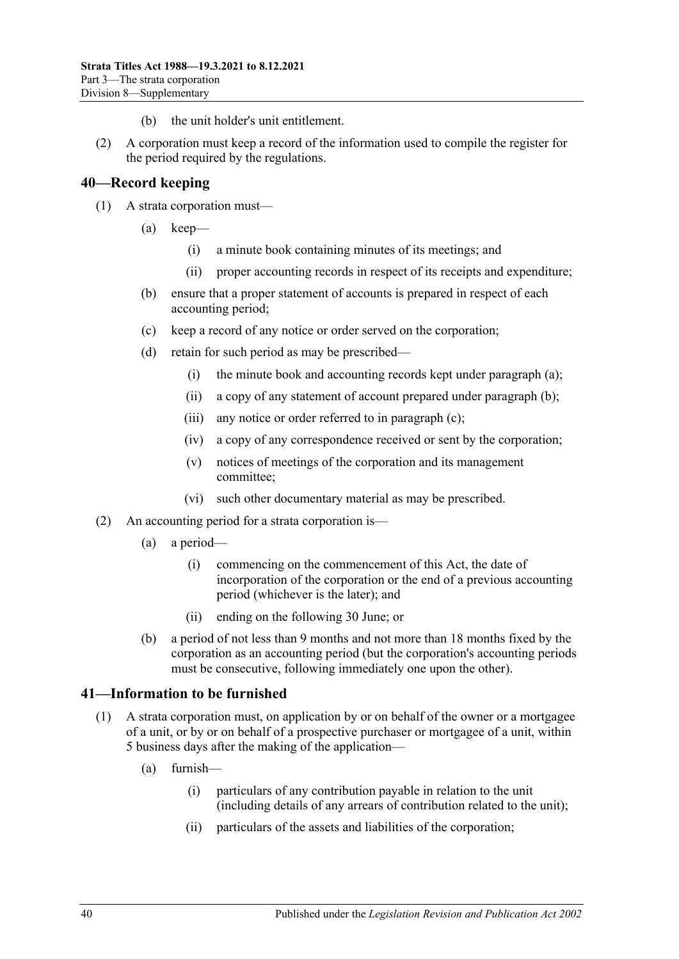- (b) the unit holder's unit entitlement.
- (2) A corporation must keep a record of the information used to compile the register for the period required by the regulations.

#### <span id="page-39-0"></span>**40—Record keeping**

- <span id="page-39-5"></span><span id="page-39-4"></span><span id="page-39-3"></span>(1) A strata corporation must—
	- (a) keep—
		- (i) a minute book containing minutes of its meetings; and
		- (ii) proper accounting records in respect of its receipts and expenditure;
	- (b) ensure that a proper statement of accounts is prepared in respect of each accounting period;
	- (c) keep a record of any notice or order served on the corporation;
	- (d) retain for such period as may be prescribed—
		- (i) the minute book and accounting records kept under [paragraph](#page-39-3) (a);
		- (ii) a copy of any statement of account prepared under [paragraph](#page-39-4) (b);
		- (iii) any notice or order referred to in [paragraph](#page-39-5) (c);
		- (iv) a copy of any correspondence received or sent by the corporation;
		- (v) notices of meetings of the corporation and its management committee;
		- (vi) such other documentary material as may be prescribed.
- <span id="page-39-2"></span>(2) An accounting period for a strata corporation is—
	- (a) a period—
		- (i) commencing on the commencement of this Act, the date of incorporation of the corporation or the end of a previous accounting period (whichever is the later); and
		- (ii) ending on the following 30 June; or
	- (b) a period of not less than 9 months and not more than 18 months fixed by the corporation as an accounting period (but the corporation's accounting periods must be consecutive, following immediately one upon the other).

#### <span id="page-39-1"></span>**41—Information to be furnished**

- <span id="page-39-6"></span>(1) A strata corporation must, on application by or on behalf of the owner or a mortgagee of a unit, or by or on behalf of a prospective purchaser or mortgagee of a unit, within 5 business days after the making of the application—
	- (a) furnish—
		- (i) particulars of any contribution payable in relation to the unit (including details of any arrears of contribution related to the unit);
		- (ii) particulars of the assets and liabilities of the corporation;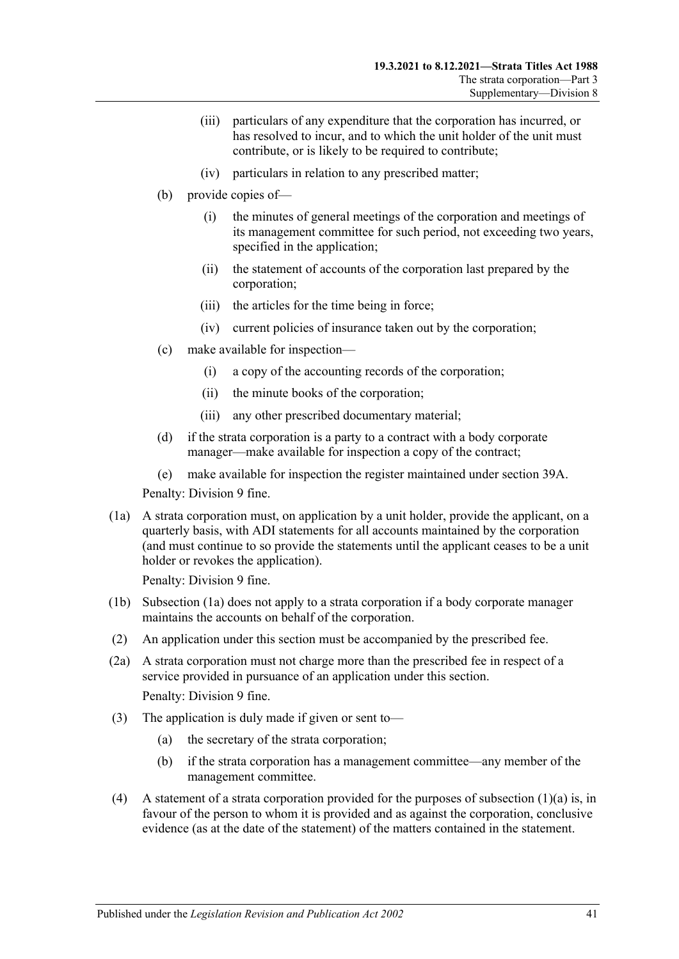- (iii) particulars of any expenditure that the corporation has incurred, or has resolved to incur, and to which the unit holder of the unit must contribute, or is likely to be required to contribute;
- (iv) particulars in relation to any prescribed matter;
- (b) provide copies of—
	- (i) the minutes of general meetings of the corporation and meetings of its management committee for such period, not exceeding two years, specified in the application;
	- (ii) the statement of accounts of the corporation last prepared by the corporation;
	- (iii) the articles for the time being in force;
	- (iv) current policies of insurance taken out by the corporation;
- (c) make available for inspection—
	- (i) a copy of the accounting records of the corporation;
	- (ii) the minute books of the corporation;
	- (iii) any other prescribed documentary material;
- (d) if the strata corporation is a party to a contract with a body corporate manager—make available for inspection a copy of the contract;
- (e) make available for inspection the register maintained under [section](#page-38-3) 39A.

Penalty: Division 9 fine.

<span id="page-40-0"></span>(1a) A strata corporation must, on application by a unit holder, provide the applicant, on a quarterly basis, with ADI statements for all accounts maintained by the corporation (and must continue to so provide the statements until the applicant ceases to be a unit holder or revokes the application).

Penalty: Division 9 fine.

- (1b) [Subsection](#page-40-0) (1a) does not apply to a strata corporation if a body corporate manager maintains the accounts on behalf of the corporation.
- (2) An application under this section must be accompanied by the prescribed fee.
- (2a) A strata corporation must not charge more than the prescribed fee in respect of a service provided in pursuance of an application under this section. Penalty: Division 9 fine.
- (3) The application is duly made if given or sent to—
	- (a) the secretary of the strata corporation;
	- (b) if the strata corporation has a management committee—any member of the management committee.
- (4) A statement of a strata corporation provided for the purposes of [subsection](#page-39-6)  $(1)(a)$  is, in favour of the person to whom it is provided and as against the corporation, conclusive evidence (as at the date of the statement) of the matters contained in the statement.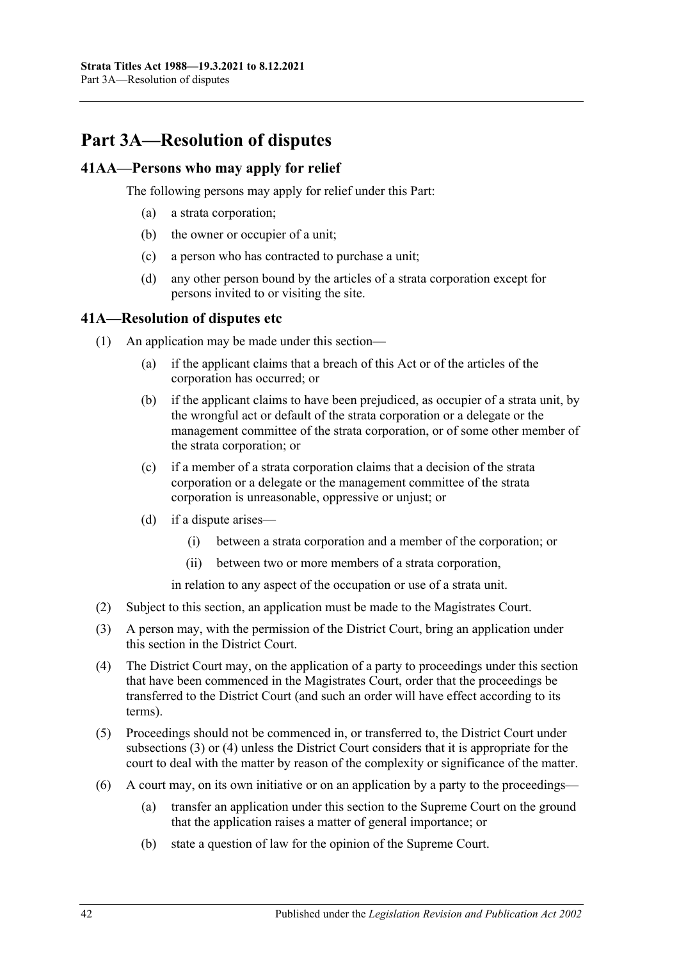## <span id="page-41-0"></span>**Part 3A—Resolution of disputes**

### <span id="page-41-1"></span>**41AA—Persons who may apply for relief**

The following persons may apply for relief under this Part:

- (a) a strata corporation;
- (b) the owner or occupier of a unit;
- (c) a person who has contracted to purchase a unit;
- (d) any other person bound by the articles of a strata corporation except for persons invited to or visiting the site.

#### <span id="page-41-2"></span>**41A—Resolution of disputes etc**

- (1) An application may be made under this section—
	- (a) if the applicant claims that a breach of this Act or of the articles of the corporation has occurred; or
	- (b) if the applicant claims to have been prejudiced, as occupier of a strata unit, by the wrongful act or default of the strata corporation or a delegate or the management committee of the strata corporation, or of some other member of the strata corporation; or
	- (c) if a member of a strata corporation claims that a decision of the strata corporation or a delegate or the management committee of the strata corporation is unreasonable, oppressive or unjust; or
	- (d) if a dispute arises—
		- (i) between a strata corporation and a member of the corporation; or
		- (ii) between two or more members of a strata corporation,

in relation to any aspect of the occupation or use of a strata unit.

- (2) Subject to this section, an application must be made to the Magistrates Court.
- <span id="page-41-3"></span>(3) A person may, with the permission of the District Court, bring an application under this section in the District Court.
- <span id="page-41-4"></span>(4) The District Court may, on the application of a party to proceedings under this section that have been commenced in the Magistrates Court, order that the proceedings be transferred to the District Court (and such an order will have effect according to its terms).
- (5) Proceedings should not be commenced in, or transferred to, the District Court under [subsections](#page-41-3) (3) or [\(4\)](#page-41-4) unless the District Court considers that it is appropriate for the court to deal with the matter by reason of the complexity or significance of the matter.
- (6) A court may, on its own initiative or on an application by a party to the proceedings—
	- (a) transfer an application under this section to the Supreme Court on the ground that the application raises a matter of general importance; or
	- (b) state a question of law for the opinion of the Supreme Court.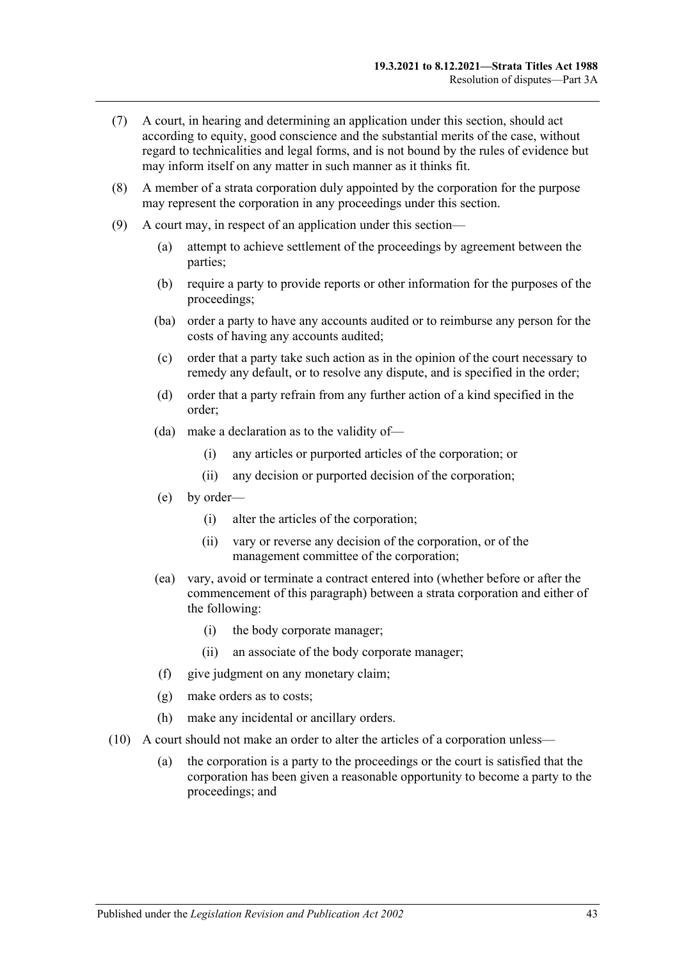- (7) A court, in hearing and determining an application under this section, should act according to equity, good conscience and the substantial merits of the case, without regard to technicalities and legal forms, and is not bound by the rules of evidence but may inform itself on any matter in such manner as it thinks fit.
- (8) A member of a strata corporation duly appointed by the corporation for the purpose may represent the corporation in any proceedings under this section.
- (9) A court may, in respect of an application under this section—
	- (a) attempt to achieve settlement of the proceedings by agreement between the parties;
	- (b) require a party to provide reports or other information for the purposes of the proceedings;
	- (ba) order a party to have any accounts audited or to reimburse any person for the costs of having any accounts audited;
	- (c) order that a party take such action as in the opinion of the court necessary to remedy any default, or to resolve any dispute, and is specified in the order;
	- (d) order that a party refrain from any further action of a kind specified in the order;
	- (da) make a declaration as to the validity of—
		- (i) any articles or purported articles of the corporation; or
		- (ii) any decision or purported decision of the corporation;
	- (e) by order—
		- (i) alter the articles of the corporation;
		- (ii) vary or reverse any decision of the corporation, or of the management committee of the corporation;
	- (ea) vary, avoid or terminate a contract entered into (whether before or after the commencement of this paragraph) between a strata corporation and either of the following:
		- (i) the body corporate manager;
		- (ii) an associate of the body corporate manager;
	- (f) give judgment on any monetary claim;
	- (g) make orders as to costs;
	- (h) make any incidental or ancillary orders.
- (10) A court should not make an order to alter the articles of a corporation unless—
	- (a) the corporation is a party to the proceedings or the court is satisfied that the corporation has been given a reasonable opportunity to become a party to the proceedings; and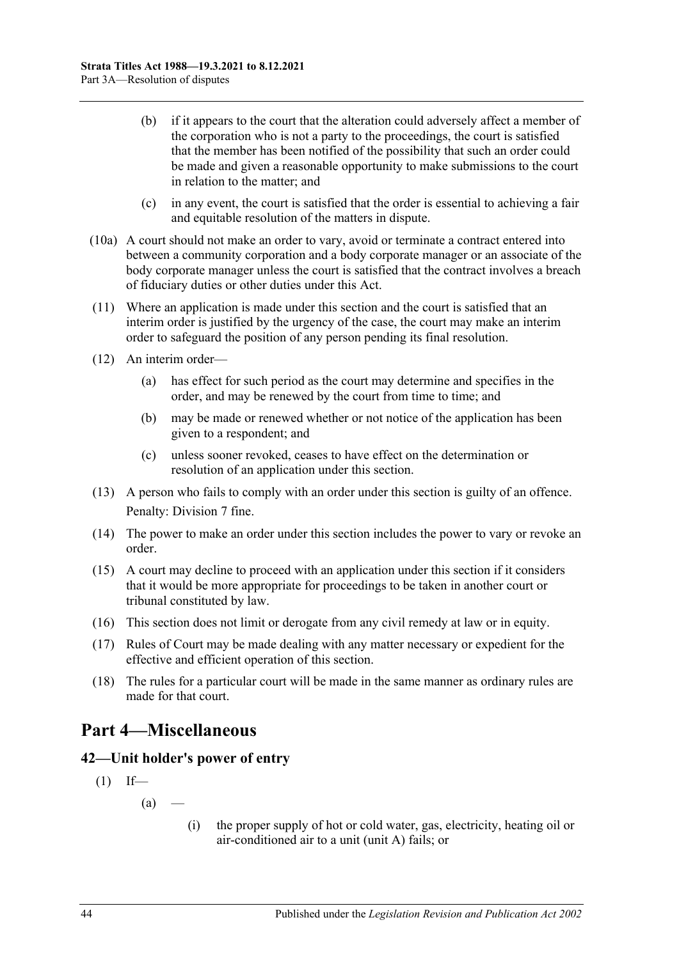- (b) if it appears to the court that the alteration could adversely affect a member of the corporation who is not a party to the proceedings, the court is satisfied that the member has been notified of the possibility that such an order could be made and given a reasonable opportunity to make submissions to the court in relation to the matter; and
- (c) in any event, the court is satisfied that the order is essential to achieving a fair and equitable resolution of the matters in dispute.
- (10a) A court should not make an order to vary, avoid or terminate a contract entered into between a community corporation and a body corporate manager or an associate of the body corporate manager unless the court is satisfied that the contract involves a breach of fiduciary duties or other duties under this Act.
- (11) Where an application is made under this section and the court is satisfied that an interim order is justified by the urgency of the case, the court may make an interim order to safeguard the position of any person pending its final resolution.
- (12) An interim order—
	- (a) has effect for such period as the court may determine and specifies in the order, and may be renewed by the court from time to time; and
	- (b) may be made or renewed whether or not notice of the application has been given to a respondent; and
	- (c) unless sooner revoked, ceases to have effect on the determination or resolution of an application under this section.
- (13) A person who fails to comply with an order under this section is guilty of an offence. Penalty: Division 7 fine.
- (14) The power to make an order under this section includes the power to vary or revoke an order.
- (15) A court may decline to proceed with an application under this section if it considers that it would be more appropriate for proceedings to be taken in another court or tribunal constituted by law.
- (16) This section does not limit or derogate from any civil remedy at law or in equity.
- (17) Rules of Court may be made dealing with any matter necessary or expedient for the effective and efficient operation of this section.
- (18) The rules for a particular court will be made in the same manner as ordinary rules are made for that court.

## <span id="page-43-0"></span>**Part 4—Miscellaneous**

### <span id="page-43-1"></span>**42—Unit holder's power of entry**

- $(1)$  If—
	- $(a)$  —
- (i) the proper supply of hot or cold water, gas, electricity, heating oil or air-conditioned air to a unit (unit A) fails; or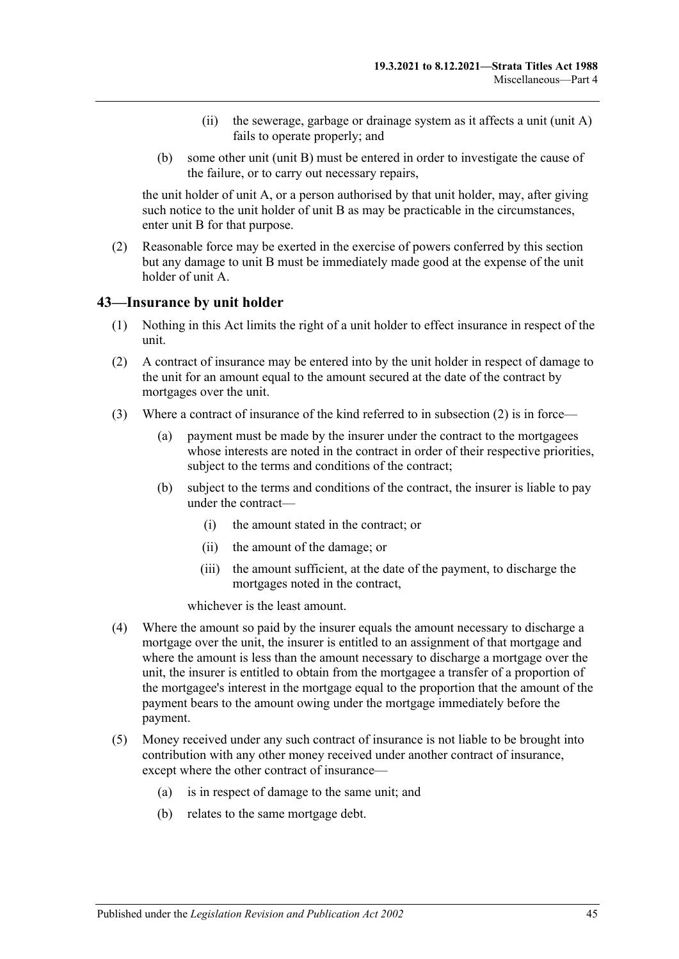- (ii) the sewerage, garbage or drainage system as it affects a unit (unit A) fails to operate properly; and
- (b) some other unit (unit B) must be entered in order to investigate the cause of the failure, or to carry out necessary repairs,

the unit holder of unit A, or a person authorised by that unit holder, may, after giving such notice to the unit holder of unit B as may be practicable in the circumstances, enter unit B for that purpose.

(2) Reasonable force may be exerted in the exercise of powers conferred by this section but any damage to unit B must be immediately made good at the expense of the unit holder of unit A.

#### <span id="page-44-0"></span>**43—Insurance by unit holder**

- (1) Nothing in this Act limits the right of a unit holder to effect insurance in respect of the unit.
- <span id="page-44-1"></span>(2) A contract of insurance may be entered into by the unit holder in respect of damage to the unit for an amount equal to the amount secured at the date of the contract by mortgages over the unit.
- (3) Where a contract of insurance of the kind referred to in [subsection](#page-44-1) (2) is in force—
	- (a) payment must be made by the insurer under the contract to the mortgagees whose interests are noted in the contract in order of their respective priorities, subject to the terms and conditions of the contract;
	- (b) subject to the terms and conditions of the contract, the insurer is liable to pay under the contract—
		- (i) the amount stated in the contract; or
		- (ii) the amount of the damage; or
		- (iii) the amount sufficient, at the date of the payment, to discharge the mortgages noted in the contract,

whichever is the least amount.

- (4) Where the amount so paid by the insurer equals the amount necessary to discharge a mortgage over the unit, the insurer is entitled to an assignment of that mortgage and where the amount is less than the amount necessary to discharge a mortgage over the unit, the insurer is entitled to obtain from the mortgagee a transfer of a proportion of the mortgagee's interest in the mortgage equal to the proportion that the amount of the payment bears to the amount owing under the mortgage immediately before the payment.
- (5) Money received under any such contract of insurance is not liable to be brought into contribution with any other money received under another contract of insurance, except where the other contract of insurance—
	- (a) is in respect of damage to the same unit; and
	- (b) relates to the same mortgage debt.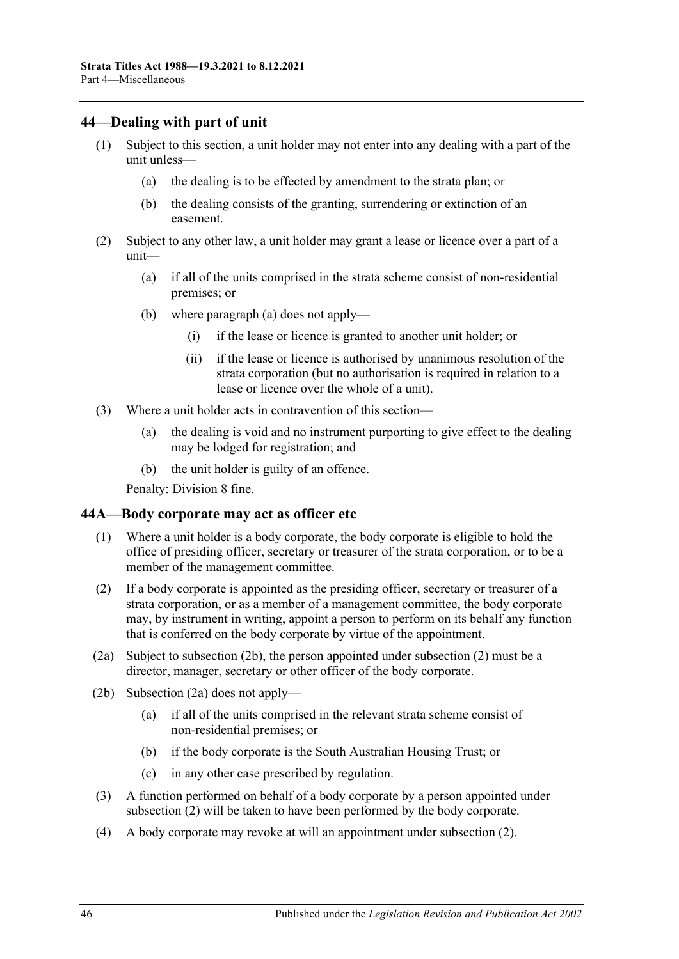### <span id="page-45-0"></span>**44—Dealing with part of unit**

- (1) Subject to this section, a unit holder may not enter into any dealing with a part of the unit unless—
	- (a) the dealing is to be effected by amendment to the strata plan; or
	- (b) the dealing consists of the granting, surrendering or extinction of an easement.
- <span id="page-45-2"></span>(2) Subject to any other law, a unit holder may grant a lease or licence over a part of a unit—
	- (a) if all of the units comprised in the strata scheme consist of non-residential premises; or
	- (b) where [paragraph](#page-45-2) (a) does not apply—
		- (i) if the lease or licence is granted to another unit holder; or
		- (ii) if the lease or licence is authorised by unanimous resolution of the strata corporation (but no authorisation is required in relation to a lease or licence over the whole of a unit).
- (3) Where a unit holder acts in contravention of this section—
	- (a) the dealing is void and no instrument purporting to give effect to the dealing may be lodged for registration; and
	- (b) the unit holder is guilty of an offence.

Penalty: Division 8 fine.

### <span id="page-45-1"></span>**44A—Body corporate may act as officer etc**

- (1) Where a unit holder is a body corporate, the body corporate is eligible to hold the office of presiding officer, secretary or treasurer of the strata corporation, or to be a member of the management committee.
- <span id="page-45-4"></span>(2) If a body corporate is appointed as the presiding officer, secretary or treasurer of a strata corporation, or as a member of a management committee, the body corporate may, by instrument in writing, appoint a person to perform on its behalf any function that is conferred on the body corporate by virtue of the appointment.
- <span id="page-45-5"></span>(2a) Subject to [subsection](#page-45-3) (2b), the person appointed under [subsection](#page-45-4) (2) must be a director, manager, secretary or other officer of the body corporate.
- <span id="page-45-3"></span>(2b) [Subsection](#page-45-5) (2a) does not apply—
	- (a) if all of the units comprised in the relevant strata scheme consist of non-residential premises; or
	- (b) if the body corporate is the South Australian Housing Trust; or
	- (c) in any other case prescribed by regulation.
- (3) A function performed on behalf of a body corporate by a person appointed under [subsection](#page-45-4) (2) will be taken to have been performed by the body corporate.
- (4) A body corporate may revoke at will an appointment under [subsection](#page-45-4) (2).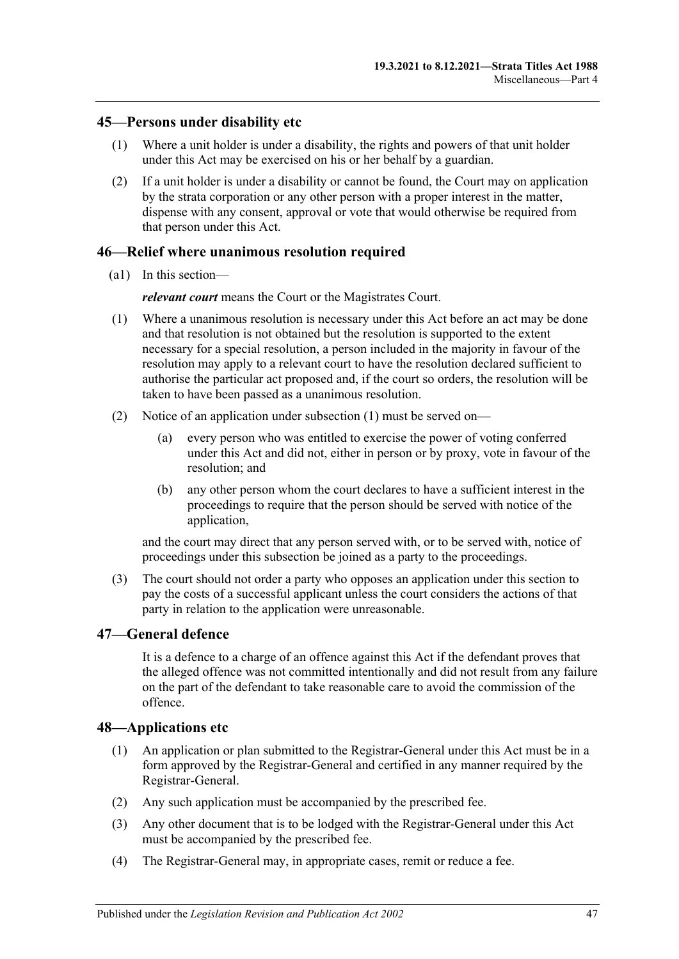#### <span id="page-46-0"></span>**45—Persons under disability etc**

- (1) Where a unit holder is under a disability, the rights and powers of that unit holder under this Act may be exercised on his or her behalf by a guardian.
- (2) If a unit holder is under a disability or cannot be found, the Court may on application by the strata corporation or any other person with a proper interest in the matter, dispense with any consent, approval or vote that would otherwise be required from that person under this Act.

#### <span id="page-46-1"></span>**46—Relief where unanimous resolution required**

(a1) In this section—

*relevant court* means the Court or the Magistrates Court.

- <span id="page-46-4"></span>(1) Where a unanimous resolution is necessary under this Act before an act may be done and that resolution is not obtained but the resolution is supported to the extent necessary for a special resolution, a person included in the majority in favour of the resolution may apply to a relevant court to have the resolution declared sufficient to authorise the particular act proposed and, if the court so orders, the resolution will be taken to have been passed as a unanimous resolution.
- (2) Notice of an application under [subsection](#page-46-4) (1) must be served on—
	- (a) every person who was entitled to exercise the power of voting conferred under this Act and did not, either in person or by proxy, vote in favour of the resolution; and
	- (b) any other person whom the court declares to have a sufficient interest in the proceedings to require that the person should be served with notice of the application,

and the court may direct that any person served with, or to be served with, notice of proceedings under this subsection be joined as a party to the proceedings.

(3) The court should not order a party who opposes an application under this section to pay the costs of a successful applicant unless the court considers the actions of that party in relation to the application were unreasonable.

### <span id="page-46-2"></span>**47—General defence**

It is a defence to a charge of an offence against this Act if the defendant proves that the alleged offence was not committed intentionally and did not result from any failure on the part of the defendant to take reasonable care to avoid the commission of the offence.

#### <span id="page-46-3"></span>**48—Applications etc**

- (1) An application or plan submitted to the Registrar-General under this Act must be in a form approved by the Registrar-General and certified in any manner required by the Registrar-General.
- (2) Any such application must be accompanied by the prescribed fee.
- (3) Any other document that is to be lodged with the Registrar-General under this Act must be accompanied by the prescribed fee.
- (4) The Registrar-General may, in appropriate cases, remit or reduce a fee.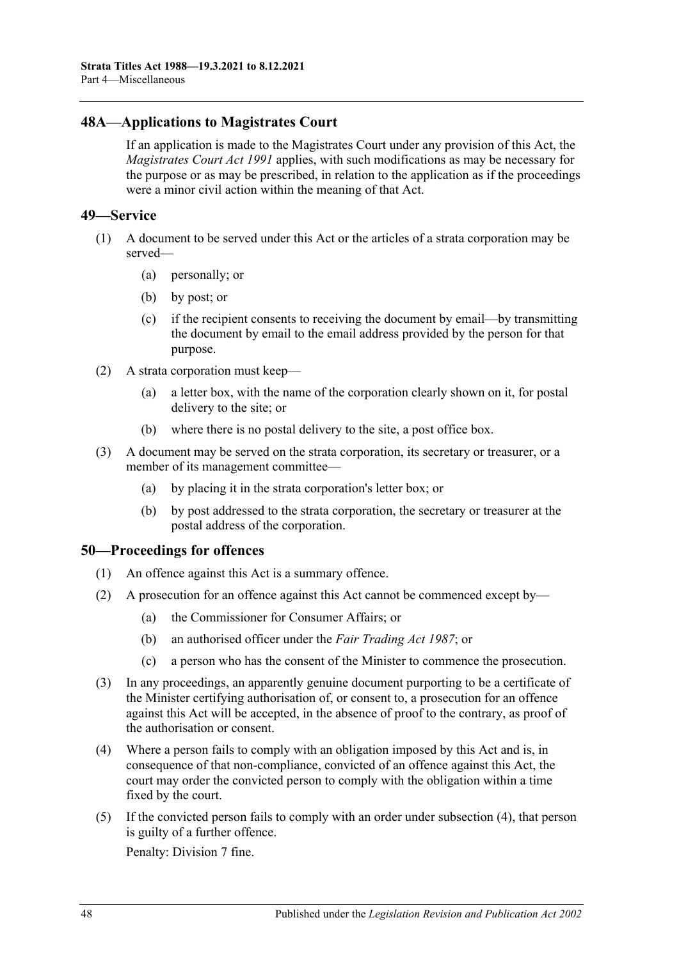### <span id="page-47-0"></span>**48A—Applications to Magistrates Court**

If an application is made to the Magistrates Court under any provision of this Act, the *[Magistrates Court Act](http://www.legislation.sa.gov.au/index.aspx?action=legref&type=act&legtitle=Magistrates%20Court%20Act%201991) 1991* applies, with such modifications as may be necessary for the purpose or as may be prescribed, in relation to the application as if the proceedings were a minor civil action within the meaning of that Act.

#### <span id="page-47-1"></span>**49—Service**

- (1) A document to be served under this Act or the articles of a strata corporation may be served—
	- (a) personally; or
	- (b) by post; or
	- (c) if the recipient consents to receiving the document by email—by transmitting the document by email to the email address provided by the person for that purpose.
- (2) A strata corporation must keep—
	- (a) a letter box, with the name of the corporation clearly shown on it, for postal delivery to the site; or
	- (b) where there is no postal delivery to the site, a post office box.
- (3) A document may be served on the strata corporation, its secretary or treasurer, or a member of its management committee—
	- (a) by placing it in the strata corporation's letter box; or
	- (b) by post addressed to the strata corporation, the secretary or treasurer at the postal address of the corporation.

### <span id="page-47-2"></span>**50—Proceedings for offences**

- (1) An offence against this Act is a summary offence.
- (2) A prosecution for an offence against this Act cannot be commenced except by—
	- (a) the Commissioner for Consumer Affairs; or
	- (b) an authorised officer under the *[Fair Trading Act](http://www.legislation.sa.gov.au/index.aspx?action=legref&type=act&legtitle=Fair%20Trading%20Act%201987) 1987*; or
	- (c) a person who has the consent of the Minister to commence the prosecution.
- (3) In any proceedings, an apparently genuine document purporting to be a certificate of the Minister certifying authorisation of, or consent to, a prosecution for an offence against this Act will be accepted, in the absence of proof to the contrary, as proof of the authorisation or consent.
- <span id="page-47-3"></span>(4) Where a person fails to comply with an obligation imposed by this Act and is, in consequence of that non-compliance, convicted of an offence against this Act, the court may order the convicted person to comply with the obligation within a time fixed by the court.
- (5) If the convicted person fails to comply with an order under [subsection](#page-47-3) (4), that person is guilty of a further offence.

Penalty: Division 7 fine.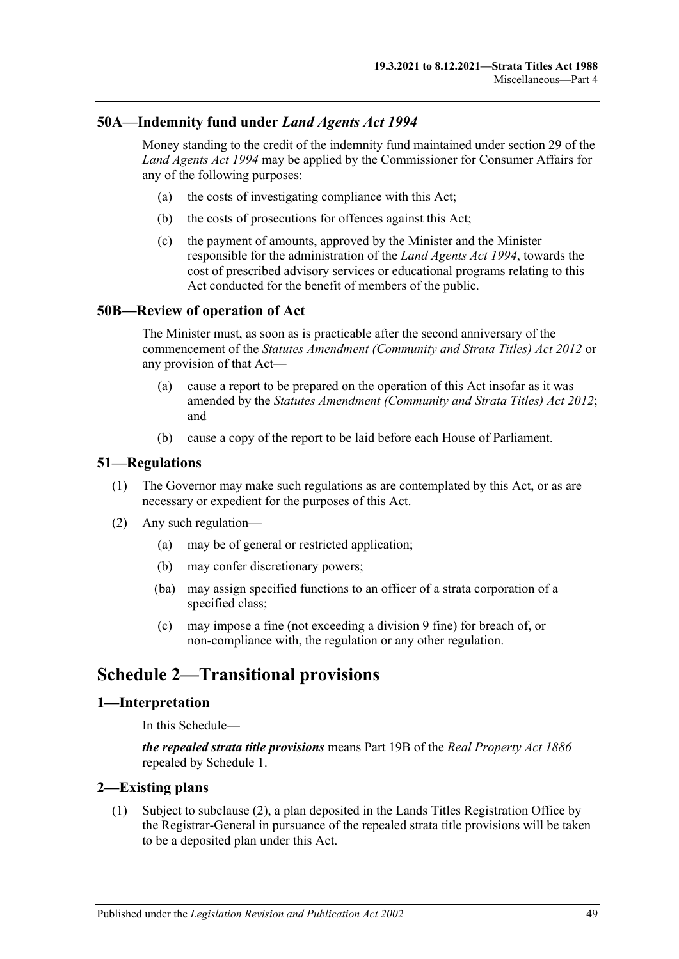### <span id="page-48-0"></span>**50A—Indemnity fund under** *Land Agents Act 1994*

Money standing to the credit of the indemnity fund maintained under section 29 of the *[Land Agents Act](http://www.legislation.sa.gov.au/index.aspx?action=legref&type=act&legtitle=Land%20Agents%20Act%201994) 1994* may be applied by the Commissioner for Consumer Affairs for any of the following purposes:

- (a) the costs of investigating compliance with this Act;
- (b) the costs of prosecutions for offences against this Act;
- (c) the payment of amounts, approved by the Minister and the Minister responsible for the administration of the *[Land Agents Act](http://www.legislation.sa.gov.au/index.aspx?action=legref&type=act&legtitle=Land%20Agents%20Act%201994) 1994*, towards the cost of prescribed advisory services or educational programs relating to this Act conducted for the benefit of members of the public.

#### <span id="page-48-1"></span>**50B—Review of operation of Act**

The Minister must, as soon as is practicable after the second anniversary of the commencement of the *[Statutes Amendment \(Community and Strata Titles\) Act](http://www.legislation.sa.gov.au/index.aspx?action=legref&type=act&legtitle=Statutes%20Amendment%20(Community%20and%20Strata%20Titles)%20Act%202012) 2012* or any provision of that Act—

- (a) cause a report to be prepared on the operation of this Act insofar as it was amended by the *[Statutes Amendment \(Community and Strata Titles\) Act](http://www.legislation.sa.gov.au/index.aspx?action=legref&type=act&legtitle=Statutes%20Amendment%20(Community%20and%20Strata%20Titles)%20Act%202012) 2012*; and
- (b) cause a copy of the report to be laid before each House of Parliament.

#### <span id="page-48-2"></span>**51—Regulations**

- (1) The Governor may make such regulations as are contemplated by this Act, or as are necessary or expedient for the purposes of this Act.
- (2) Any such regulation—
	- (a) may be of general or restricted application;
	- (b) may confer discretionary powers;
	- (ba) may assign specified functions to an officer of a strata corporation of a specified class;
	- (c) may impose a fine (not exceeding a division 9 fine) for breach of, or non-compliance with, the regulation or any other regulation.

## <span id="page-48-3"></span>**Schedule 2—Transitional provisions**

#### <span id="page-48-4"></span>**1—Interpretation**

In this Schedule—

*the repealed strata title provisions* means Part 19B of the *[Real Property Act](http://www.legislation.sa.gov.au/index.aspx?action=legref&type=act&legtitle=Real%20Property%20Act%201886) 1886* repealed by Schedule 1.

#### <span id="page-48-6"></span><span id="page-48-5"></span>**2—Existing plans**

(1) Subject to [subclause](#page-49-4) (2), a plan deposited in the Lands Titles Registration Office by the Registrar-General in pursuance of the repealed strata title provisions will be taken to be a deposited plan under this Act.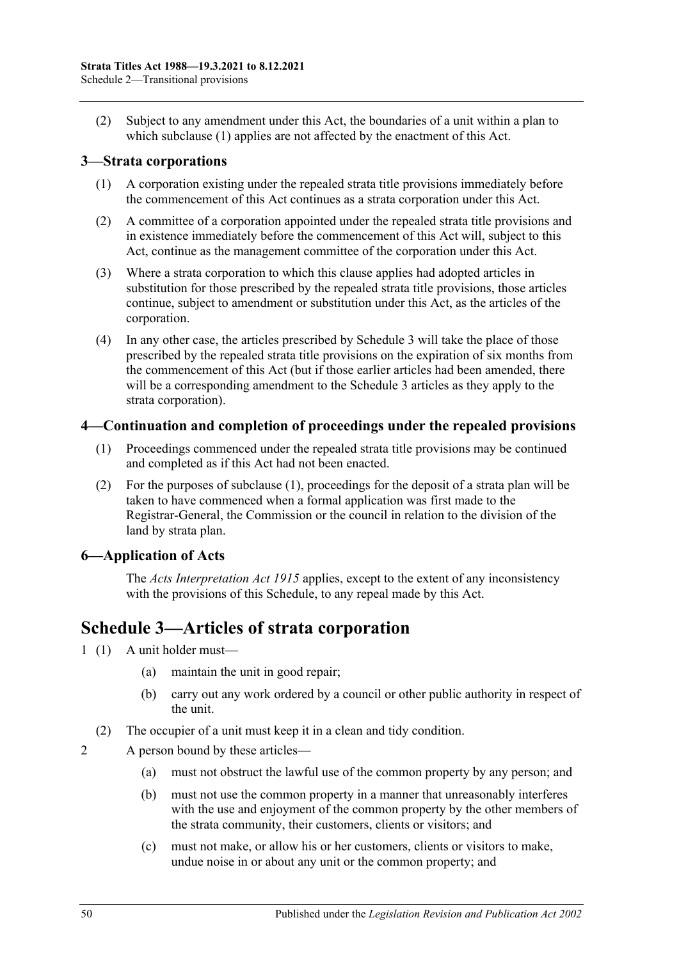<span id="page-49-4"></span>(2) Subject to any amendment under this Act, the boundaries of a unit within a plan to which [subclause](#page-48-6) (1) applies are not affected by the enactment of this Act.

### <span id="page-49-0"></span>**3—Strata corporations**

- (1) A corporation existing under the repealed strata title provisions immediately before the commencement of this Act continues as a strata corporation under this Act.
- (2) A committee of a corporation appointed under the repealed strata title provisions and in existence immediately before the commencement of this Act will, subject to this Act, continue as the management committee of the corporation under this Act.
- (3) Where a strata corporation to which this clause applies had adopted articles in substitution for those prescribed by the repealed strata title provisions, those articles continue, subject to amendment or substitution under this Act, as the articles of the corporation.
- (4) In any other case, the articles prescribed by [Schedule 3](#page-49-3) will take the place of those prescribed by the repealed strata title provisions on the expiration of six months from the commencement of this Act (but if those earlier articles had been amended, there will be a corresponding amendment to the [Schedule 3](#page-49-3) articles as they apply to the strata corporation).

### <span id="page-49-5"></span><span id="page-49-1"></span>**4—Continuation and completion of proceedings under the repealed provisions**

- (1) Proceedings commenced under the repealed strata title provisions may be continued and completed as if this Act had not been enacted.
- (2) For the purposes of [subclause](#page-49-5) (1), proceedings for the deposit of a strata plan will be taken to have commenced when a formal application was first made to the Registrar-General, the Commission or the council in relation to the division of the land by strata plan.

### <span id="page-49-2"></span>**6—Application of Acts**

The *[Acts Interpretation Act](http://www.legislation.sa.gov.au/index.aspx?action=legref&type=act&legtitle=Acts%20Interpretation%20Act%201915) 1915* applies, except to the extent of any inconsistency with the provisions of this Schedule, to any repeal made by this Act.

## <span id="page-49-3"></span>**Schedule 3—Articles of strata corporation**

- 1 (1) A unit holder must—
	- (a) maintain the unit in good repair;
	- (b) carry out any work ordered by a council or other public authority in respect of the unit.
	- (2) The occupier of a unit must keep it in a clean and tidy condition.

2 A person bound by these articles—

- (a) must not obstruct the lawful use of the common property by any person; and
- (b) must not use the common property in a manner that unreasonably interferes with the use and enjoyment of the common property by the other members of the strata community, their customers, clients or visitors; and
- (c) must not make, or allow his or her customers, clients or visitors to make, undue noise in or about any unit or the common property; and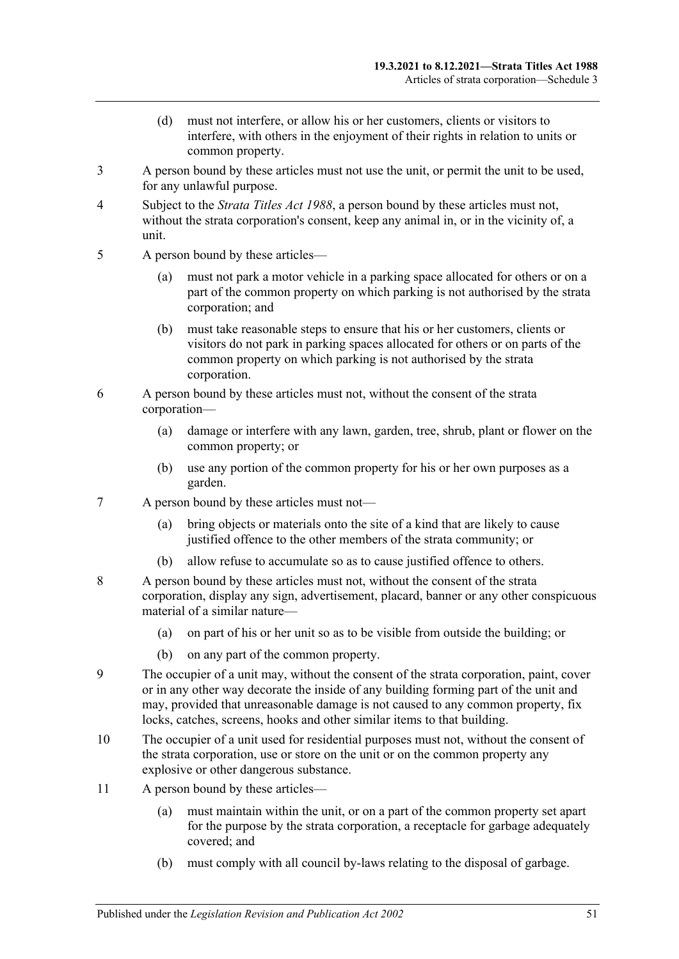- (d) must not interfere, or allow his or her customers, clients or visitors to interfere, with others in the enjoyment of their rights in relation to units or common property.
- 3 A person bound by these articles must not use the unit, or permit the unit to be used, for any unlawful purpose.
- 4 Subject to the *[Strata Titles Act](http://www.legislation.sa.gov.au/index.aspx?action=legref&type=act&legtitle=Strata%20Titles%20Act%201988) 1988*, a person bound by these articles must not, without the strata corporation's consent, keep any animal in, or in the vicinity of, a unit.
- 5 A person bound by these articles—
	- (a) must not park a motor vehicle in a parking space allocated for others or on a part of the common property on which parking is not authorised by the strata corporation; and
	- (b) must take reasonable steps to ensure that his or her customers, clients or visitors do not park in parking spaces allocated for others or on parts of the common property on which parking is not authorised by the strata corporation.
- 6 A person bound by these articles must not, without the consent of the strata corporation—
	- (a) damage or interfere with any lawn, garden, tree, shrub, plant or flower on the common property; or
	- (b) use any portion of the common property for his or her own purposes as a garden.
- 7 A person bound by these articles must not—
	- (a) bring objects or materials onto the site of a kind that are likely to cause justified offence to the other members of the strata community; or
	- (b) allow refuse to accumulate so as to cause justified offence to others.
- 8 A person bound by these articles must not, without the consent of the strata corporation, display any sign, advertisement, placard, banner or any other conspicuous material of a similar nature—
	- (a) on part of his or her unit so as to be visible from outside the building; or
	- (b) on any part of the common property.
- 9 The occupier of a unit may, without the consent of the strata corporation, paint, cover or in any other way decorate the inside of any building forming part of the unit and may, provided that unreasonable damage is not caused to any common property, fix locks, catches, screens, hooks and other similar items to that building.
- 10 The occupier of a unit used for residential purposes must not, without the consent of the strata corporation, use or store on the unit or on the common property any explosive or other dangerous substance.
- 11 A person bound by these articles—
	- (a) must maintain within the unit, or on a part of the common property set apart for the purpose by the strata corporation, a receptacle for garbage adequately covered; and
	- (b) must comply with all council by-laws relating to the disposal of garbage.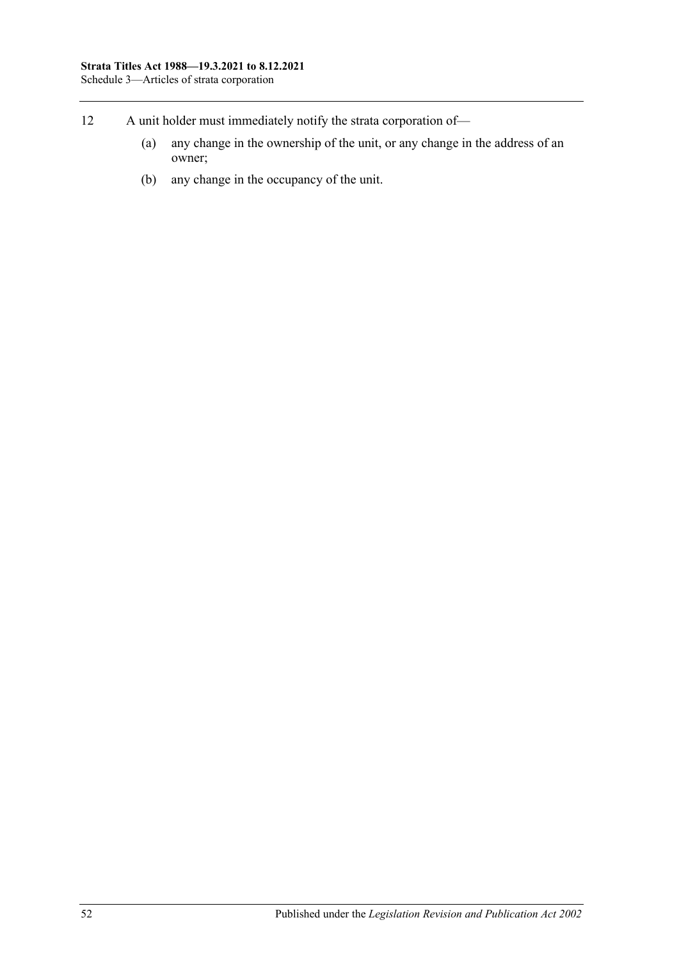- 12 A unit holder must immediately notify the strata corporation of—
	- (a) any change in the ownership of the unit, or any change in the address of an owner;
	- (b) any change in the occupancy of the unit.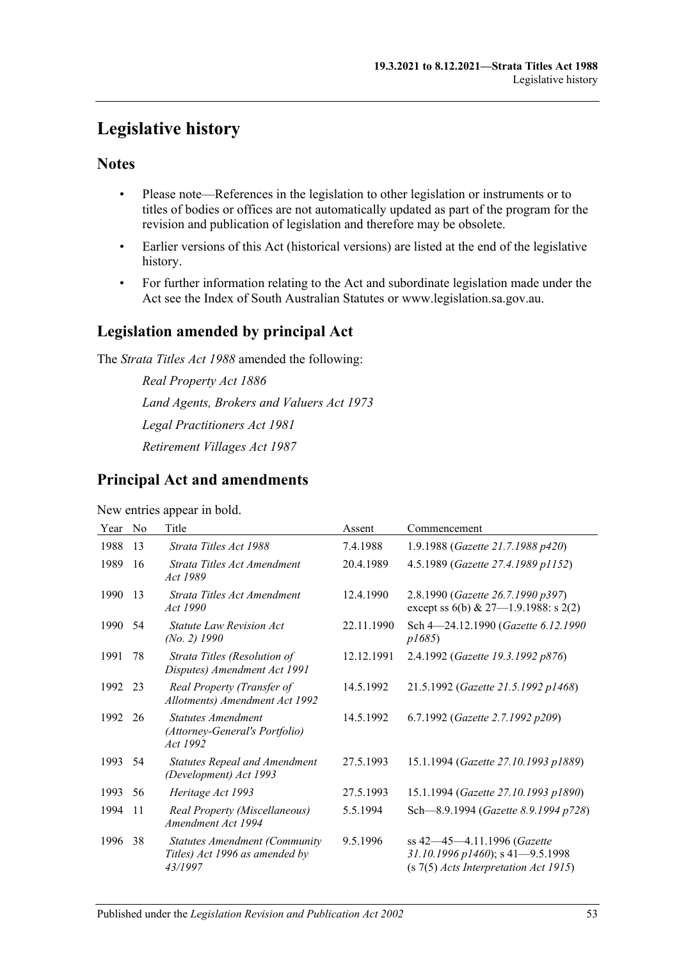## <span id="page-52-0"></span>**Legislative history**

### **Notes**

- Please note—References in the legislation to other legislation or instruments or to titles of bodies or offices are not automatically updated as part of the program for the revision and publication of legislation and therefore may be obsolete.
- Earlier versions of this Act (historical versions) are listed at the end of the legislative history.
- For further information relating to the Act and subordinate legislation made under the Act see the Index of South Australian Statutes or www.legislation.sa.gov.au.

### **Legislation amended by principal Act**

The *Strata Titles Act 1988* amended the following:

*Real Property Act 1886 Land Agents, Brokers and Valuers Act 1973 Legal Practitioners Act 1981 Retirement Villages Act 1987*

### **Principal Act and amendments**

#### New entries appear in bold.

| Year | N <sub>0</sub> | Title                                                                             | Assent     | Commencement                                                                                               |
|------|----------------|-----------------------------------------------------------------------------------|------------|------------------------------------------------------------------------------------------------------------|
| 1988 | 13             | Strata Titles Act 1988                                                            | 7.4.1988   | 1.9.1988 (Gazette 21.7.1988 p420)                                                                          |
| 1989 | 16             | Strata Titles Act Amendment<br>Act 1989                                           | 20.4.1989  | 4.5.1989 (Gazette 27.4.1989 p1152)                                                                         |
| 1990 | 13             | Strata Titles Act Amendment<br>Act 1990                                           | 12.4.1990  | 2.8.1990 (Gazette 26.7.1990 p397)<br>except ss $6(b)$ & 27-1.9.1988: s 2(2)                                |
| 1990 | 54             | <i>Statute Law Revision Act</i><br>$(No. 2)$ 1990                                 | 22.11.1990 | Sch 4-24.12.1990 (Gazette 6.12.1990<br>p1685                                                               |
| 1991 | 78             | Strata Titles (Resolution of<br>Disputes) Amendment Act 1991                      | 12.12.1991 | 2.4.1992 (Gazette 19.3.1992 p876)                                                                          |
| 1992 | 23             | Real Property (Transfer of<br>Allotments) Amendment Act 1992                      | 14.5.1992  | 21.5.1992 (Gazette 21.5.1992 p1468)                                                                        |
| 1992 | 26             | Statutes Amendment<br>(Attorney-General's Portfolio)<br>Act 1992                  | 14.5.1992  | 6.7.1992 (Gazette 2.7.1992 p209)                                                                           |
| 1993 | 54             | <b>Statutes Repeal and Amendment</b><br>(Development) Act 1993                    | 27.5.1993  | 15.1.1994 (Gazette 27.10.1993 p1889)                                                                       |
| 1993 | 56             | Heritage Act 1993                                                                 | 27.5.1993  | 15.1.1994 (Gazette 27.10.1993 p1890)                                                                       |
| 1994 | 11             | Real Property (Miscellaneous)<br>Amendment Act 1994                               | 5.5.1994   | Sch-8.9.1994 (Gazette 8.9.1994 p728)                                                                       |
| 1996 | 38             | <b>Statutes Amendment (Community</b><br>Titles) Act 1996 as amended by<br>43/1997 | 9.5.1996   | ss 42-45-4.11.1996 (Gazette<br>31.10.1996 p1460); s 41-9.5.1998<br>$(s 7(5)$ Acts Interpretation Act 1915) |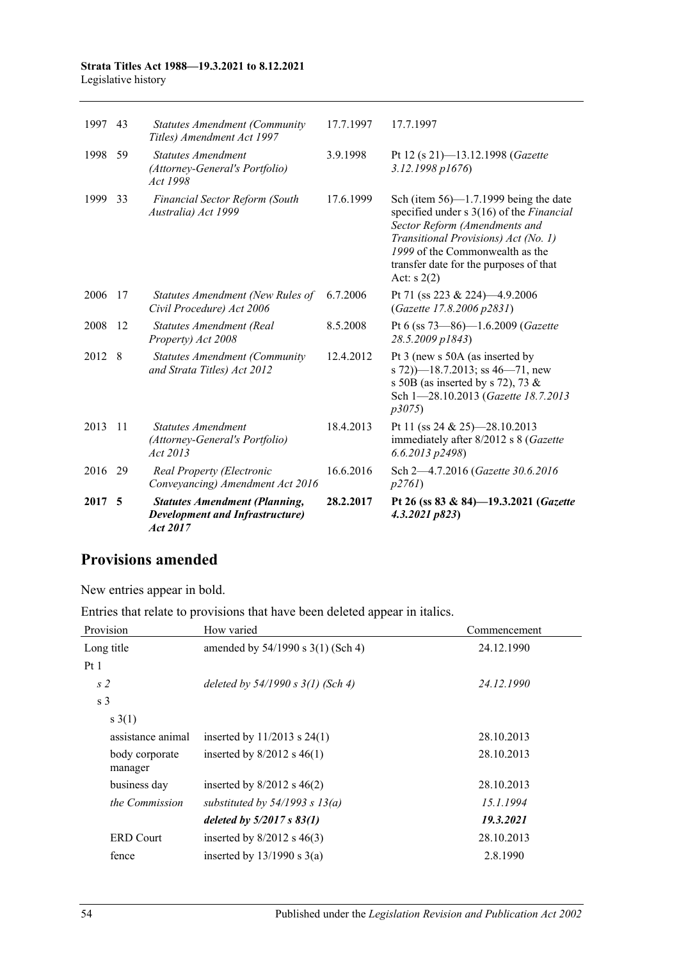#### **Strata Titles Act 1988—19.3.2021 to 8.12.2021** Legislative history

| 2017 | 5   | <b>Statutes Amendment (Planning,</b><br><b>Development and Infrastructure</b> )<br>Act 2017 | 28.2.2017 | Pt 26 (ss 83 & 84)-19.3.2021 ( <i>Gazette</i><br>4.3.2021 p823)                                                                                                                                                                                           |
|------|-----|---------------------------------------------------------------------------------------------|-----------|-----------------------------------------------------------------------------------------------------------------------------------------------------------------------------------------------------------------------------------------------------------|
| 2016 | 29  | Real Property (Electronic<br>Conveyancing) Amendment Act 2016                               | 16.6.2016 | Sch 2-4.7.2016 (Gazette 30.6.2016<br>p2761                                                                                                                                                                                                                |
| 2013 | -11 | <b>Statutes Amendment</b><br>(Attorney-General's Portfolio)<br>Act 2013                     | 18.4.2013 | Pt 11 (ss 24 & 25)-28.10.2013<br>immediately after 8/2012 s 8 (Gazette<br>$6.6.2013$ $p2498$ )                                                                                                                                                            |
| 2012 | 8   | <b>Statutes Amendment (Community</b><br>and Strata Titles) Act 2012                         | 12.4.2012 | Pt 3 (new s 50A (as inserted by<br>s 72) $-18.7.2013$ ; ss 46-71, new<br>s 50B (as inserted by s 72), 73 $\&$<br>Sch 1-28.10.2013 (Gazette 18.7.2013<br>p3075                                                                                             |
| 2008 | 12  | Statutes Amendment (Real<br>Property) Act 2008                                              | 8.5.2008  | Pt 6 (ss 73-86)-1.6.2009 (Gazette<br>28.5.2009 p1843)                                                                                                                                                                                                     |
| 2006 | 17  | Statutes Amendment (New Rules of<br>Civil Procedure) Act 2006                               | 6.7.2006  | Pt 71 (ss 223 & 224)-4.9.2006<br>(Gazette 17.8.2006 p2831)                                                                                                                                                                                                |
| 1999 | 33  | Financial Sector Reform (South<br>Australia) Act 1999                                       | 17.6.1999 | Sch (item $56$ )—1.7.1999 being the date<br>specified under s 3(16) of the Financial<br>Sector Reform (Amendments and<br>Transitional Provisions) Act (No. 1)<br>1999 of the Commonwealth as the<br>transfer date for the purposes of that<br>Act: $s(2)$ |
| 1998 | 59  | <b>Statutes Amendment</b><br>(Attorney-General's Portfolio)<br>Act 1998                     | 3.9.1998  | Pt 12 (s 21)-13.12.1998 (Gazette<br>3.12.1998 p1676)                                                                                                                                                                                                      |
| 1997 | 43  | <b>Statutes Amendment (Community</b><br>Titles) Amendment Act 1997                          | 17.7.1997 | 17.7.1997                                                                                                                                                                                                                                                 |
|      |     |                                                                                             |           |                                                                                                                                                                                                                                                           |

### **Provisions amended**

New entries appear in bold.

Entries that relate to provisions that have been deleted appear in italics.

| Provision                 | How varied                            | Commencement |
|---------------------------|---------------------------------------|--------------|
| Long title                | amended by $54/1990$ s $3(1)$ (Sch 4) | 24.12.1990   |
| Pt1                       |                                       |              |
| s <sub>2</sub>            | deleted by $54/1990 s 3(1)$ (Sch 4)   | 24.12.1990   |
| s <sub>3</sub>            |                                       |              |
| s(1)                      |                                       |              |
| assistance animal         | inserted by $11/2013$ s $24(1)$       | 28.10.2013   |
| body corporate<br>manager | inserted by $8/2012$ s $46(1)$        | 28.10.2013   |
| business day              | inserted by $8/2012$ s $46(2)$        | 28.10.2013   |
| the Commission            | substituted by $54/1993$ s $13(a)$    | 15.1.1994    |
|                           | deleted by $5/2017 s 83(1)$           | 19.3.2021    |
| <b>ERD</b> Court          | inserted by $8/2012$ s $46(3)$        | 28.10.2013   |
| fence                     | inserted by $13/1990$ s $3(a)$        | 2.8.1990     |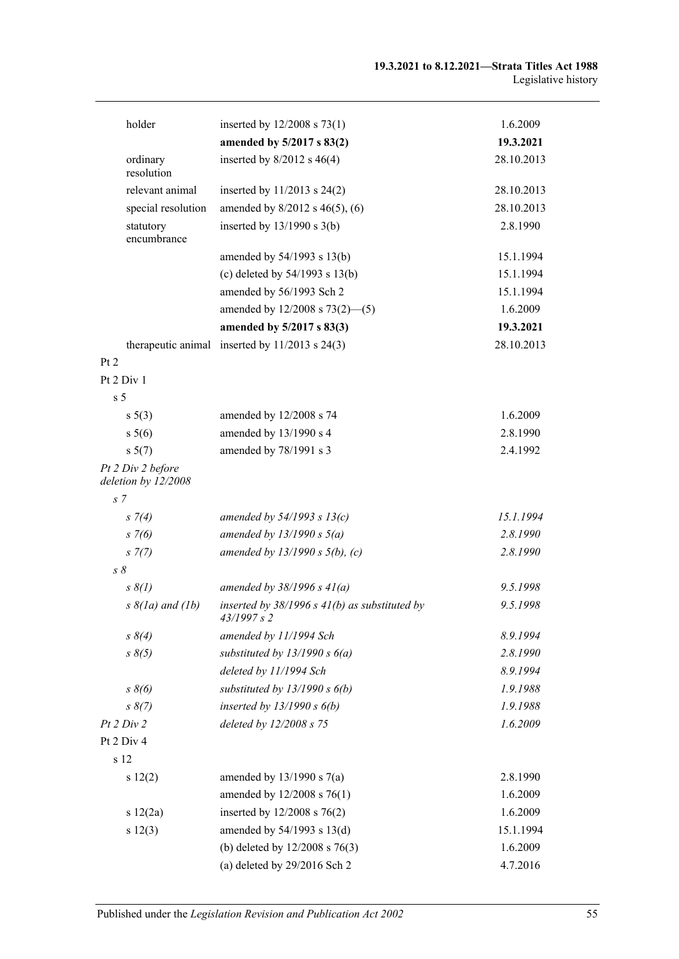| holder                                   | inserted by $12/2008$ s 73(1)                                    | 1.6.2009   |
|------------------------------------------|------------------------------------------------------------------|------------|
|                                          | amended by 5/2017 s 83(2)                                        | 19.3.2021  |
| ordinary<br>resolution                   | inserted by $8/2012$ s $46(4)$                                   | 28.10.2013 |
| relevant animal                          | inserted by 11/2013 s 24(2)                                      | 28.10.2013 |
| special resolution                       | amended by 8/2012 s 46(5), (6)                                   | 28.10.2013 |
| statutory<br>encumbrance                 | inserted by $13/1990$ s $3(b)$                                   | 2.8.1990   |
|                                          | amended by 54/1993 s 13(b)                                       | 15.1.1994  |
|                                          | (c) deleted by $54/1993$ s $13(b)$                               | 15.1.1994  |
|                                          | amended by 56/1993 Sch 2                                         | 15.1.1994  |
|                                          | amended by $12/2008$ s $73(2)$ —(5)                              | 1.6.2009   |
|                                          | amended by 5/2017 s 83(3)                                        | 19.3.2021  |
| Pt 2                                     | therapeutic animal inserted by $11/2013$ s $24(3)$               | 28.10.2013 |
| Pt 2 Div 1                               |                                                                  |            |
| s <sub>5</sub>                           |                                                                  |            |
| s 5(3)                                   | amended by 12/2008 s 74                                          | 1.6.2009   |
| s 5(6)                                   | amended by 13/1990 s 4                                           | 2.8.1990   |
| s 5(7)                                   | amended by 78/1991 s 3                                           | 2.4.1992   |
| Pt 2 Div 2 before<br>deletion by 12/2008 |                                                                  |            |
| s <sub>7</sub>                           |                                                                  |            |
| $s \, 7(4)$                              | amended by $54/1993$ s $13(c)$                                   | 15.1.1994  |
| $s \, 7(6)$                              | amended by $13/1990 s 5(a)$                                      | 2.8.1990   |
| $s \, 7(7)$                              | amended by $13/1990 s 5(b)$ , (c)                                | 2.8.1990   |
| $s \, \delta$                            |                                                                  |            |
| $s \, \delta(l)$                         | amended by $38/1996 s 41(a)$                                     | 9.5.1998   |
| $s \& (la)$ and $(lb)$                   | inserted by $38/1996$ s $41(b)$ as substituted by<br>43/1997 s 2 | 9.5.1998   |
| $s \, \delta(4)$                         | amended by 11/1994 Sch                                           | 8.9.1994   |
| $s \, \delta(5)$                         | substituted by $13/1990 s 6(a)$                                  | 2.8.1990   |
|                                          | deleted by 11/1994 Sch                                           | 8.9.1994   |
| $s \, \delta(6)$                         | substituted by $13/1990 s 6(b)$                                  | 1.9.1988   |
| $s \, 8(7)$                              | inserted by $13/1990 s 6(b)$                                     | 1.9.1988   |
| Pt 2 Div 2                               | deleted by 12/2008 s 75                                          | 1.6.2009   |
| Pt 2 Div 4                               |                                                                  |            |
| s 12                                     |                                                                  |            |
| s 12(2)                                  | amended by $13/1990$ s $7(a)$                                    | 2.8.1990   |
|                                          | amended by 12/2008 s 76(1)                                       | 1.6.2009   |
| s 12(2a)                                 | inserted by 12/2008 s 76(2)                                      | 1.6.2009   |
| s 12(3)                                  | amended by 54/1993 s 13(d)                                       | 15.1.1994  |
|                                          | (b) deleted by $12/2008$ s $76(3)$                               | 1.6.2009   |
|                                          | (a) deleted by $29/2016$ Sch 2                                   | 4.7.2016   |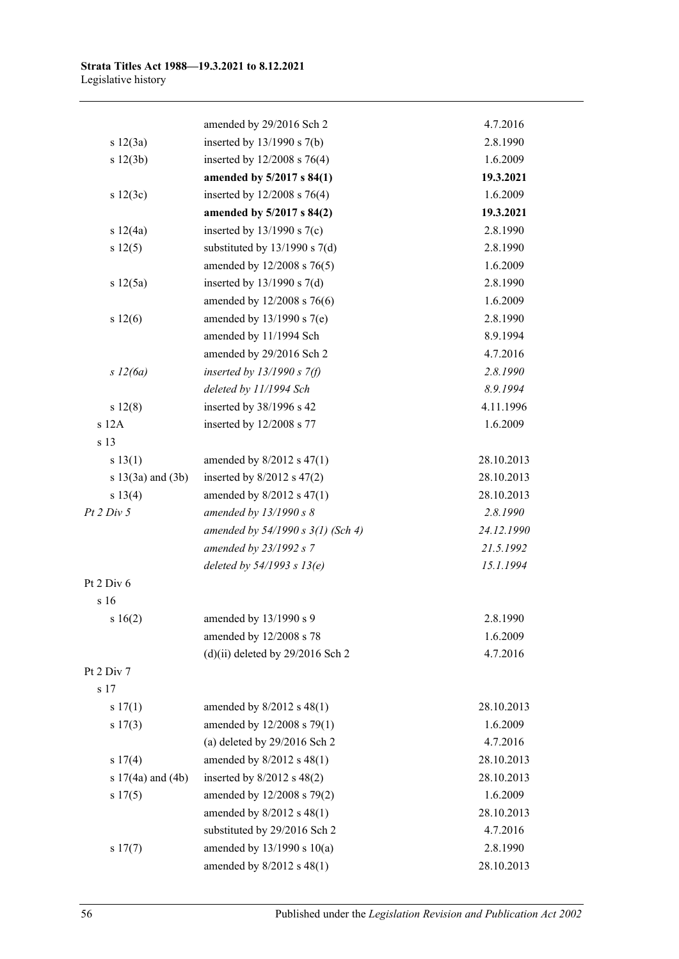|                       | amended by 29/2016 Sch 2           | 4.7.2016   |
|-----------------------|------------------------------------|------------|
| s 12(3a)              | inserted by $13/1990$ s $7(b)$     | 2.8.1990   |
| s 12(3b)              | inserted by $12/2008$ s 76(4)      | 1.6.2009   |
|                       | amended by 5/2017 s 84(1)          | 19.3.2021  |
| s 12(3c)              | inserted by $12/2008$ s 76(4)      | 1.6.2009   |
|                       | amended by 5/2017 s 84(2)          | 19.3.2021  |
| s 12(4a)              | inserted by $13/1990$ s $7(c)$     | 2.8.1990   |
| s 12(5)               | substituted by $13/1990$ s $7(d)$  | 2.8.1990   |
|                       | amended by 12/2008 s 76(5)         | 1.6.2009   |
| s 12(5a)              | inserted by $13/1990$ s $7(d)$     | 2.8.1990   |
|                       | amended by 12/2008 s 76(6)         | 1.6.2009   |
| s 12(6)               | amended by 13/1990 s 7(e)          | 2.8.1990   |
|                       | amended by 11/1994 Sch             | 8.9.1994   |
|                       | amended by 29/2016 Sch 2           | 4.7.2016   |
| s 12(6a)              | inserted by $13/1990 s 7(f)$       | 2.8.1990   |
|                       | deleted by 11/1994 Sch             | 8.9.1994   |
| s 12(8)               | inserted by 38/1996 s 42           | 4.11.1996  |
| $s$ 12A               | inserted by 12/2008 s 77           | 1.6.2009   |
| s 13                  |                                    |            |
| s 13(1)               | amended by $8/2012$ s $47(1)$      | 28.10.2013 |
| s $13(3a)$ and $(3b)$ | inserted by $8/2012$ s $47(2)$     | 28.10.2013 |
| s 13(4)               | amended by $8/2012$ s $47(1)$      | 28.10.2013 |
| Pt 2 Div 5            | amended by $13/1990 s 8$           | 2.8.1990   |
|                       | amended by 54/1990 s 3(1) (Sch 4)  | 24.12.1990 |
|                       | amended by 23/1992 s 7             | 21.5.1992  |
|                       | deleted by $54/1993$ s $13(e)$     | 15.1.1994  |
| Pt 2 Div 6            |                                    |            |
| s 16                  |                                    |            |
| s16(2)                | amended by 13/1990 s 9             | 2.8.1990   |
|                       | amended by 12/2008 s 78            | 1.6.2009   |
|                       | $(d)(ii)$ deleted by 29/2016 Sch 2 | 4.7.2016   |
| Pt 2 Div 7            |                                    |            |
| s 17                  |                                    |            |
| s 17(1)               | amended by $8/2012$ s $48(1)$      | 28.10.2013 |
| s 17(3)               | amended by 12/2008 s 79(1)         | 1.6.2009   |
|                       | (a) deleted by $29/2016$ Sch 2     | 4.7.2016   |
| s 17(4)               | amended by $8/2012$ s $48(1)$      | 28.10.2013 |
| s $17(4a)$ and $(4b)$ | inserted by $8/2012$ s $48(2)$     | 28.10.2013 |
| s 17(5)               | amended by 12/2008 s 79(2)         | 1.6.2009   |
|                       | amended by 8/2012 s 48(1)          | 28.10.2013 |
|                       | substituted by 29/2016 Sch 2       | 4.7.2016   |
| s 17(7)               | amended by $13/1990$ s $10(a)$     | 2.8.1990   |
|                       | amended by 8/2012 s 48(1)          | 28.10.2013 |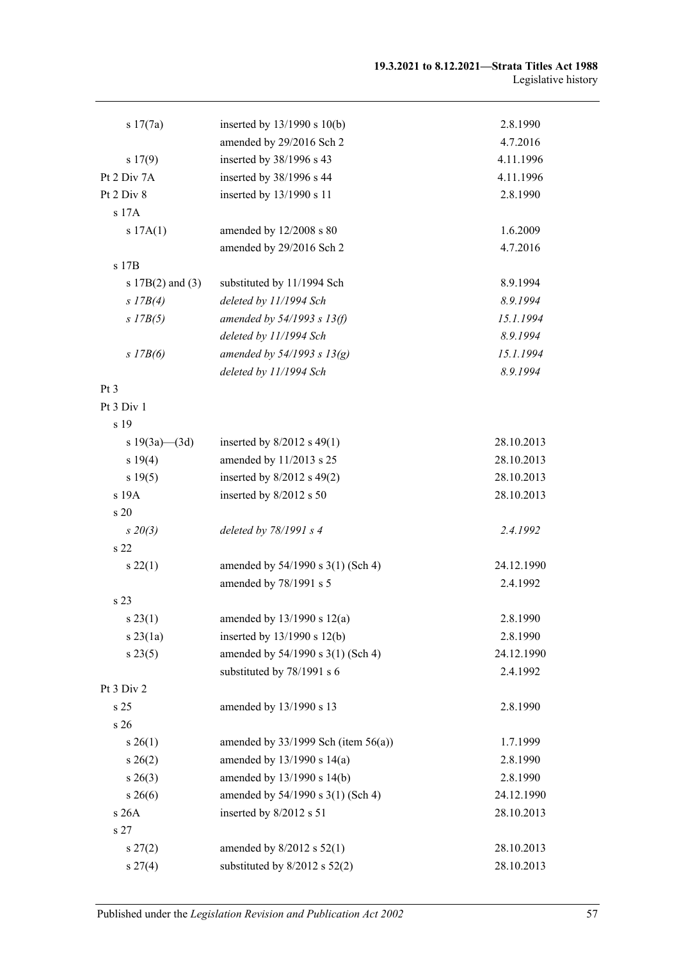| s 17(7a)             | inserted by $13/1990$ s $10(b)$          | 2.8.1990   |
|----------------------|------------------------------------------|------------|
|                      | amended by 29/2016 Sch 2                 | 4.7.2016   |
| 17(9)                | inserted by 38/1996 s 43                 | 4.11.1996  |
| Pt 2 Div 7A          | inserted by 38/1996 s 44                 | 4.11.1996  |
| Pt 2 Div 8           | inserted by 13/1990 s 11                 | 2.8.1990   |
| s 17A                |                                          |            |
| s 17A(1)             | amended by 12/2008 s 80                  | 1.6.2009   |
|                      | amended by 29/2016 Sch 2                 | 4.7.2016   |
| s 17B                |                                          |            |
| s $17B(2)$ and $(3)$ | substituted by 11/1994 Sch               | 8.9.1994   |
| $s$ 17B(4)           | deleted by 11/1994 Sch                   | 8.9.1994   |
| $s$ 17B(5)           | amended by $54/1993$ s $13(f)$           | 15.1.1994  |
|                      | deleted by 11/1994 Sch                   | 8.9.1994   |
| $s$ 17B(6)           | amended by $54/1993 s 13(g)$             | 15.1.1994  |
|                      | deleted by 11/1994 Sch                   | 8.9.1994   |
| Pt 3                 |                                          |            |
| Pt 3 Div 1           |                                          |            |
| s 19                 |                                          |            |
| s 19(3a)—(3d)        | inserted by $8/2012$ s 49(1)             | 28.10.2013 |
| s 19(4)              | amended by 11/2013 s 25                  | 28.10.2013 |
| s 19(5)              | inserted by $8/2012$ s 49(2)             | 28.10.2013 |
| s 19A                | inserted by 8/2012 s 50                  | 28.10.2013 |
| s 20                 |                                          |            |
| $s\,20(3)$           | deleted by 78/1991 s 4                   | 2.4.1992   |
| s 22                 |                                          |            |
| s 22(1)              | amended by 54/1990 s 3(1) (Sch 4)        | 24.12.1990 |
|                      | amended by 78/1991 s 5                   | 2.4.1992   |
| s 23                 |                                          |            |
| s 23(1)              | amended by $13/1990$ s $12(a)$           | 2.8.1990   |
| $s$ 23(1a)           | inserted by $13/1990$ s $12(b)$          | 2.8.1990   |
| s 23(5)              | amended by 54/1990 s 3(1) (Sch 4)        | 24.12.1990 |
|                      | substituted by 78/1991 s 6               | 2.4.1992   |
| Pt 3 Div 2           |                                          |            |
| s 25                 | amended by 13/1990 s 13                  | 2.8.1990   |
| s 26                 |                                          |            |
| $s \, 26(1)$         | amended by $33/1999$ Sch (item $56(a)$ ) | 1.7.1999   |
| $s \; 26(2)$         | amended by 13/1990 s 14(a)               | 2.8.1990   |
| $s \; 26(3)$         | amended by 13/1990 s 14(b)               | 2.8.1990   |
| $s \; 26(6)$         | amended by 54/1990 s 3(1) (Sch 4)        | 24.12.1990 |
| s 26A                | inserted by 8/2012 s 51                  | 28.10.2013 |
| s 27                 |                                          |            |
| $s\,27(2)$           | amended by $8/2012$ s $52(1)$            | 28.10.2013 |
| $s \, 27(4)$         | substituted by 8/2012 s 52(2)            | 28.10.2013 |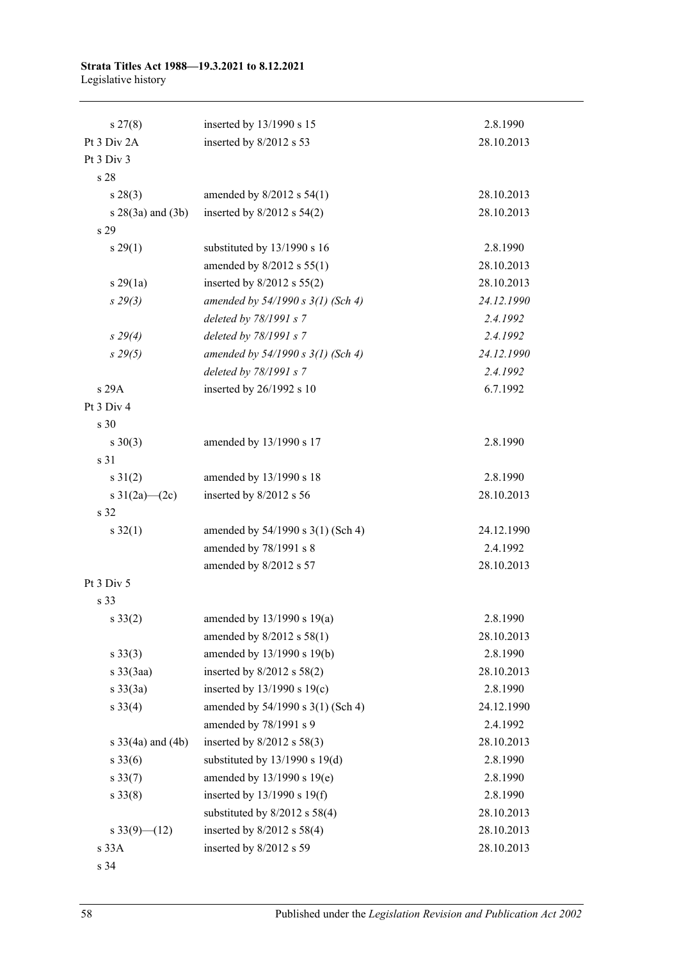#### **Strata Titles Act 1988—19.3.2021 to 8.12.2021** Legislative history

| $s \, 27(8)$                 | inserted by 13/1990 s 15            | 2.8.1990   |
|------------------------------|-------------------------------------|------------|
| Pt 3 Div 2A                  | inserted by 8/2012 s 53             | 28.10.2013 |
| Pt 3 Div 3                   |                                     |            |
| s 28                         |                                     |            |
| $s\,28(3)$                   | amended by $8/2012$ s $54(1)$       | 28.10.2013 |
| s 28(3a) and (3b)            | inserted by $8/2012$ s $54(2)$      | 28.10.2013 |
| s 29                         |                                     |            |
| s 29(1)                      | substituted by 13/1990 s 16         | 2.8.1990   |
|                              | amended by 8/2012 s 55(1)           | 28.10.2013 |
| s29(1a)                      | inserted by $8/2012$ s $55(2)$      | 28.10.2013 |
| $s\,29(3)$                   | amended by $54/1990 s 3(1)$ (Sch 4) | 24.12.1990 |
|                              | deleted by 78/1991 s 7              | 2.4.1992   |
| $s\,29(4)$                   | deleted by 78/1991 s 7              | 2.4.1992   |
| $s\,29(5)$                   | amended by 54/1990 s 3(1) (Sch 4)   | 24.12.1990 |
|                              | deleted by 78/1991 s 7              | 2.4.1992   |
| s 29A                        | inserted by 26/1992 s 10            | 6.7.1992   |
| Pt 3 Div 4                   |                                     |            |
| s 30                         |                                     |            |
| $s \ 30(3)$                  | amended by 13/1990 s 17             | 2.8.1990   |
| s 31                         |                                     |            |
| $s \ 31(2)$                  | amended by 13/1990 s 18             | 2.8.1990   |
| s $31(2a)$ (2c)              | inserted by 8/2012 s 56             | 28.10.2013 |
| s 32                         |                                     |            |
| $s \, 32(1)$                 | amended by 54/1990 s 3(1) (Sch 4)   | 24.12.1990 |
|                              | amended by 78/1991 s 8              | 2.4.1992   |
|                              | amended by 8/2012 s 57              | 28.10.2013 |
| Pt 3 Div 5                   |                                     |            |
| s 33                         |                                     |            |
| $s \; 33(2)$                 | amended by $13/1990$ s $19(a)$      | 2.8.1990   |
|                              | amended by 8/2012 s 58(1)           | 28.10.2013 |
| $s \ 33(3)$                  | amended by 13/1990 s 19(b)          | 2.8.1990   |
| $s \frac{33}{3}$ aa)         | inserted by $8/2012$ s $58(2)$      | 28.10.2013 |
| $s \frac{33}{3a}$            | inserted by $13/1990$ s $19(c)$     | 2.8.1990   |
| $s \, 33(4)$                 | amended by 54/1990 s 3(1) (Sch 4)   | 24.12.1990 |
|                              | amended by 78/1991 s 9              | 2.4.1992   |
| $s \frac{33}{4a}$ and $(4b)$ | inserted by $8/2012$ s $58(3)$      | 28.10.2013 |
| $s \, 33(6)$                 | substituted by $13/1990$ s $19(d)$  | 2.8.1990   |
| $s \, 33(7)$                 | amended by 13/1990 s 19(e)          | 2.8.1990   |
| $s \, 33(8)$                 | inserted by $13/1990$ s $19(f)$     | 2.8.1990   |
|                              | substituted by $8/2012$ s $58(4)$   | 28.10.2013 |
| s 33(9)–(12)                 | inserted by $8/2012$ s $58(4)$      | 28.10.2013 |
| s 33A                        | inserted by 8/2012 s 59             | 28.10.2013 |
| s 34                         |                                     |            |

58 Published under the *Legislation Revision and Publication Act 2002*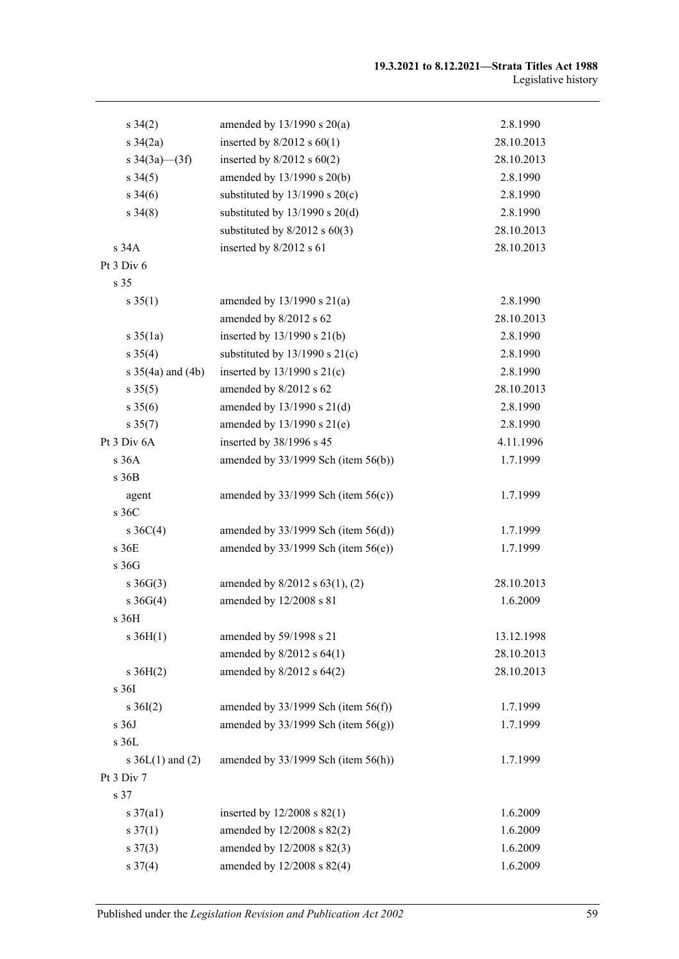#### **19.3.2021 to 8.12.2021—Strata Titles Act 1988** Legislative history

| $s \, 34(2)$                 | amended by $13/1990$ s $20(a)$           | 2.8.1990   |
|------------------------------|------------------------------------------|------------|
| $s \frac{34}{2a}$            | inserted by $8/2012$ s $60(1)$           | 28.10.2013 |
| s $34(3a)$ (3f)              | inserted by $8/2012$ s $60(2)$           | 28.10.2013 |
| $s \, 34(5)$                 | amended by 13/1990 s 20(b)               | 2.8.1990   |
| $s \, 34(6)$                 | substituted by $13/1990$ s $20(c)$       | 2.8.1990   |
| $s\,34(8)$                   | substituted by $13/1990$ s $20(d)$       | 2.8.1990   |
|                              | substituted by $8/2012$ s $60(3)$        | 28.10.2013 |
| s 34A                        | inserted by 8/2012 s 61                  | 28.10.2013 |
| Pt 3 Div 6                   |                                          |            |
| s 35                         |                                          |            |
| $s \, 35(1)$                 | amended by $13/1990$ s $21(a)$           | 2.8.1990   |
|                              | amended by 8/2012 s 62                   | 28.10.2013 |
| $s \, 35(1a)$                | inserted by $13/1990$ s $21(b)$          | 2.8.1990   |
| $s \, 35(4)$                 | substituted by $13/1990$ s $21(c)$       | 2.8.1990   |
| $s \frac{35}{4a}$ and $(4b)$ | inserted by $13/1990$ s $21(c)$          | 2.8.1990   |
| $s \, 35(5)$                 | amended by 8/2012 s 62                   | 28.10.2013 |
| $s \, 35(6)$                 | amended by $13/1990$ s $21(d)$           | 2.8.1990   |
| $s \, 35(7)$                 | amended by $13/1990$ s $21(e)$           | 2.8.1990   |
| Pt 3 Div 6A                  | inserted by 38/1996 s 45                 | 4.11.1996  |
| s 36A                        | amended by 33/1999 Sch (item 56(b))      | 1.7.1999   |
| s 36B                        |                                          |            |
| agent                        | amended by $33/1999$ Sch (item $56(c)$ ) | 1.7.1999   |
| s 36C                        |                                          |            |
| $s \, 36C(4)$                | amended by $33/1999$ Sch (item $56(d)$ ) | 1.7.1999   |
| s36E                         | amended by $33/1999$ Sch (item $56(e)$ ) | 1.7.1999   |
| s 36G                        |                                          |            |
| $s \; 36G(3)$                | amended by $8/2012$ s $63(1)$ , (2)      | 28.10.2013 |
| $s \; 36G(4)$                | amended by 12/2008 s 81                  | 1.6.2009   |
| s 36H                        |                                          |            |
| $s \; 36H(1)$                | amended by 59/1998 s 21                  | 13.12.1998 |
|                              | amended by $8/2012$ s $64(1)$            | 28.10.2013 |
| $s \; 36H(2)$                | amended by 8/2012 s 64(2)                | 28.10.2013 |
| s 36I                        |                                          |            |
| $s \, 36I(2)$                | amended by $33/1999$ Sch (item $56(f)$ ) | 1.7.1999   |
| s 36J                        | amended by $33/1999$ Sch (item $56(g)$ ) | 1.7.1999   |
| s 36L                        |                                          |            |
| s $36L(1)$ and $(2)$         | amended by $33/1999$ Sch (item $56(h)$ ) | 1.7.1999   |
| Pt 3 Div 7                   |                                          |            |
| s 37                         |                                          |            |
| $s \frac{37}{a}$             | inserted by $12/2008$ s $82(1)$          | 1.6.2009   |
| $s \frac{37(1)}{2}$          | amended by 12/2008 s 82(2)               | 1.6.2009   |
| $s \frac{37(3)}{2}$          | amended by 12/2008 s 82(3)               | 1.6.2009   |
| $s \frac{37(4)}{2}$          | amended by 12/2008 s 82(4)               | 1.6.2009   |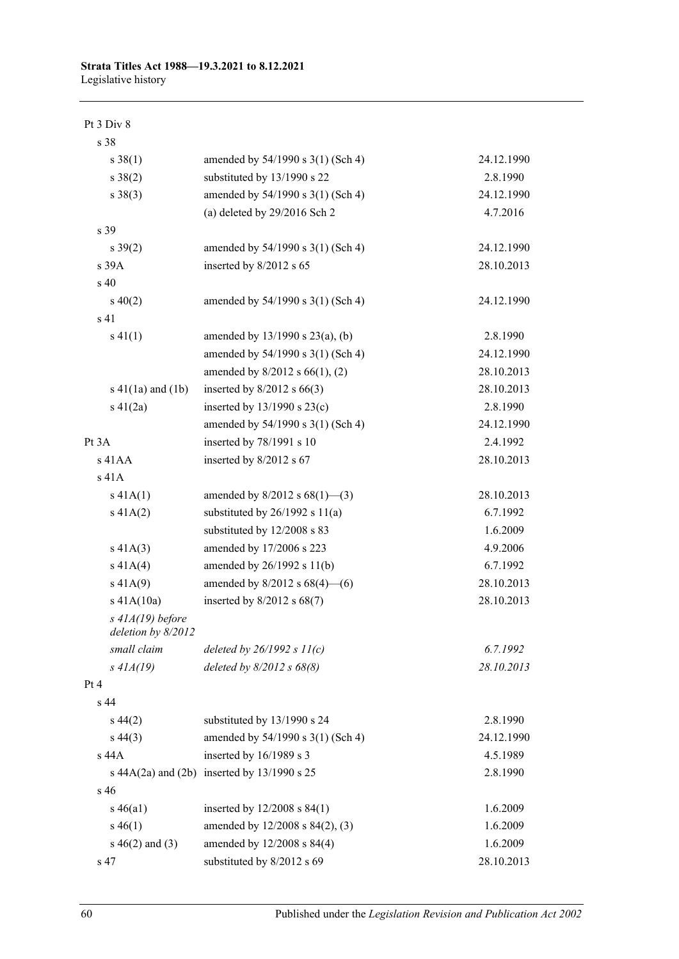Pt 3 Div 8

| s 38                                     |                                                     |            |
|------------------------------------------|-----------------------------------------------------|------------|
| $s \ 38(1)$                              | amended by 54/1990 s 3(1) (Sch 4)                   | 24.12.1990 |
| $s \ 38(2)$                              | substituted by 13/1990 s 22                         | 2.8.1990   |
| $s \ 38(3)$                              | amended by 54/1990 s 3(1) (Sch 4)                   | 24.12.1990 |
|                                          | (a) deleted by $29/2016$ Sch 2                      | 4.7.2016   |
| s 39                                     |                                                     |            |
| $s \, 39(2)$                             | amended by $54/1990$ s $3(1)$ (Sch 4)               | 24.12.1990 |
| s 39A                                    | inserted by 8/2012 s 65                             | 28.10.2013 |
| s 40                                     |                                                     |            |
| $s\ 40(2)$                               | amended by $54/1990$ s $3(1)$ (Sch 4)               | 24.12.1990 |
| s 41                                     |                                                     |            |
| $s\ 41(1)$                               | amended by $13/1990$ s $23(a)$ , (b)                | 2.8.1990   |
|                                          | amended by 54/1990 s 3(1) (Sch 4)                   | 24.12.1990 |
|                                          | amended by $8/2012$ s $66(1)$ , (2)                 | 28.10.2013 |
| $s\ 41(1a)$ and $(1b)$                   | inserted by $8/2012$ s $66(3)$                      | 28.10.2013 |
| $s\ 41(2a)$                              | inserted by $13/1990$ s $23(c)$                     | 2.8.1990   |
|                                          | amended by 54/1990 s 3(1) (Sch 4)                   | 24.12.1990 |
| Pt 3A                                    | inserted by 78/1991 s 10                            | 2.4.1992   |
| $s$ 41AA                                 | inserted by 8/2012 s 67                             | 28.10.2013 |
| s 41A                                    |                                                     |            |
| $s\ 41A(1)$                              | amended by $8/2012$ s $68(1)$ —(3)                  | 28.10.2013 |
| s 41A(2)                                 | substituted by $26/1992$ s $11(a)$                  | 6.7.1992   |
|                                          | substituted by 12/2008 s 83                         | 1.6.2009   |
| $s\ 41A(3)$                              | amended by 17/2006 s 223                            | 4.9.2006   |
| s 41A(4)                                 | amended by 26/1992 s 11(b)                          | 6.7.1992   |
| s 41A(9)                                 | amended by $8/2012$ s $68(4)$ - (6)                 | 28.10.2013 |
| s 41A(10a)                               | inserted by $8/2012$ s $68(7)$                      | 28.10.2013 |
| $s$ 41A(19) before<br>deletion by 8/2012 |                                                     |            |
| small claim                              | deleted by $26/1992 s 11(c)$                        | 6.7.1992   |
| $s$ 41 $A(19)$                           | deleted by $8/2012$ s $68(8)$                       | 28.10.2013 |
| Pt4                                      |                                                     |            |
| s <sub>44</sub>                          |                                                     |            |
| $s\,44(2)$                               | substituted by 13/1990 s 24                         | 2.8.1990   |
| $s\,44(3)$                               | amended by 54/1990 s 3(1) (Sch 4)                   | 24.12.1990 |
| s 44A                                    | inserted by 16/1989 s 3                             | 4.5.1989   |
|                                          | s $44A(2a)$ and $(2b)$ inserted by $13/1990$ s $25$ | 2.8.1990   |
| s 46                                     |                                                     |            |
| $s\,46(a1)$                              | inserted by $12/2008$ s $84(1)$                     | 1.6.2009   |
| $s\,46(1)$                               | amended by 12/2008 s 84(2), (3)                     | 1.6.2009   |
| $s\ 46(2)$ and (3)                       | amended by 12/2008 s 84(4)                          | 1.6.2009   |
| s 47                                     | substituted by 8/2012 s 69                          | 28.10.2013 |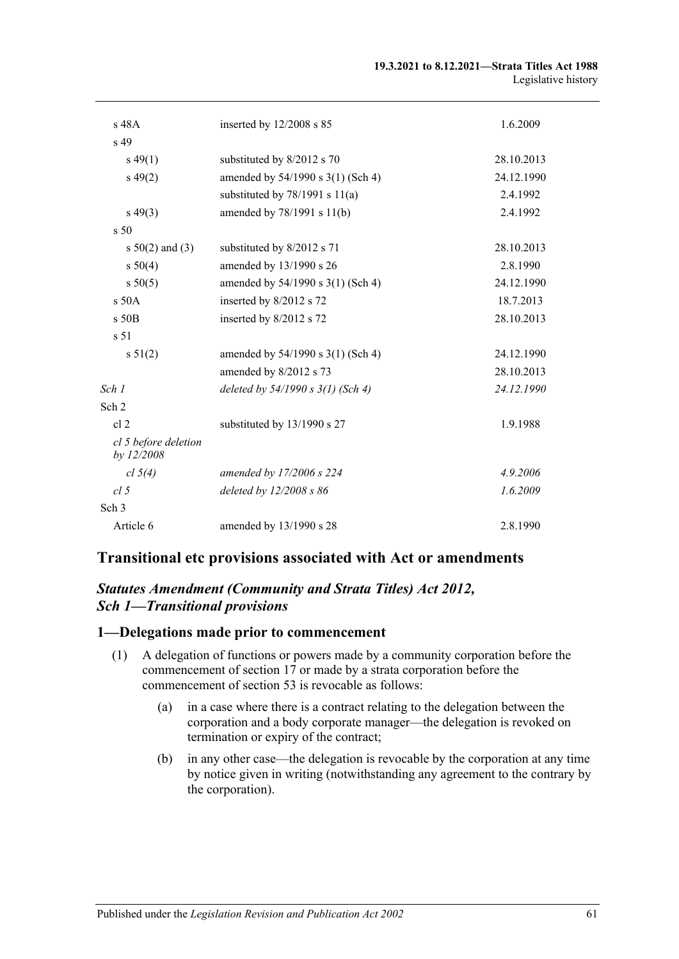| s 48A                              | inserted by $12/2008$ s 85          | 1.6.2009   |
|------------------------------------|-------------------------------------|------------|
| s 49                               |                                     |            |
| $s\,49(1)$                         | substituted by 8/2012 s 70          | 28.10.2013 |
| $s\,49(2)$                         | amended by 54/1990 s 3(1) (Sch 4)   | 24.12.1990 |
|                                    | substituted by $78/1991$ s $11(a)$  | 2.4.1992   |
| $s\,49(3)$                         | amended by 78/1991 s 11(b)          | 2.4.1992   |
| s <sub>50</sub>                    |                                     |            |
| s $50(2)$ and (3)                  | substituted by 8/2012 s 71          | 28.10.2013 |
| s 50(4)                            | amended by 13/1990 s 26             | 2.8.1990   |
| s 50(5)                            | amended by 54/1990 s 3(1) (Sch 4)   | 24.12.1990 |
| $s$ 50 $A$                         | inserted by 8/2012 s 72             | 18.7.2013  |
| $s$ 50 $B$                         | inserted by 8/2012 s 72             | 28.10.2013 |
| s <sub>51</sub>                    |                                     |            |
| s 51(2)                            | amended by 54/1990 s 3(1) (Sch 4)   | 24.12.1990 |
|                                    | amended by 8/2012 s 73              | 28.10.2013 |
| Sch 1                              | deleted by $54/1990 s 3(1)$ (Sch 4) | 24.12.1990 |
| Sch 2                              |                                     |            |
| cl <sub>2</sub>                    | substituted by 13/1990 s 27         | 1.9.1988   |
| cl 5 before deletion<br>by 12/2008 |                                     |            |
| cl $5(4)$                          | amended by 17/2006 s 224            | 4.9.2006   |
| cl <sub>5</sub>                    | deleted by 12/2008 s 86             | 1.6.2009   |
| Sch <sub>3</sub>                   |                                     |            |
| Article 6                          | amended by 13/1990 s 28             | 2.8.1990   |

### **Transitional etc provisions associated with Act or amendments**

### *Statutes Amendment (Community and Strata Titles) Act 2012, Sch 1—Transitional provisions*

#### **1—Delegations made prior to commencement**

- (1) A delegation of functions or powers made by a community corporation before the commencement of section 17 or made by a strata corporation before the commencement of section 53 is revocable as follows:
	- (a) in a case where there is a contract relating to the delegation between the corporation and a body corporate manager—the delegation is revoked on termination or expiry of the contract;
	- (b) in any other case—the delegation is revocable by the corporation at any time by notice given in writing (notwithstanding any agreement to the contrary by the corporation).